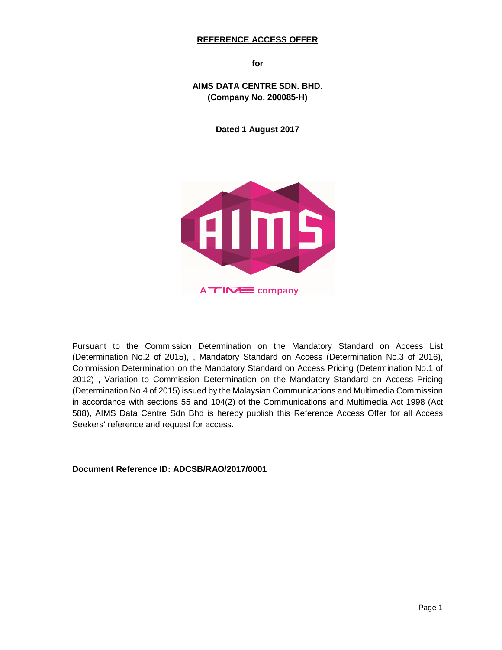### **REFERENCE ACCESS OFFER**

**for** 

**AIMS DATA CENTRE SDN. BHD. (Company No. 200085-H)**

**Dated 1 August 2017** 



Pursuant to the Commission Determination on the Mandatory Standard on Access List (Determination No.2 of 2015), , Mandatory Standard on Access (Determination No.3 of 2016), Commission Determination on the Mandatory Standard on Access Pricing (Determination No.1 of 2012) , Variation to Commission Determination on the Mandatory Standard on Access Pricing (Determination No.4 of 2015) issued by the Malaysian Communications and Multimedia Commission in accordance with sections 55 and 104(2) of the Communications and Multimedia Act 1998 (Act 588), AIMS Data Centre Sdn Bhd is hereby publish this Reference Access Offer for all Access Seekers' reference and request for access.

**Document Reference ID: ADCSB/RAO/2017/0001**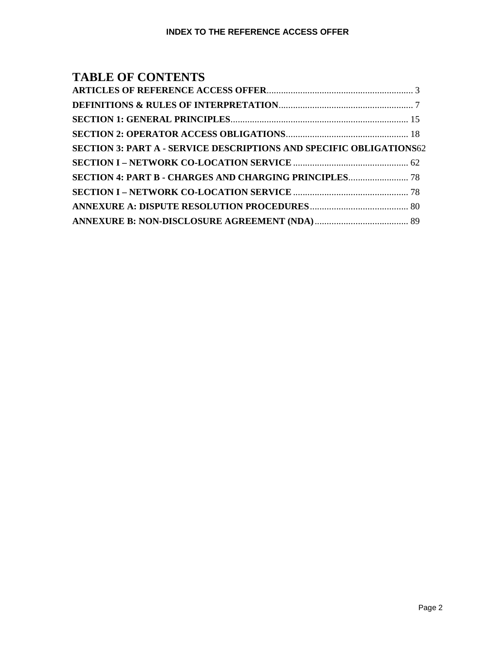# **TABLE OF CONTENTS**

| <b>SECTION 3: PART A - SERVICE DESCRIPTIONS AND SPECIFIC OBLIGATIONS62</b> |  |
|----------------------------------------------------------------------------|--|
|                                                                            |  |
|                                                                            |  |
|                                                                            |  |
|                                                                            |  |
|                                                                            |  |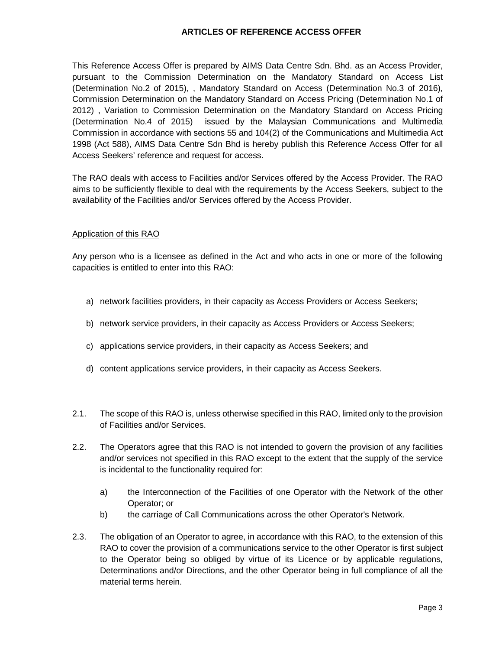### **ARTICLES OF REFERENCE ACCESS OFFER**

This Reference Access Offer is prepared by AIMS Data Centre Sdn. Bhd. as an Access Provider, pursuant to the Commission Determination on the Mandatory Standard on Access List (Determination No.2 of 2015), , Mandatory Standard on Access (Determination No.3 of 2016), Commission Determination on the Mandatory Standard on Access Pricing (Determination No.1 of 2012) , Variation to Commission Determination on the Mandatory Standard on Access Pricing (Determination No.4 of 2015) issued by the Malaysian Communications and Multimedia Commission in accordance with sections 55 and 104(2) of the Communications and Multimedia Act 1998 (Act 588), AIMS Data Centre Sdn Bhd is hereby publish this Reference Access Offer for all Access Seekers' reference and request for access.

The RAO deals with access to Facilities and/or Services offered by the Access Provider. The RAO aims to be sufficiently flexible to deal with the requirements by the Access Seekers, subject to the availability of the Facilities and/or Services offered by the Access Provider.

### Application of this RAO

Any person who is a licensee as defined in the Act and who acts in one or more of the following capacities is entitled to enter into this RAO:

- a) network facilities providers, in their capacity as Access Providers or Access Seekers;
- b) network service providers, in their capacity as Access Providers or Access Seekers;
- c) applications service providers, in their capacity as Access Seekers; and
- d) content applications service providers, in their capacity as Access Seekers.
- 2.1. The scope of this RAO is, unless otherwise specified in this RAO, limited only to the provision of Facilities and/or Services.
- 2.2. The Operators agree that this RAO is not intended to govern the provision of any facilities and/or services not specified in this RAO except to the extent that the supply of the service is incidental to the functionality required for:
	- a) the Interconnection of the Facilities of one Operator with the Network of the other Operator; or
	- b) the carriage of Call Communications across the other Operator's Network.
- 2.3. The obligation of an Operator to agree, in accordance with this RAO, to the extension of this RAO to cover the provision of a communications service to the other Operator is first subject to the Operator being so obliged by virtue of its Licence or by applicable regulations, Determinations and/or Directions, and the other Operator being in full compliance of all the material terms herein.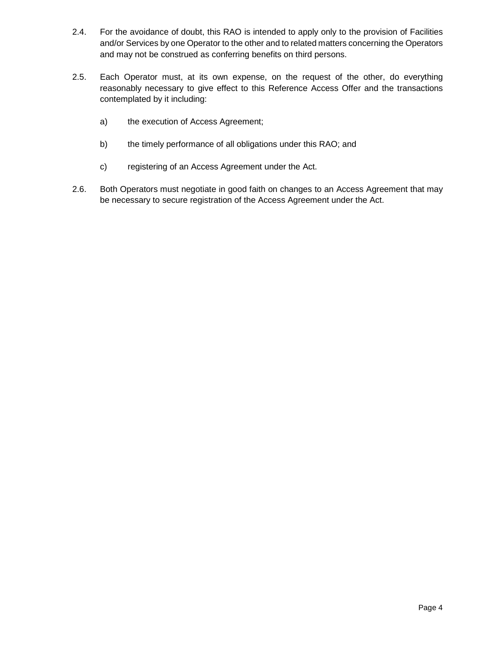- 2.4. For the avoidance of doubt, this RAO is intended to apply only to the provision of Facilities and/or Services by one Operator to the other and to related matters concerning the Operators and may not be construed as conferring benefits on third persons.
- 2.5. Each Operator must, at its own expense, on the request of the other, do everything reasonably necessary to give effect to this Reference Access Offer and the transactions contemplated by it including:
	- a) the execution of Access Agreement;
	- b) the timely performance of all obligations under this RAO; and
	- c) registering of an Access Agreement under the Act.
- 2.6. Both Operators must negotiate in good faith on changes to an Access Agreement that may be necessary to secure registration of the Access Agreement under the Act.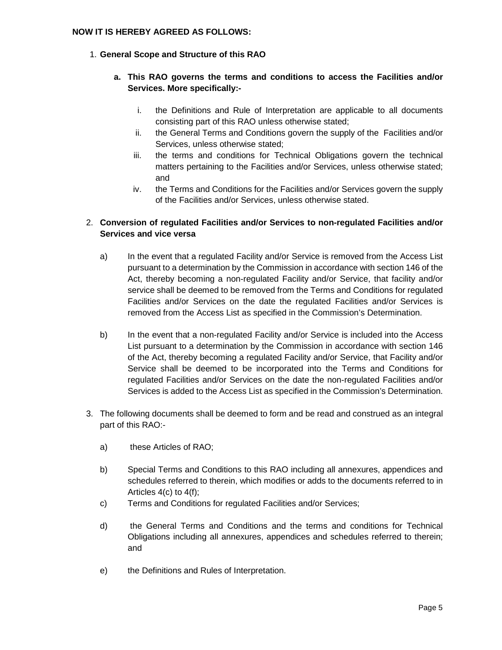### **NOW IT IS HEREBY AGREED AS FOLLOWS:**

## 1. **General Scope and Structure of this RAO**

## **a. This RAO governs the terms and conditions to access the Facilities and/or Services. More specifically:-**

- i. the Definitions and Rule of Interpretation are applicable to all documents consisting part of this RAO unless otherwise stated;
- ii. the General Terms and Conditions govern the supply of the Facilities and/or Services, unless otherwise stated;
- iii. the terms and conditions for Technical Obligations govern the technical matters pertaining to the Facilities and/or Services, unless otherwise stated; and
- iv. the Terms and Conditions for the Facilities and/or Services govern the supply of the Facilities and/or Services, unless otherwise stated.

## 2. **Conversion of regulated Facilities and/or Services to non-regulated Facilities and/or Services and vice versa**

- a) In the event that a regulated Facility and/or Service is removed from the Access List pursuant to a determination by the Commission in accordance with section 146 of the Act, thereby becoming a non-regulated Facility and/or Service, that facility and/or service shall be deemed to be removed from the Terms and Conditions for regulated Facilities and/or Services on the date the regulated Facilities and/or Services is removed from the Access List as specified in the Commission's Determination.
- b) In the event that a non-regulated Facility and/or Service is included into the Access List pursuant to a determination by the Commission in accordance with section 146 of the Act, thereby becoming a regulated Facility and/or Service, that Facility and/or Service shall be deemed to be incorporated into the Terms and Conditions for regulated Facilities and/or Services on the date the non-regulated Facilities and/or Services is added to the Access List as specified in the Commission's Determination.
- 3. The following documents shall be deemed to form and be read and construed as an integral part of this RAO:
	- a) these Articles of RAO;
	- b) Special Terms and Conditions to this RAO including all annexures, appendices and schedules referred to therein, which modifies or adds to the documents referred to in Articles 4(c) to 4(f);
	- c) Terms and Conditions for regulated Facilities and/or Services;
	- d) the General Terms and Conditions and the terms and conditions for Technical Obligations including all annexures, appendices and schedules referred to therein; and
	- e) the Definitions and Rules of Interpretation.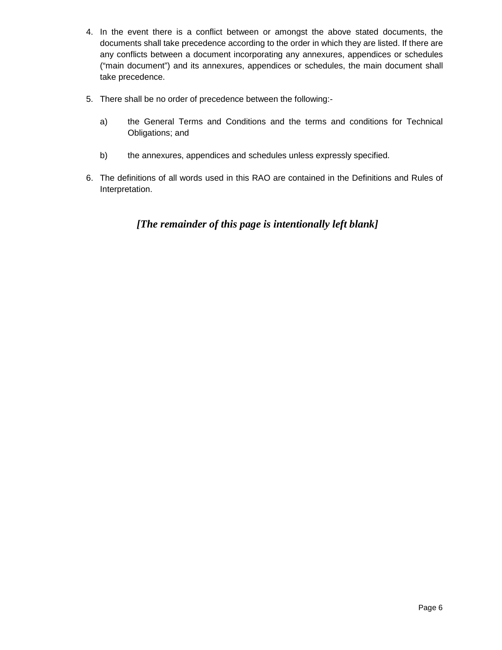- 4. In the event there is a conflict between or amongst the above stated documents, the documents shall take precedence according to the order in which they are listed. If there are any conflicts between a document incorporating any annexures, appendices or schedules ("main document") and its annexures, appendices or schedules, the main document shall take precedence.
- 5. There shall be no order of precedence between the following:
	- a) the General Terms and Conditions and the terms and conditions for Technical Obligations; and
	- b) the annexures, appendices and schedules unless expressly specified.
- 6. The definitions of all words used in this RAO are contained in the Definitions and Rules of Interpretation.

*[The remainder of this page is intentionally left blank]*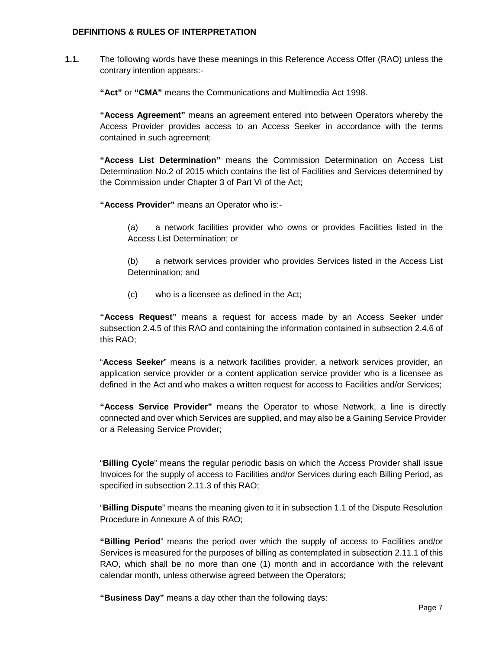### **DEFINITIONS & RULES OF INTERPRETATION**

**1.1.** The following words have these meanings in this Reference Access Offer (RAO) unless the contrary intention appears:-

**"Act"** or **"CMA"** means the Communications and Multimedia Act 1998.

**"Access Agreement"** means an agreement entered into between Operators whereby the Access Provider provides access to an Access Seeker in accordance with the terms contained in such agreement;

**"Access List Determination"** means the Commission Determination on Access List Determination No.2 of 2015 which contains the list of Facilities and Services determined by the Commission under Chapter 3 of Part VI of the Act;

**"Access Provider"** means an Operator who is:-

(a) a network facilities provider who owns or provides Facilities listed in the Access List Determination; or

(b) a network services provider who provides Services listed in the Access List Determination; and

(c) who is a licensee as defined in the Act;

**"Access Request"** means a request for access made by an Access Seeker under subsection 2.4.5 of this RAO and containing the information contained in subsection 2.4.6 of this RAO;

"**Access Seeker**" means is a network facilities provider, a network services provider, an application service provider or a content application service provider who is a licensee as defined in the Act and who makes a written request for access to Facilities and/or Services;

**"Access Service Provider"** means the Operator to whose Network, a line is directly connected and over which Services are supplied, and may also be a Gaining Service Provider or a Releasing Service Provider;

"**Billing Cycle**" means the regular periodic basis on which the Access Provider shall issue Invoices for the supply of access to Facilities and/or Services during each Billing Period, as specified in subsection 2.11.3 of this RAO;

"**Billing Dispute**" means the meaning given to it in subsection 1.1 of the Dispute Resolution Procedure in Annexure A of this RAO;

**"Billing Period**" means the period over which the supply of access to Facilities and/or Services is measured for the purposes of billing as contemplated in subsection 2.11.1 of this RAO, which shall be no more than one (1) month and in accordance with the relevant calendar month, unless otherwise agreed between the Operators;

**"Business Day"** means a day other than the following days: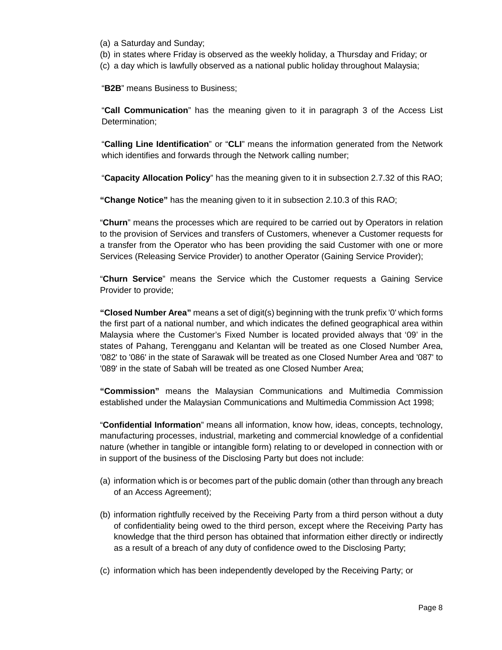- (a) a Saturday and Sunday;
- (b) in states where Friday is observed as the weekly holiday, a Thursday and Friday; or
- (c) a day which is lawfully observed as a national public holiday throughout Malaysia;

"**B2B**" means Business to Business;

"**Call Communication**" has the meaning given to it in paragraph 3 of the Access List Determination;

"**Calling Line Identification**" or "**CLI**" means the information generated from the Network which identifies and forwards through the Network calling number;

"**Capacity Allocation Policy**" has the meaning given to it in subsection 2.7.32 of this RAO;

**"Change Notice"** has the meaning given to it in subsection 2.10.3 of this RAO;

"**Churn**" means the processes which are required to be carried out by Operators in relation to the provision of Services and transfers of Customers, whenever a Customer requests for a transfer from the Operator who has been providing the said Customer with one or more Services (Releasing Service Provider) to another Operator (Gaining Service Provider);

"**Churn Service**" means the Service which the Customer requests a Gaining Service Provider to provide;

**"Closed Number Area"** means a set of digit(s) beginning with the trunk prefix '0' which forms the first part of a national number, and which indicates the defined geographical area within Malaysia where the Customer's Fixed Number is located provided always that '09' in the states of Pahang, Terengganu and Kelantan will be treated as one Closed Number Area, '082' to '086' in the state of Sarawak will be treated as one Closed Number Area and '087' to '089' in the state of Sabah will be treated as one Closed Number Area;

**"Commission"** means the Malaysian Communications and Multimedia Commission established under the Malaysian Communications and Multimedia Commission Act 1998;

"**Confidential Information**" means all information, know how, ideas, concepts, technology, manufacturing processes, industrial, marketing and commercial knowledge of a confidential nature (whether in tangible or intangible form) relating to or developed in connection with or in support of the business of the Disclosing Party but does not include:

- (a) information which is or becomes part of the public domain (other than through any breach of an Access Agreement);
- (b) information rightfully received by the Receiving Party from a third person without a duty of confidentiality being owed to the third person, except where the Receiving Party has knowledge that the third person has obtained that information either directly or indirectly as a result of a breach of any duty of confidence owed to the Disclosing Party;
- (c) information which has been independently developed by the Receiving Party; or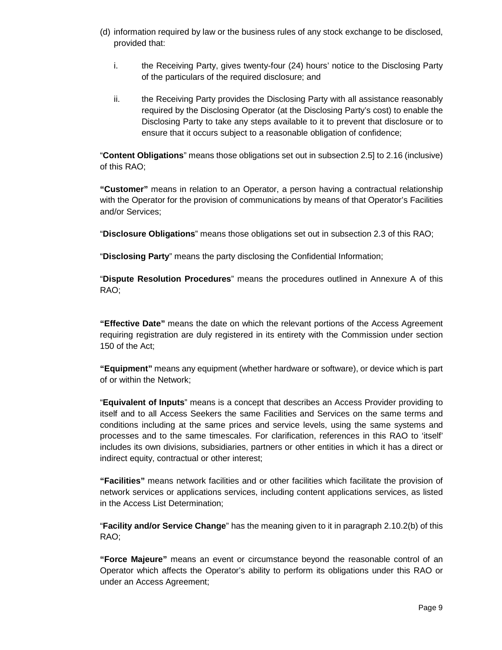- (d) information required by law or the business rules of any stock exchange to be disclosed, provided that:
	- i. the Receiving Party, gives twenty-four (24) hours' notice to the Disclosing Party of the particulars of the required disclosure; and
	- ii. the Receiving Party provides the Disclosing Party with all assistance reasonably required by the Disclosing Operator (at the Disclosing Party's cost) to enable the Disclosing Party to take any steps available to it to prevent that disclosure or to ensure that it occurs subject to a reasonable obligation of confidence;

"**Content Obligations**" means those obligations set out in subsection 2.5] to 2.16 (inclusive) of this RAO;

**"Customer"** means in relation to an Operator, a person having a contractual relationship with the Operator for the provision of communications by means of that Operator's Facilities and/or Services;

"**Disclosure Obligations**" means those obligations set out in subsection 2.3 of this RAO;

"**Disclosing Party**" means the party disclosing the Confidential Information;

"**Dispute Resolution Procedures**" means the procedures outlined in Annexure A of this RAO;

**"Effective Date"** means the date on which the relevant portions of the Access Agreement requiring registration are duly registered in its entirety with the Commission under section 150 of the Act;

**"Equipment"** means any equipment (whether hardware or software), or device which is part of or within the Network;

"**Equivalent of Inputs**" means is a concept that describes an Access Provider providing to itself and to all Access Seekers the same Facilities and Services on the same terms and conditions including at the same prices and service levels, using the same systems and processes and to the same timescales. For clarification, references in this RAO to 'itself' includes its own divisions, subsidiaries, partners or other entities in which it has a direct or indirect equity, contractual or other interest;

**"Facilities"** means network facilities and or other facilities which facilitate the provision of network services or applications services, including content applications services, as listed in the Access List Determination;

"**Facility and/or Service Change**" has the meaning given to it in paragraph 2.10.2(b) of this RAO;

**"Force Majeure"** means an event or circumstance beyond the reasonable control of an Operator which affects the Operator's ability to perform its obligations under this RAO or under an Access Agreement;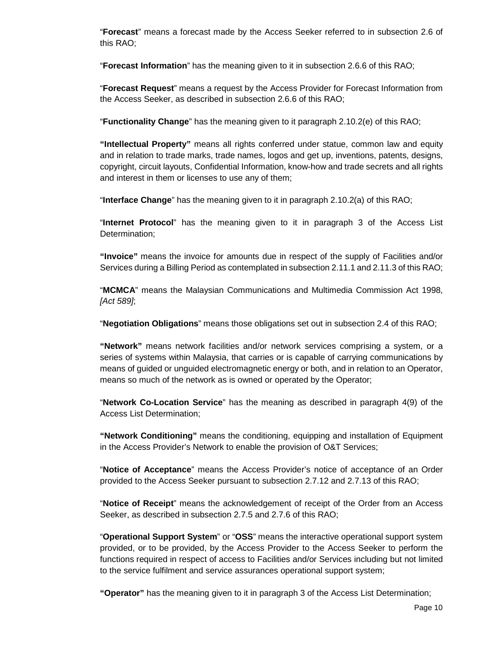"**Forecast**" means a forecast made by the Access Seeker referred to in subsection 2.6 of this RAO;

"**Forecast Information**" has the meaning given to it in subsection 2.6.6 of this RAO;

"**Forecast Request**" means a request by the Access Provider for Forecast Information from the Access Seeker, as described in subsection 2.6.6 of this RAO;

"**Functionality Change**" has the meaning given to it paragraph 2.10.2(e) of this RAO;

**"Intellectual Property"** means all rights conferred under statue, common law and equity and in relation to trade marks, trade names, logos and get up, inventions, patents, designs, copyright, circuit layouts, Confidential Information, know-how and trade secrets and all rights and interest in them or licenses to use any of them;

"**Interface Change**" has the meaning given to it in paragraph 2.10.2(a) of this RAO;

"**Internet Protocol**" has the meaning given to it in paragraph 3 of the Access List Determination;

**"Invoice"** means the invoice for amounts due in respect of the supply of Facilities and/or Services during a Billing Period as contemplated in subsection 2.11.1 and 2.11.3 of this RAO;

"**MCMCA**" means the Malaysian Communications and Multimedia Commission Act 1998, [Act 589];

"**Negotiation Obligations**" means those obligations set out in subsection 2.4 of this RAO;

**"Network"** means network facilities and/or network services comprising a system, or a series of systems within Malaysia, that carries or is capable of carrying communications by means of guided or unguided electromagnetic energy or both, and in relation to an Operator, means so much of the network as is owned or operated by the Operator;

"**Network Co-Location Service**" has the meaning as described in paragraph 4(9) of the Access List Determination;

**"Network Conditioning"** means the conditioning, equipping and installation of Equipment in the Access Provider's Network to enable the provision of O&T Services;

"**Notice of Acceptance**" means the Access Provider's notice of acceptance of an Order provided to the Access Seeker pursuant to subsection 2.7.12 and 2.7.13 of this RAO;

"**Notice of Receipt**" means the acknowledgement of receipt of the Order from an Access Seeker, as described in subsection 2.7.5 and 2.7.6 of this RAO;

"**Operational Support System**" or "**OSS**" means the interactive operational support system provided, or to be provided, by the Access Provider to the Access Seeker to perform the functions required in respect of access to Facilities and/or Services including but not limited to the service fulfilment and service assurances operational support system;

**"Operator"** has the meaning given to it in paragraph 3 of the Access List Determination;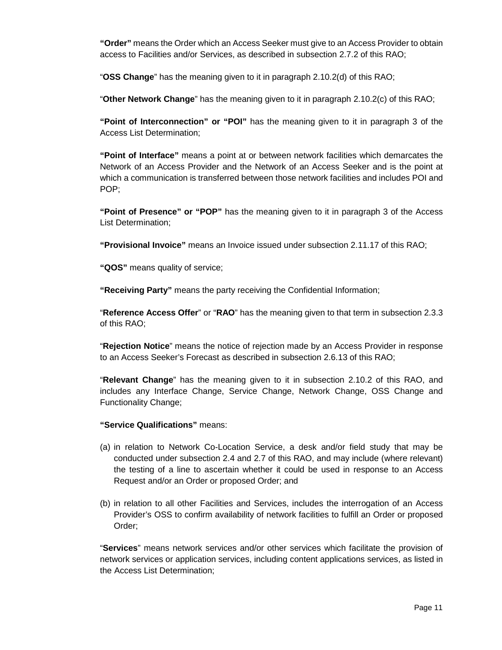**"Order"** means the Order which an Access Seeker must give to an Access Provider to obtain access to Facilities and/or Services, as described in subsection 2.7.2 of this RAO;

"**OSS Change**" has the meaning given to it in paragraph 2.10.2(d) of this RAO;

"**Other Network Change**" has the meaning given to it in paragraph 2.10.2(c) of this RAO;

**"Point of Interconnection" or "POI"** has the meaning given to it in paragraph 3 of the Access List Determination;

**"Point of Interface"** means a point at or between network facilities which demarcates the Network of an Access Provider and the Network of an Access Seeker and is the point at which a communication is transferred between those network facilities and includes POI and POP;

**"Point of Presence" or "POP"** has the meaning given to it in paragraph 3 of the Access List Determination;

**"Provisional Invoice"** means an Invoice issued under subsection 2.11.17 of this RAO;

**"QOS"** means quality of service;

**"Receiving Party"** means the party receiving the Confidential Information;

"**Reference Access Offer**" or "**RAO**" has the meaning given to that term in subsection 2.3.3 of this RAO;

"**Rejection Notice**" means the notice of rejection made by an Access Provider in response to an Access Seeker's Forecast as described in subsection 2.6.13 of this RAO;

"**Relevant Change**" has the meaning given to it in subsection 2.10.2 of this RAO, and includes any Interface Change, Service Change, Network Change, OSS Change and Functionality Change;

**"Service Qualifications"** means:

- (a) in relation to Network Co-Location Service, a desk and/or field study that may be conducted under subsection 2.4 and 2.7 of this RAO, and may include (where relevant) the testing of a line to ascertain whether it could be used in response to an Access Request and/or an Order or proposed Order; and
- (b) in relation to all other Facilities and Services, includes the interrogation of an Access Provider's OSS to confirm availability of network facilities to fulfill an Order or proposed Order;

"**Services**" means network services and/or other services which facilitate the provision of network services or application services, including content applications services, as listed in the Access List Determination;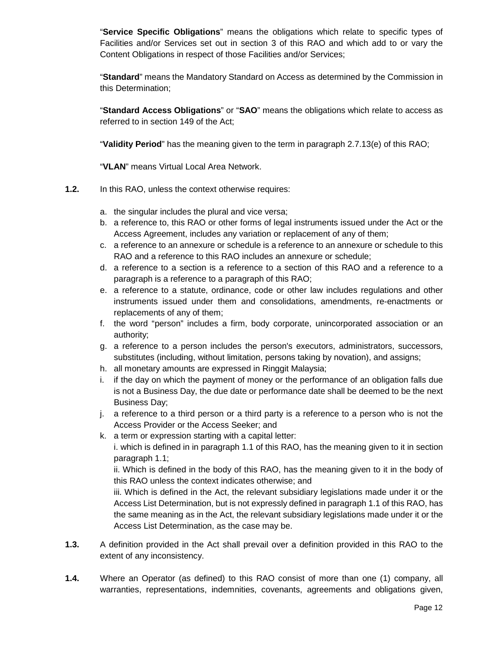"**Service Specific Obligations**" means the obligations which relate to specific types of Facilities and/or Services set out in section 3 of this RAO and which add to or vary the Content Obligations in respect of those Facilities and/or Services;

"**Standard**" means the Mandatory Standard on Access as determined by the Commission in this Determination;

"**Standard Access Obligations**" or "**SAO**" means the obligations which relate to access as referred to in section 149 of the Act;

"**Validity Period**" has the meaning given to the term in paragraph 2.7.13(e) of this RAO;

"**VLAN**" means Virtual Local Area Network.

- **1.2.** In this RAO, unless the context otherwise requires:
	- a. the singular includes the plural and vice versa;
	- b. a reference to, this RAO or other forms of legal instruments issued under the Act or the Access Agreement, includes any variation or replacement of any of them;
	- c. a reference to an annexure or schedule is a reference to an annexure or schedule to this RAO and a reference to this RAO includes an annexure or schedule;
	- d. a reference to a section is a reference to a section of this RAO and a reference to a paragraph is a reference to a paragraph of this RAO;
	- e. a reference to a statute, ordinance, code or other law includes regulations and other instruments issued under them and consolidations, amendments, re-enactments or replacements of any of them;
	- f. the word "person" includes a firm, body corporate, unincorporated association or an authority;
	- g. a reference to a person includes the person's executors, administrators, successors, substitutes (including, without limitation, persons taking by novation), and assigns;
	- h. all monetary amounts are expressed in Ringgit Malaysia;
	- i. if the day on which the payment of money or the performance of an obligation falls due is not a Business Day, the due date or performance date shall be deemed to be the next Business Day;
	- j. a reference to a third person or a third party is a reference to a person who is not the Access Provider or the Access Seeker; and
	- k. a term or expression starting with a capital letter: i. which is defined in in paragraph 1.1 of this RAO, has the meaning given to it in section paragraph 1.1;

ii. Which is defined in the body of this RAO, has the meaning given to it in the body of this RAO unless the context indicates otherwise; and

iii. Which is defined in the Act, the relevant subsidiary legislations made under it or the Access List Determination, but is not expressly defined in paragraph 1.1 of this RAO, has the same meaning as in the Act, the relevant subsidiary legislations made under it or the Access List Determination, as the case may be.

- **1.3.** A definition provided in the Act shall prevail over a definition provided in this RAO to the extent of any inconsistency.
- **1.4.** Where an Operator (as defined) to this RAO consist of more than one (1) company, all warranties, representations, indemnities, covenants, agreements and obligations given,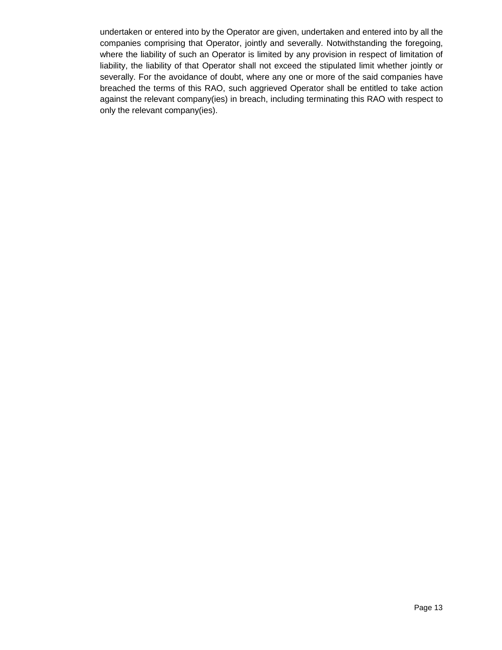undertaken or entered into by the Operator are given, undertaken and entered into by all the companies comprising that Operator, jointly and severally. Notwithstanding the foregoing, where the liability of such an Operator is limited by any provision in respect of limitation of liability, the liability of that Operator shall not exceed the stipulated limit whether jointly or severally. For the avoidance of doubt, where any one or more of the said companies have breached the terms of this RAO, such aggrieved Operator shall be entitled to take action against the relevant company(ies) in breach, including terminating this RAO with respect to only the relevant company(ies).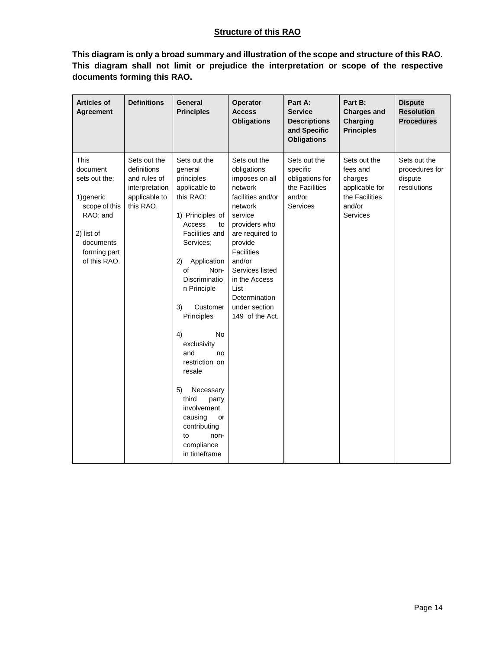## **Structure of this RAO**

**This diagram is only a broad summary and illustration of the scope and structure of this RAO. This diagram shall not limit or prejudice the interpretation or scope of the respective documents forming this RAO.** 

| <b>Articles of</b><br>Agreement                                                                                                         | <b>Definitions</b>                                                                          | General<br><b>Principles</b>                                                                                                                                                                                                                                                                                                                                                                                                                          | Operator<br><b>Access</b><br><b>Obligations</b>                                                                                                                                                                                                                                    | Part A:<br><b>Service</b><br><b>Descriptions</b><br>and Specific<br><b>Obligations</b> | Part B:<br><b>Charges and</b><br><b>Charging</b><br><b>Principles</b>                                | <b>Dispute</b><br><b>Resolution</b><br><b>Procedures</b> |
|-----------------------------------------------------------------------------------------------------------------------------------------|---------------------------------------------------------------------------------------------|-------------------------------------------------------------------------------------------------------------------------------------------------------------------------------------------------------------------------------------------------------------------------------------------------------------------------------------------------------------------------------------------------------------------------------------------------------|------------------------------------------------------------------------------------------------------------------------------------------------------------------------------------------------------------------------------------------------------------------------------------|----------------------------------------------------------------------------------------|------------------------------------------------------------------------------------------------------|----------------------------------------------------------|
| This<br>document<br>sets out the:<br>1) generic<br>scope of this<br>RAO; and<br>2) list of<br>documents<br>forming part<br>of this RAO. | Sets out the<br>definitions<br>and rules of<br>interpretation<br>applicable to<br>this RAO. | Sets out the<br>general<br>principles<br>applicable to<br>this RAO:<br>1) Principles of<br>Access<br>to<br>Facilities and<br>Services;<br>Application<br>2)<br>of<br>Non-<br>Discriminatio<br>n Principle<br>3)<br>Customer<br>Principles<br><b>No</b><br>4)<br>exclusivity<br>and<br>no<br>restriction on<br>resale<br>5)<br>Necessary<br>third<br>party<br>involvement<br>causing<br>or<br>contributing<br>to<br>non-<br>compliance<br>in timeframe | Sets out the<br>obligations<br>imposes on all<br>network<br>facilities and/or<br>network<br>service<br>providers who<br>are required to<br>provide<br><b>Facilities</b><br>and/or<br>Services listed<br>in the Access<br>List<br>Determination<br>under section<br>149 of the Act. | Sets out the<br>specific<br>obligations for<br>the Facilities<br>and/or<br>Services    | Sets out the<br>fees and<br>charges<br>applicable for<br>the Facilities<br>and/or<br><b>Services</b> | Sets out the<br>procedures for<br>dispute<br>resolutions |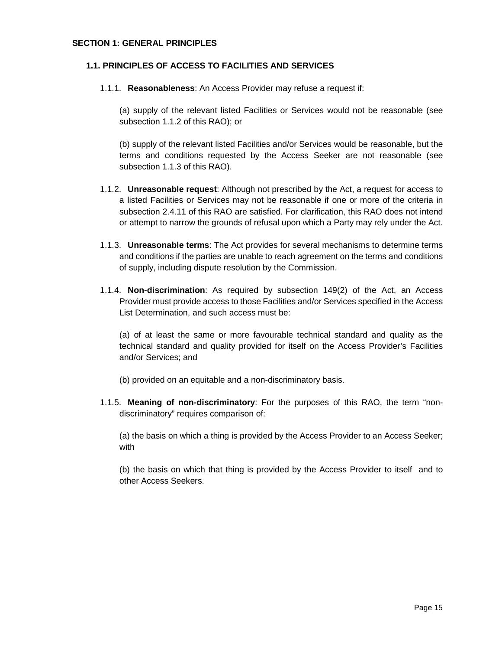### **SECTION 1: GENERAL PRINCIPLES**

### **1.1. PRINCIPLES OF ACCESS TO FACILITIES AND SERVICES**

1.1.1. **Reasonableness**: An Access Provider may refuse a request if:

(a) supply of the relevant listed Facilities or Services would not be reasonable (see subsection 1.1.2 of this RAO); or

(b) supply of the relevant listed Facilities and/or Services would be reasonable, but the terms and conditions requested by the Access Seeker are not reasonable (see subsection 1.1.3 of this RAO).

- 1.1.2. **Unreasonable request**: Although not prescribed by the Act, a request for access to a listed Facilities or Services may not be reasonable if one or more of the criteria in subsection 2.4.11 of this RAO are satisfied. For clarification, this RAO does not intend or attempt to narrow the grounds of refusal upon which a Party may rely under the Act.
- 1.1.3. **Unreasonable terms**: The Act provides for several mechanisms to determine terms and conditions if the parties are unable to reach agreement on the terms and conditions of supply, including dispute resolution by the Commission.
- 1.1.4. **Non-discrimination**: As required by subsection 149(2) of the Act, an Access Provider must provide access to those Facilities and/or Services specified in the Access List Determination, and such access must be:

(a) of at least the same or more favourable technical standard and quality as the technical standard and quality provided for itself on the Access Provider's Facilities and/or Services; and

(b) provided on an equitable and a non-discriminatory basis.

1.1.5. **Meaning of non-discriminatory**: For the purposes of this RAO, the term "nondiscriminatory" requires comparison of:

(a) the basis on which a thing is provided by the Access Provider to an Access Seeker; with

(b) the basis on which that thing is provided by the Access Provider to itself and to other Access Seekers.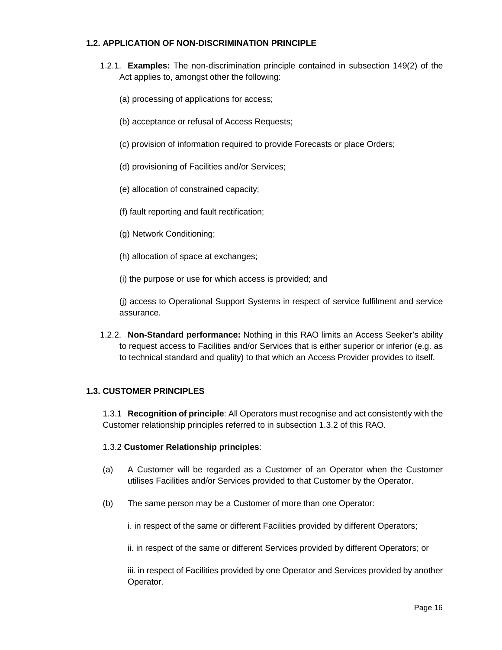## **1.2. APPLICATION OF NON-DISCRIMINATION PRINCIPLE**

- 1.2.1. **Examples:** The non-discrimination principle contained in subsection 149(2) of the Act applies to, amongst other the following:
	- (a) processing of applications for access;
	- (b) acceptance or refusal of Access Requests;
	- (c) provision of information required to provide Forecasts or place Orders;
	- (d) provisioning of Facilities and/or Services;
	- (e) allocation of constrained capacity;
	- (f) fault reporting and fault rectification;
	- (g) Network Conditioning;
	- (h) allocation of space at exchanges;

(i) the purpose or use for which access is provided; and

(j) access to Operational Support Systems in respect of service fulfilment and service assurance.

1.2.2. **Non-Standard performance:** Nothing in this RAO limits an Access Seeker's ability to request access to Facilities and/or Services that is either superior or inferior (e.g. as to technical standard and quality) to that which an Access Provider provides to itself.

## **1.3. CUSTOMER PRINCIPLES**

1.3.1 **Recognition of principle**: All Operators must recognise and act consistently with the Customer relationship principles referred to in subsection 1.3.2 of this RAO.

## 1.3.2 **Customer Relationship principles**:

- (a) A Customer will be regarded as a Customer of an Operator when the Customer utilises Facilities and/or Services provided to that Customer by the Operator.
- (b) The same person may be a Customer of more than one Operator:

i. in respect of the same or different Facilities provided by different Operators;

ii. in respect of the same or different Services provided by different Operators; or

iii. in respect of Facilities provided by one Operator and Services provided by another Operator.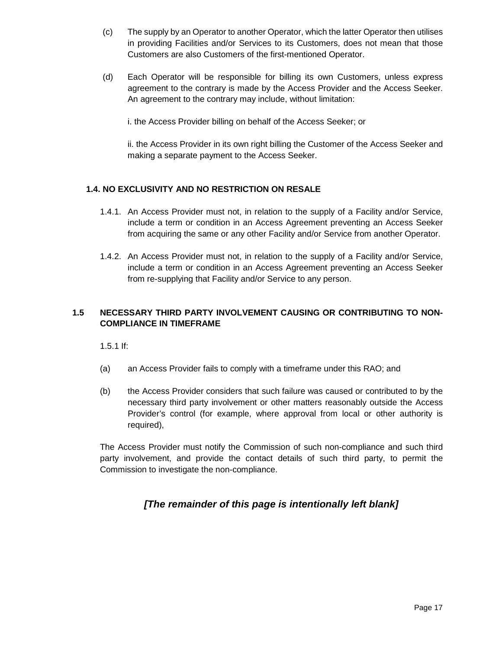- (c) The supply by an Operator to another Operator, which the latter Operator then utilises in providing Facilities and/or Services to its Customers, does not mean that those Customers are also Customers of the first-mentioned Operator.
- (d) Each Operator will be responsible for billing its own Customers, unless express agreement to the contrary is made by the Access Provider and the Access Seeker. An agreement to the contrary may include, without limitation:

i. the Access Provider billing on behalf of the Access Seeker; or

ii. the Access Provider in its own right billing the Customer of the Access Seeker and making a separate payment to the Access Seeker.

## **1.4. NO EXCLUSIVITY AND NO RESTRICTION ON RESALE**

- 1.4.1. An Access Provider must not, in relation to the supply of a Facility and/or Service, include a term or condition in an Access Agreement preventing an Access Seeker from acquiring the same or any other Facility and/or Service from another Operator.
- 1.4.2. An Access Provider must not, in relation to the supply of a Facility and/or Service, include a term or condition in an Access Agreement preventing an Access Seeker from re-supplying that Facility and/or Service to any person.

## **1.5 NECESSARY THIRD PARTY INVOLVEMENT CAUSING OR CONTRIBUTING TO NON-COMPLIANCE IN TIMEFRAME**

1.5.1 If:

- (a) an Access Provider fails to comply with a timeframe under this RAO; and
- (b) the Access Provider considers that such failure was caused or contributed to by the necessary third party involvement or other matters reasonably outside the Access Provider's control (for example, where approval from local or other authority is required),

The Access Provider must notify the Commission of such non-compliance and such third party involvement, and provide the contact details of such third party, to permit the Commission to investigate the non-compliance.

## **[The remainder of this page is intentionally left blank]**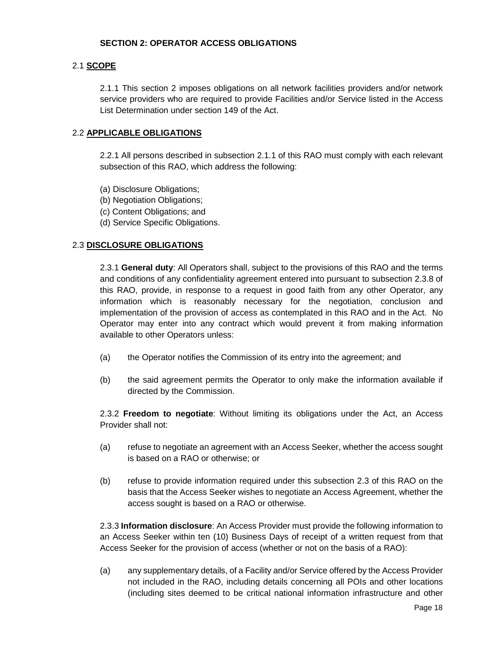### **SECTION 2: OPERATOR ACCESS OBLIGATIONS**

### 2.1 **SCOPE**

2.1.1 This section 2 imposes obligations on all network facilities providers and/or network service providers who are required to provide Facilities and/or Service listed in the Access List Determination under section 149 of the Act.

### 2.2 **APPLICABLE OBLIGATIONS**

2.2.1 All persons described in subsection 2.1.1 of this RAO must comply with each relevant subsection of this RAO, which address the following:

- (a) Disclosure Obligations;
- (b) Negotiation Obligations;
- (c) Content Obligations; and
- (d) Service Specific Obligations.

### 2.3 **DISCLOSURE OBLIGATIONS**

2.3.1 **General duty**: All Operators shall, subject to the provisions of this RAO and the terms and conditions of any confidentiality agreement entered into pursuant to subsection 2.3.8 of this RAO, provide, in response to a request in good faith from any other Operator, any information which is reasonably necessary for the negotiation, conclusion and implementation of the provision of access as contemplated in this RAO and in the Act. No Operator may enter into any contract which would prevent it from making information available to other Operators unless:

- (a) the Operator notifies the Commission of its entry into the agreement; and
- (b) the said agreement permits the Operator to only make the information available if directed by the Commission.

2.3.2 **Freedom to negotiate**: Without limiting its obligations under the Act, an Access Provider shall not:

- (a) refuse to negotiate an agreement with an Access Seeker, whether the access sought is based on a RAO or otherwise; or
- (b) refuse to provide information required under this subsection 2.3 of this RAO on the basis that the Access Seeker wishes to negotiate an Access Agreement, whether the access sought is based on a RAO or otherwise.

2.3.3 **Information disclosure**: An Access Provider must provide the following information to an Access Seeker within ten (10) Business Days of receipt of a written request from that Access Seeker for the provision of access (whether or not on the basis of a RAO):

(a) any supplementary details, of a Facility and/or Service offered by the Access Provider not included in the RAO, including details concerning all POIs and other locations (including sites deemed to be critical national information infrastructure and other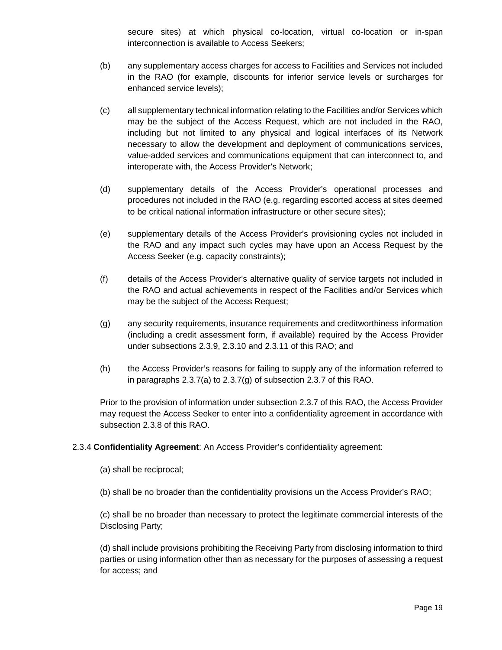secure sites) at which physical co-location, virtual co-location or in-span interconnection is available to Access Seekers;

- (b) any supplementary access charges for access to Facilities and Services not included in the RAO (for example, discounts for inferior service levels or surcharges for enhanced service levels);
- (c) all supplementary technical information relating to the Facilities and/or Services which may be the subject of the Access Request, which are not included in the RAO, including but not limited to any physical and logical interfaces of its Network necessary to allow the development and deployment of communications services, value-added services and communications equipment that can interconnect to, and interoperate with, the Access Provider's Network;
- (d) supplementary details of the Access Provider's operational processes and procedures not included in the RAO (e.g. regarding escorted access at sites deemed to be critical national information infrastructure or other secure sites);
- (e) supplementary details of the Access Provider's provisioning cycles not included in the RAO and any impact such cycles may have upon an Access Request by the Access Seeker (e.g. capacity constraints);
- (f) details of the Access Provider's alternative quality of service targets not included in the RAO and actual achievements in respect of the Facilities and/or Services which may be the subject of the Access Request;
- (g) any security requirements, insurance requirements and creditworthiness information (including a credit assessment form, if available) required by the Access Provider under subsections 2.3.9, 2.3.10 and 2.3.11 of this RAO; and
- (h) the Access Provider's reasons for failing to supply any of the information referred to in paragraphs 2.3.7(a) to 2.3.7(g) of subsection 2.3.7 of this RAO.

Prior to the provision of information under subsection 2.3.7 of this RAO, the Access Provider may request the Access Seeker to enter into a confidentiality agreement in accordance with subsection 2.3.8 of this RAO.

## 2.3.4 **Confidentiality Agreement**: An Access Provider's confidentiality agreement:

- (a) shall be reciprocal;
- (b) shall be no broader than the confidentiality provisions un the Access Provider's RAO;

(c) shall be no broader than necessary to protect the legitimate commercial interests of the Disclosing Party;

(d) shall include provisions prohibiting the Receiving Party from disclosing information to third parties or using information other than as necessary for the purposes of assessing a request for access; and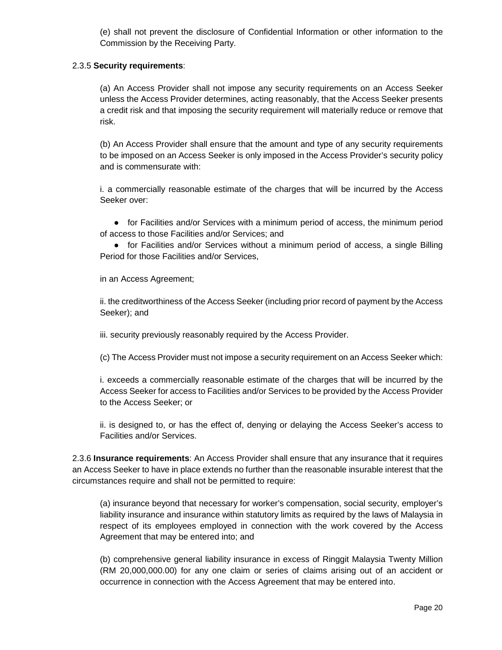(e) shall not prevent the disclosure of Confidential Information or other information to the Commission by the Receiving Party.

### 2.3.5 **Security requirements**:

(a) An Access Provider shall not impose any security requirements on an Access Seeker unless the Access Provider determines, acting reasonably, that the Access Seeker presents a credit risk and that imposing the security requirement will materially reduce or remove that risk.

(b) An Access Provider shall ensure that the amount and type of any security requirements to be imposed on an Access Seeker is only imposed in the Access Provider's security policy and is commensurate with:

i. a commercially reasonable estimate of the charges that will be incurred by the Access Seeker over:

• for Facilities and/or Services with a minimum period of access, the minimum period of access to those Facilities and/or Services; and

• for Facilities and/or Services without a minimum period of access, a single Billing Period for those Facilities and/or Services,

in an Access Agreement;

ii. the creditworthiness of the Access Seeker (including prior record of payment by the Access Seeker); and

iii. security previously reasonably required by the Access Provider.

(c) The Access Provider must not impose a security requirement on an Access Seeker which:

i. exceeds a commercially reasonable estimate of the charges that will be incurred by the Access Seeker for access to Facilities and/or Services to be provided by the Access Provider to the Access Seeker; or

ii. is designed to, or has the effect of, denying or delaying the Access Seeker's access to Facilities and/or Services.

2.3.6 **Insurance requirements**: An Access Provider shall ensure that any insurance that it requires an Access Seeker to have in place extends no further than the reasonable insurable interest that the circumstances require and shall not be permitted to require:

(a) insurance beyond that necessary for worker's compensation, social security, employer's liability insurance and insurance within statutory limits as required by the laws of Malaysia in respect of its employees employed in connection with the work covered by the Access Agreement that may be entered into; and

(b) comprehensive general liability insurance in excess of Ringgit Malaysia Twenty Million (RM 20,000,000.00) for any one claim or series of claims arising out of an accident or occurrence in connection with the Access Agreement that may be entered into.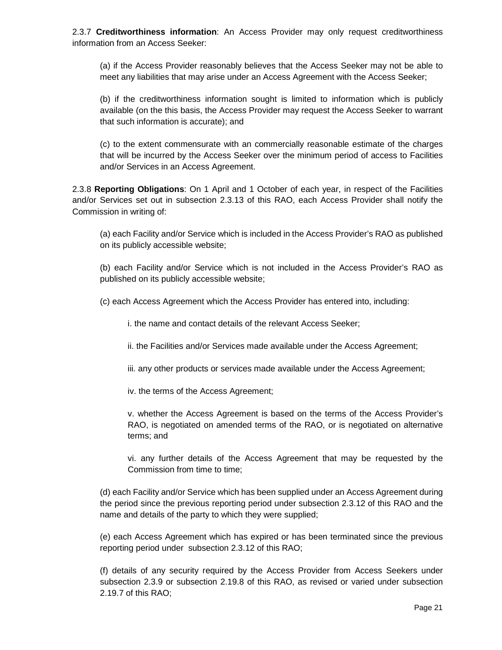2.3.7 **Creditworthiness information**: An Access Provider may only request creditworthiness information from an Access Seeker:

(a) if the Access Provider reasonably believes that the Access Seeker may not be able to meet any liabilities that may arise under an Access Agreement with the Access Seeker;

(b) if the creditworthiness information sought is limited to information which is publicly available (on the this basis, the Access Provider may request the Access Seeker to warrant that such information is accurate); and

(c) to the extent commensurate with an commercially reasonable estimate of the charges that will be incurred by the Access Seeker over the minimum period of access to Facilities and/or Services in an Access Agreement.

2.3.8 **Reporting Obligations**: On 1 April and 1 October of each year, in respect of the Facilities and/or Services set out in subsection 2.3.13 of this RAO, each Access Provider shall notify the Commission in writing of:

(a) each Facility and/or Service which is included in the Access Provider's RAO as published on its publicly accessible website;

(b) each Facility and/or Service which is not included in the Access Provider's RAO as published on its publicly accessible website;

(c) each Access Agreement which the Access Provider has entered into, including:

i. the name and contact details of the relevant Access Seeker;

ii. the Facilities and/or Services made available under the Access Agreement;

iii. any other products or services made available under the Access Agreement;

iv. the terms of the Access Agreement;

v. whether the Access Agreement is based on the terms of the Access Provider's RAO, is negotiated on amended terms of the RAO, or is negotiated on alternative terms; and

vi. any further details of the Access Agreement that may be requested by the Commission from time to time;

(d) each Facility and/or Service which has been supplied under an Access Agreement during the period since the previous reporting period under subsection 2.3.12 of this RAO and the name and details of the party to which they were supplied;

(e) each Access Agreement which has expired or has been terminated since the previous reporting period under subsection 2.3.12 of this RAO;

(f) details of any security required by the Access Provider from Access Seekers under subsection 2.3.9 or subsection 2.19.8 of this RAO, as revised or varied under subsection 2.19.7 of this RAO;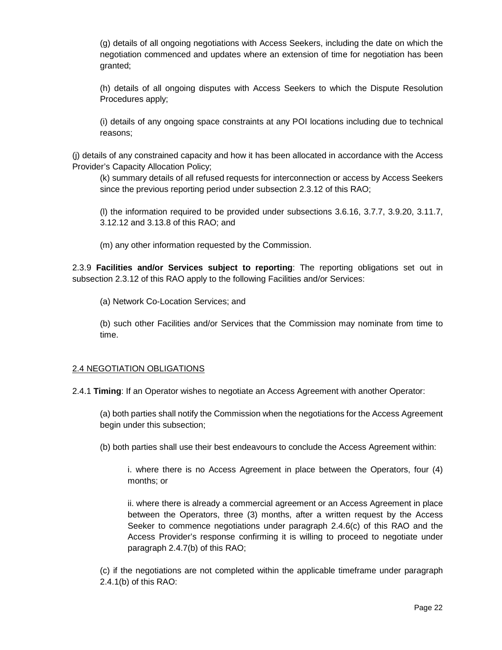(g) details of all ongoing negotiations with Access Seekers, including the date on which the negotiation commenced and updates where an extension of time for negotiation has been granted;

(h) details of all ongoing disputes with Access Seekers to which the Dispute Resolution Procedures apply;

(i) details of any ongoing space constraints at any POI locations including due to technical reasons;

(j) details of any constrained capacity and how it has been allocated in accordance with the Access Provider's Capacity Allocation Policy;

(k) summary details of all refused requests for interconnection or access by Access Seekers since the previous reporting period under subsection 2.3.12 of this RAO;

(l) the information required to be provided under subsections 3.6.16, 3.7.7, 3.9.20, 3.11.7, 3.12.12 and 3.13.8 of this RAO; and

(m) any other information requested by the Commission.

2.3.9 **Facilities and/or Services subject to reporting**: The reporting obligations set out in subsection 2.3.12 of this RAO apply to the following Facilities and/or Services:

(a) Network Co-Location Services; and

(b) such other Facilities and/or Services that the Commission may nominate from time to time.

## 2.4 NEGOTIATION OBLIGATIONS

2.4.1 **Timing**: If an Operator wishes to negotiate an Access Agreement with another Operator:

(a) both parties shall notify the Commission when the negotiations for the Access Agreement begin under this subsection;

(b) both parties shall use their best endeavours to conclude the Access Agreement within:

i. where there is no Access Agreement in place between the Operators, four (4) months; or

ii. where there is already a commercial agreement or an Access Agreement in place between the Operators, three (3) months, after a written request by the Access Seeker to commence negotiations under paragraph 2.4.6(c) of this RAO and the Access Provider's response confirming it is willing to proceed to negotiate under paragraph 2.4.7(b) of this RAO;

(c) if the negotiations are not completed within the applicable timeframe under paragraph 2.4.1(b) of this RAO: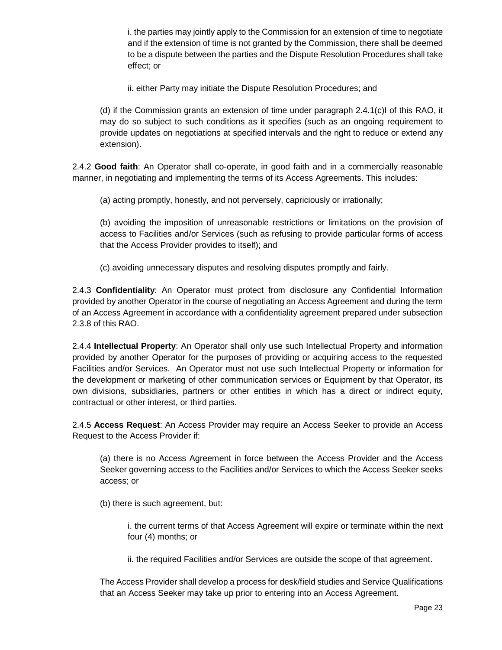i. the parties may jointly apply to the Commission for an extension of time to negotiate and if the extension of time is not granted by the Commission, there shall be deemed to be a dispute between the parties and the Dispute Resolution Procedures shall take effect; or

ii. either Party may initiate the Dispute Resolution Procedures; and

(d) if the Commission grants an extension of time under paragraph 2.4.1(c)I of this RAO, it may do so subject to such conditions as it specifies (such as an ongoing requirement to provide updates on negotiations at specified intervals and the right to reduce or extend any extension).

2.4.2 **Good faith**: An Operator shall co-operate, in good faith and in a commercially reasonable manner, in negotiating and implementing the terms of its Access Agreements. This includes:

(a) acting promptly, honestly, and not perversely, capriciously or irrationally;

(b) avoiding the imposition of unreasonable restrictions or limitations on the provision of access to Facilities and/or Services (such as refusing to provide particular forms of access that the Access Provider provides to itself); and

(c) avoiding unnecessary disputes and resolving disputes promptly and fairly.

2.4.3 **Confidentiality**: An Operator must protect from disclosure any Confidential Information provided by another Operator in the course of negotiating an Access Agreement and during the term of an Access Agreement in accordance with a confidentiality agreement prepared under subsection 2.3.8 of this RAO.

2.4.4 **Intellectual Property**: An Operator shall only use such Intellectual Property and information provided by another Operator for the purposes of providing or acquiring access to the requested Facilities and/or Services. An Operator must not use such Intellectual Property or information for the development or marketing of other communication services or Equipment by that Operator, its own divisions, subsidiaries, partners or other entities in which has a direct or indirect equity, contractual or other interest, or third parties.

2.4.5 **Access Request**: An Access Provider may require an Access Seeker to provide an Access Request to the Access Provider if:

(a) there is no Access Agreement in force between the Access Provider and the Access Seeker governing access to the Facilities and/or Services to which the Access Seeker seeks access; or

(b) there is such agreement, but:

i. the current terms of that Access Agreement will expire or terminate within the next four (4) months; or

ii. the required Facilities and/or Services are outside the scope of that agreement.

The Access Provider shall develop a process for desk/field studies and Service Qualifications that an Access Seeker may take up prior to entering into an Access Agreement.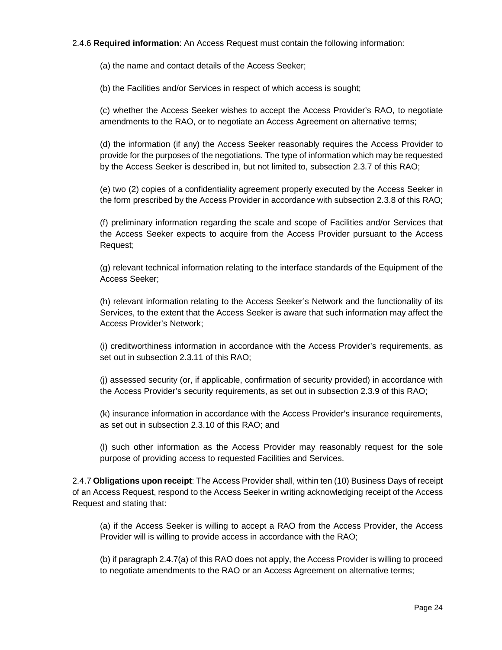## 2.4.6 **Required information**: An Access Request must contain the following information:

(a) the name and contact details of the Access Seeker;

(b) the Facilities and/or Services in respect of which access is sought;

(c) whether the Access Seeker wishes to accept the Access Provider's RAO, to negotiate amendments to the RAO, or to negotiate an Access Agreement on alternative terms;

(d) the information (if any) the Access Seeker reasonably requires the Access Provider to provide for the purposes of the negotiations. The type of information which may be requested by the Access Seeker is described in, but not limited to, subsection 2.3.7 of this RAO;

(e) two (2) copies of a confidentiality agreement properly executed by the Access Seeker in the form prescribed by the Access Provider in accordance with subsection 2.3.8 of this RAO;

(f) preliminary information regarding the scale and scope of Facilities and/or Services that the Access Seeker expects to acquire from the Access Provider pursuant to the Access Request;

(g) relevant technical information relating to the interface standards of the Equipment of the Access Seeker;

(h) relevant information relating to the Access Seeker's Network and the functionality of its Services, to the extent that the Access Seeker is aware that such information may affect the Access Provider's Network;

(i) creditworthiness information in accordance with the Access Provider's requirements, as set out in subsection 2.3.11 of this RAO;

(j) assessed security (or, if applicable, confirmation of security provided) in accordance with the Access Provider's security requirements, as set out in subsection 2.3.9 of this RAO;

(k) insurance information in accordance with the Access Provider's insurance requirements, as set out in subsection 2.3.10 of this RAO; and

(l) such other information as the Access Provider may reasonably request for the sole purpose of providing access to requested Facilities and Services.

2.4.7 **Obligations upon receipt**: The Access Provider shall, within ten (10) Business Days of receipt of an Access Request, respond to the Access Seeker in writing acknowledging receipt of the Access Request and stating that:

(a) if the Access Seeker is willing to accept a RAO from the Access Provider, the Access Provider will is willing to provide access in accordance with the RAO;

(b) if paragraph 2.4.7(a) of this RAO does not apply, the Access Provider is willing to proceed to negotiate amendments to the RAO or an Access Agreement on alternative terms;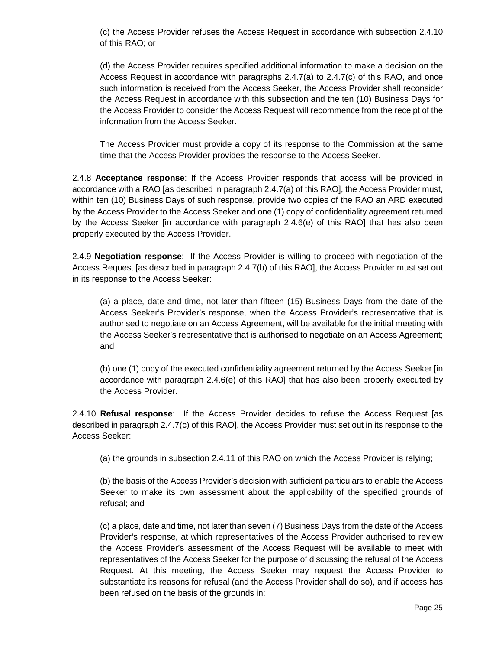(c) the Access Provider refuses the Access Request in accordance with subsection 2.4.10 of this RAO; or

(d) the Access Provider requires specified additional information to make a decision on the Access Request in accordance with paragraphs  $2.4.7(a)$  to  $2.4.7(c)$  of this RAO, and once such information is received from the Access Seeker, the Access Provider shall reconsider the Access Request in accordance with this subsection and the ten (10) Business Days for the Access Provider to consider the Access Request will recommence from the receipt of the information from the Access Seeker.

The Access Provider must provide a copy of its response to the Commission at the same time that the Access Provider provides the response to the Access Seeker.

2.4.8 **Acceptance response**: If the Access Provider responds that access will be provided in accordance with a RAO [as described in paragraph 2.4.7(a) of this RAO], the Access Provider must, within ten (10) Business Days of such response, provide two copies of the RAO an ARD executed by the Access Provider to the Access Seeker and one (1) copy of confidentiality agreement returned by the Access Seeker [in accordance with paragraph 2.4.6(e) of this RAO] that has also been properly executed by the Access Provider.

2.4.9 **Negotiation response**: If the Access Provider is willing to proceed with negotiation of the Access Request [as described in paragraph 2.4.7(b) of this RAO], the Access Provider must set out in its response to the Access Seeker:

(a) a place, date and time, not later than fifteen (15) Business Days from the date of the Access Seeker's Provider's response, when the Access Provider's representative that is authorised to negotiate on an Access Agreement, will be available for the initial meeting with the Access Seeker's representative that is authorised to negotiate on an Access Agreement; and

(b) one (1) copy of the executed confidentiality agreement returned by the Access Seeker [in accordance with paragraph 2.4.6(e) of this RAO] that has also been properly executed by the Access Provider.

2.4.10 **Refusal response**: If the Access Provider decides to refuse the Access Request [as described in paragraph 2.4.7(c) of this RAO], the Access Provider must set out in its response to the Access Seeker:

(a) the grounds in subsection 2.4.11 of this RAO on which the Access Provider is relying;

(b) the basis of the Access Provider's decision with sufficient particulars to enable the Access Seeker to make its own assessment about the applicability of the specified grounds of refusal; and

(c) a place, date and time, not later than seven (7) Business Days from the date of the Access Provider's response, at which representatives of the Access Provider authorised to review the Access Provider's assessment of the Access Request will be available to meet with representatives of the Access Seeker for the purpose of discussing the refusal of the Access Request. At this meeting, the Access Seeker may request the Access Provider to substantiate its reasons for refusal (and the Access Provider shall do so), and if access has been refused on the basis of the grounds in: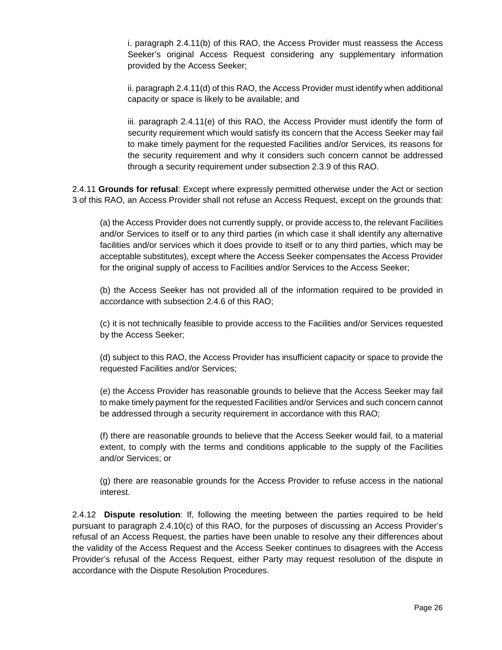i. paragraph 2.4.11(b) of this RAO, the Access Provider must reassess the Access Seeker's original Access Request considering any supplementary information provided by the Access Seeker;

ii. paragraph 2.4.11(d) of this RAO, the Access Provider must identify when additional capacity or space is likely to be available; and

iii. paragraph 2.4.11(e) of this RAO, the Access Provider must identify the form of security requirement which would satisfy its concern that the Access Seeker may fail to make timely payment for the requested Facilities and/or Services, its reasons for the security requirement and why it considers such concern cannot be addressed through a security requirement under subsection 2.3.9 of this RAO.

2.4.11 **Grounds for refusal**: Except where expressly permitted otherwise under the Act or section 3 of this RAO, an Access Provider shall not refuse an Access Request, except on the grounds that:

(a) the Access Provider does not currently supply, or provide access to, the relevant Facilities and/or Services to itself or to any third parties (in which case it shall identify any alternative facilities and/or services which it does provide to itself or to any third parties, which may be acceptable substitutes), except where the Access Seeker compensates the Access Provider for the original supply of access to Facilities and/or Services to the Access Seeker;

(b) the Access Seeker has not provided all of the information required to be provided in accordance with subsection 2.4.6 of this RAO;

(c) it is not technically feasible to provide access to the Facilities and/or Services requested by the Access Seeker;

(d) subject to this RAO, the Access Provider has insufficient capacity or space to provide the requested Facilities and/or Services;

(e) the Access Provider has reasonable grounds to believe that the Access Seeker may fail to make timely payment for the requested Facilities and/or Services and such concern cannot be addressed through a security requirement in accordance with this RAO;

(f) there are reasonable grounds to believe that the Access Seeker would fail, to a material extent, to comply with the terms and conditions applicable to the supply of the Facilities and/or Services; or

(g) there are reasonable grounds for the Access Provider to refuse access in the national interest.

2.4.12 **Dispute resolution**: If, following the meeting between the parties required to be held pursuant to paragraph 2.4.10(c) of this RAO, for the purposes of discussing an Access Provider's refusal of an Access Request, the parties have been unable to resolve any their differences about the validity of the Access Request and the Access Seeker continues to disagrees with the Access Provider's refusal of the Access Request, either Party may request resolution of the dispute in accordance with the Dispute Resolution Procedures.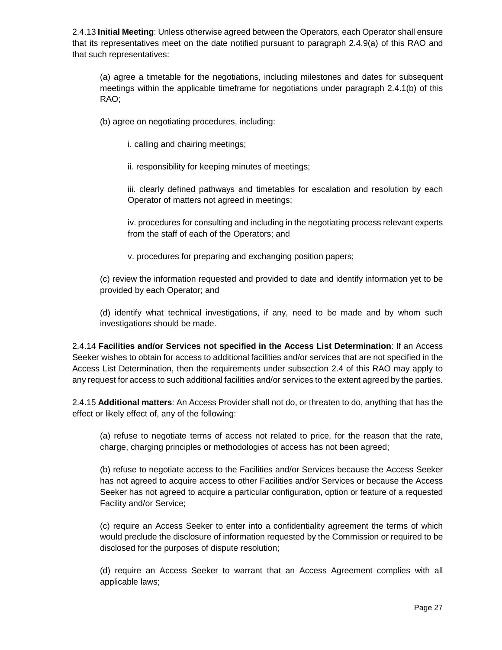2.4.13 **Initial Meeting**: Unless otherwise agreed between the Operators, each Operator shall ensure that its representatives meet on the date notified pursuant to paragraph 2.4.9(a) of this RAO and that such representatives:

(a) agree a timetable for the negotiations, including milestones and dates for subsequent meetings within the applicable timeframe for negotiations under paragraph 2.4.1(b) of this RAO;

(b) agree on negotiating procedures, including:

i. calling and chairing meetings;

ii. responsibility for keeping minutes of meetings;

iii. clearly defined pathways and timetables for escalation and resolution by each Operator of matters not agreed in meetings;

iv. procedures for consulting and including in the negotiating process relevant experts from the staff of each of the Operators; and

v. procedures for preparing and exchanging position papers;

(c) review the information requested and provided to date and identify information yet to be provided by each Operator; and

(d) identify what technical investigations, if any, need to be made and by whom such investigations should be made.

2.4.14 **Facilities and/or Services not specified in the Access List Determination**: If an Access Seeker wishes to obtain for access to additional facilities and/or services that are not specified in the Access List Determination, then the requirements under subsection 2.4 of this RAO may apply to any request for access to such additional facilities and/or services to the extent agreed by the parties.

2.4.15 **Additional matters**: An Access Provider shall not do, or threaten to do, anything that has the effect or likely effect of, any of the following:

(a) refuse to negotiate terms of access not related to price, for the reason that the rate, charge, charging principles or methodologies of access has not been agreed;

(b) refuse to negotiate access to the Facilities and/or Services because the Access Seeker has not agreed to acquire access to other Facilities and/or Services or because the Access Seeker has not agreed to acquire a particular configuration, option or feature of a requested Facility and/or Service;

(c) require an Access Seeker to enter into a confidentiality agreement the terms of which would preclude the disclosure of information requested by the Commission or required to be disclosed for the purposes of dispute resolution;

(d) require an Access Seeker to warrant that an Access Agreement complies with all applicable laws;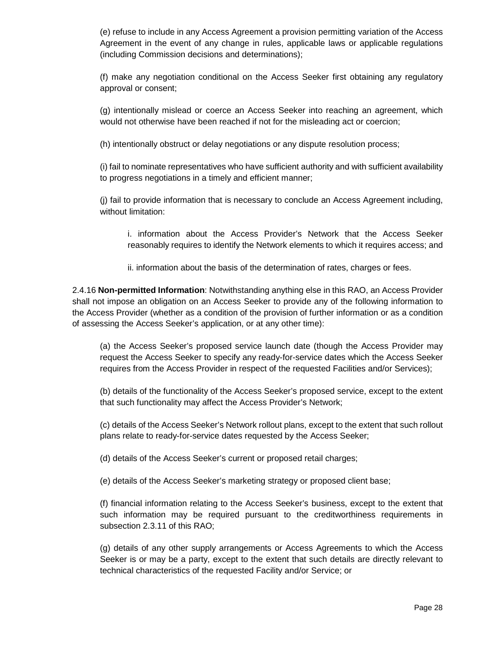(e) refuse to include in any Access Agreement a provision permitting variation of the Access Agreement in the event of any change in rules, applicable laws or applicable regulations (including Commission decisions and determinations);

(f) make any negotiation conditional on the Access Seeker first obtaining any regulatory approval or consent;

(g) intentionally mislead or coerce an Access Seeker into reaching an agreement, which would not otherwise have been reached if not for the misleading act or coercion;

(h) intentionally obstruct or delay negotiations or any dispute resolution process;

(i) fail to nominate representatives who have sufficient authority and with sufficient availability to progress negotiations in a timely and efficient manner;

(j) fail to provide information that is necessary to conclude an Access Agreement including, without limitation:

i. information about the Access Provider's Network that the Access Seeker reasonably requires to identify the Network elements to which it requires access; and

ii. information about the basis of the determination of rates, charges or fees.

2.4.16 **Non-permitted Information**: Notwithstanding anything else in this RAO, an Access Provider shall not impose an obligation on an Access Seeker to provide any of the following information to the Access Provider (whether as a condition of the provision of further information or as a condition of assessing the Access Seeker's application, or at any other time):

(a) the Access Seeker's proposed service launch date (though the Access Provider may request the Access Seeker to specify any ready-for-service dates which the Access Seeker requires from the Access Provider in respect of the requested Facilities and/or Services);

(b) details of the functionality of the Access Seeker's proposed service, except to the extent that such functionality may affect the Access Provider's Network;

(c) details of the Access Seeker's Network rollout plans, except to the extent that such rollout plans relate to ready-for-service dates requested by the Access Seeker;

(d) details of the Access Seeker's current or proposed retail charges;

(e) details of the Access Seeker's marketing strategy or proposed client base;

(f) financial information relating to the Access Seeker's business, except to the extent that such information may be required pursuant to the creditworthiness requirements in subsection 2.3.11 of this RAO;

(g) details of any other supply arrangements or Access Agreements to which the Access Seeker is or may be a party, except to the extent that such details are directly relevant to technical characteristics of the requested Facility and/or Service; or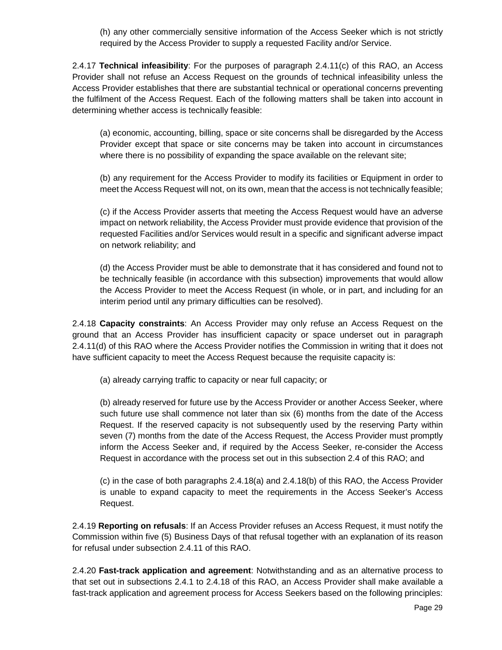(h) any other commercially sensitive information of the Access Seeker which is not strictly required by the Access Provider to supply a requested Facility and/or Service.

2.4.17 **Technical infeasibility**: For the purposes of paragraph 2.4.11(c) of this RAO, an Access Provider shall not refuse an Access Request on the grounds of technical infeasibility unless the Access Provider establishes that there are substantial technical or operational concerns preventing the fulfilment of the Access Request. Each of the following matters shall be taken into account in determining whether access is technically feasible:

(a) economic, accounting, billing, space or site concerns shall be disregarded by the Access Provider except that space or site concerns may be taken into account in circumstances where there is no possibility of expanding the space available on the relevant site;

(b) any requirement for the Access Provider to modify its facilities or Equipment in order to meet the Access Request will not, on its own, mean that the access is not technically feasible;

(c) if the Access Provider asserts that meeting the Access Request would have an adverse impact on network reliability, the Access Provider must provide evidence that provision of the requested Facilities and/or Services would result in a specific and significant adverse impact on network reliability; and

(d) the Access Provider must be able to demonstrate that it has considered and found not to be technically feasible (in accordance with this subsection) improvements that would allow the Access Provider to meet the Access Request (in whole, or in part, and including for an interim period until any primary difficulties can be resolved).

2.4.18 **Capacity constraints**: An Access Provider may only refuse an Access Request on the ground that an Access Provider has insufficient capacity or space underset out in paragraph 2.4.11(d) of this RAO where the Access Provider notifies the Commission in writing that it does not have sufficient capacity to meet the Access Request because the requisite capacity is:

(a) already carrying traffic to capacity or near full capacity; or

(b) already reserved for future use by the Access Provider or another Access Seeker, where such future use shall commence not later than six (6) months from the date of the Access Request. If the reserved capacity is not subsequently used by the reserving Party within seven (7) months from the date of the Access Request, the Access Provider must promptly inform the Access Seeker and, if required by the Access Seeker, re-consider the Access Request in accordance with the process set out in this subsection 2.4 of this RAO; and

(c) in the case of both paragraphs 2.4.18(a) and 2.4.18(b) of this RAO, the Access Provider is unable to expand capacity to meet the requirements in the Access Seeker's Access Request.

2.4.19 **Reporting on refusals**: If an Access Provider refuses an Access Request, it must notify the Commission within five (5) Business Days of that refusal together with an explanation of its reason for refusal under subsection 2.4.11 of this RAO.

2.4.20 **Fast-track application and agreement**: Notwithstanding and as an alternative process to that set out in subsections 2.4.1 to 2.4.18 of this RAO, an Access Provider shall make available a fast-track application and agreement process for Access Seekers based on the following principles: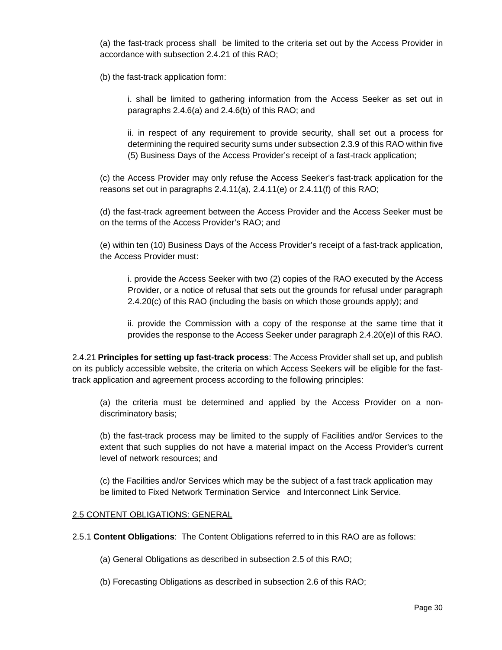(a) the fast-track process shall be limited to the criteria set out by the Access Provider in accordance with subsection 2.4.21 of this RAO;

(b) the fast-track application form:

i. shall be limited to gathering information from the Access Seeker as set out in paragraphs 2.4.6(a) and 2.4.6(b) of this RAO; and

ii. in respect of any requirement to provide security, shall set out a process for determining the required security sums under subsection 2.3.9 of this RAO within five (5) Business Days of the Access Provider's receipt of a fast-track application;

(c) the Access Provider may only refuse the Access Seeker's fast-track application for the reasons set out in paragraphs 2.4.11(a), 2.4.11(e) or 2.4.11(f) of this RAO;

(d) the fast-track agreement between the Access Provider and the Access Seeker must be on the terms of the Access Provider's RAO; and

(e) within ten (10) Business Days of the Access Provider's receipt of a fast-track application, the Access Provider must:

i. provide the Access Seeker with two (2) copies of the RAO executed by the Access Provider, or a notice of refusal that sets out the grounds for refusal under paragraph 2.4.20(c) of this RAO (including the basis on which those grounds apply); and

ii. provide the Commission with a copy of the response at the same time that it provides the response to the Access Seeker under paragraph 2.4.20(e)I of this RAO.

2.4.21 **Principles for setting up fast-track process**: The Access Provider shall set up, and publish on its publicly accessible website, the criteria on which Access Seekers will be eligible for the fasttrack application and agreement process according to the following principles:

(a) the criteria must be determined and applied by the Access Provider on a nondiscriminatory basis;

(b) the fast-track process may be limited to the supply of Facilities and/or Services to the extent that such supplies do not have a material impact on the Access Provider's current level of network resources; and

(c) the Facilities and/or Services which may be the subject of a fast track application may be limited to Fixed Network Termination Service and Interconnect Link Service.

## 2.5 CONTENT OBLIGATIONS: GENERAL

2.5.1 **Content Obligations**: The Content Obligations referred to in this RAO are as follows:

(a) General Obligations as described in subsection 2.5 of this RAO;

(b) Forecasting Obligations as described in subsection 2.6 of this RAO;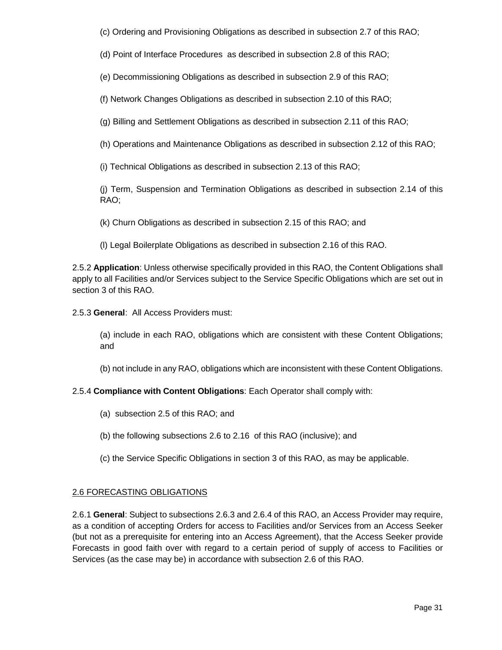(c) Ordering and Provisioning Obligations as described in subsection 2.7 of this RAO;

(d) Point of Interface Procedures as described in subsection 2.8 of this RAO;

(e) Decommissioning Obligations as described in subsection 2.9 of this RAO;

(f) Network Changes Obligations as described in subsection 2.10 of this RAO;

(g) Billing and Settlement Obligations as described in subsection 2.11 of this RAO;

(h) Operations and Maintenance Obligations as described in subsection 2.12 of this RAO;

(i) Technical Obligations as described in subsection 2.13 of this RAO;

(j) Term, Suspension and Termination Obligations as described in subsection 2.14 of this RAO;

(k) Churn Obligations as described in subsection 2.15 of this RAO; and

(l) Legal Boilerplate Obligations as described in subsection 2.16 of this RAO.

2.5.2 **Application**: Unless otherwise specifically provided in this RAO, the Content Obligations shall apply to all Facilities and/or Services subject to the Service Specific Obligations which are set out in section 3 of this RAO.

2.5.3 **General**: All Access Providers must:

(a) include in each RAO, obligations which are consistent with these Content Obligations; and

(b) not include in any RAO, obligations which are inconsistent with these Content Obligations.

### 2.5.4 **Compliance with Content Obligations**: Each Operator shall comply with:

- (a) subsection 2.5 of this RAO; and
- (b) the following subsections 2.6 to 2.16 of this RAO (inclusive); and
- (c) the Service Specific Obligations in section 3 of this RAO, as may be applicable.

## 2.6 FORECASTING OBLIGATIONS

2.6.1 **General**: Subject to subsections 2.6.3 and 2.6.4 of this RAO, an Access Provider may require, as a condition of accepting Orders for access to Facilities and/or Services from an Access Seeker (but not as a prerequisite for entering into an Access Agreement), that the Access Seeker provide Forecasts in good faith over with regard to a certain period of supply of access to Facilities or Services (as the case may be) in accordance with subsection 2.6 of this RAO.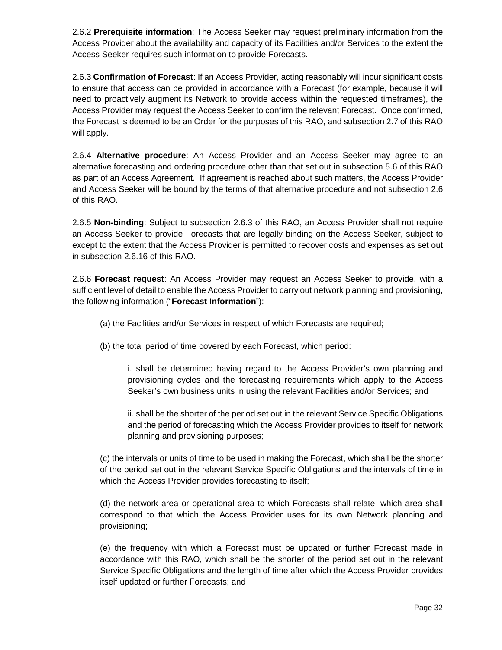2.6.2 **Prerequisite information**: The Access Seeker may request preliminary information from the Access Provider about the availability and capacity of its Facilities and/or Services to the extent the Access Seeker requires such information to provide Forecasts.

2.6.3 **Confirmation of Forecast**: If an Access Provider, acting reasonably will incur significant costs to ensure that access can be provided in accordance with a Forecast (for example, because it will need to proactively augment its Network to provide access within the requested timeframes), the Access Provider may request the Access Seeker to confirm the relevant Forecast. Once confirmed, the Forecast is deemed to be an Order for the purposes of this RAO, and subsection 2.7 of this RAO will apply.

2.6.4 **Alternative procedure**: An Access Provider and an Access Seeker may agree to an alternative forecasting and ordering procedure other than that set out in subsection 5.6 of this RAO as part of an Access Agreement. If agreement is reached about such matters, the Access Provider and Access Seeker will be bound by the terms of that alternative procedure and not subsection 2.6 of this RAO.

2.6.5 **Non-binding**: Subject to subsection 2.6.3 of this RAO, an Access Provider shall not require an Access Seeker to provide Forecasts that are legally binding on the Access Seeker, subject to except to the extent that the Access Provider is permitted to recover costs and expenses as set out in subsection 2.6.16 of this RAO.

2.6.6 **Forecast request**: An Access Provider may request an Access Seeker to provide, with a sufficient level of detail to enable the Access Provider to carry out network planning and provisioning, the following information ("**Forecast Information**"):

- (a) the Facilities and/or Services in respect of which Forecasts are required;
- (b) the total period of time covered by each Forecast, which period:

i. shall be determined having regard to the Access Provider's own planning and provisioning cycles and the forecasting requirements which apply to the Access Seeker's own business units in using the relevant Facilities and/or Services; and

ii. shall be the shorter of the period set out in the relevant Service Specific Obligations and the period of forecasting which the Access Provider provides to itself for network planning and provisioning purposes;

(c) the intervals or units of time to be used in making the Forecast, which shall be the shorter of the period set out in the relevant Service Specific Obligations and the intervals of time in which the Access Provider provides forecasting to itself;

(d) the network area or operational area to which Forecasts shall relate, which area shall correspond to that which the Access Provider uses for its own Network planning and provisioning;

(e) the frequency with which a Forecast must be updated or further Forecast made in accordance with this RAO, which shall be the shorter of the period set out in the relevant Service Specific Obligations and the length of time after which the Access Provider provides itself updated or further Forecasts; and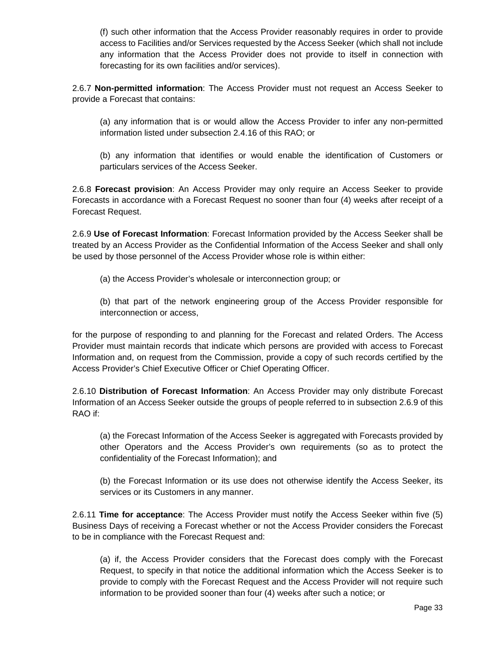(f) such other information that the Access Provider reasonably requires in order to provide access to Facilities and/or Services requested by the Access Seeker (which shall not include any information that the Access Provider does not provide to itself in connection with forecasting for its own facilities and/or services).

2.6.7 **Non-permitted information**: The Access Provider must not request an Access Seeker to provide a Forecast that contains:

(a) any information that is or would allow the Access Provider to infer any non-permitted information listed under subsection 2.4.16 of this RAO; or

(b) any information that identifies or would enable the identification of Customers or particulars services of the Access Seeker.

2.6.8 **Forecast provision**: An Access Provider may only require an Access Seeker to provide Forecasts in accordance with a Forecast Request no sooner than four (4) weeks after receipt of a Forecast Request.

2.6.9 **Use of Forecast Information**: Forecast Information provided by the Access Seeker shall be treated by an Access Provider as the Confidential Information of the Access Seeker and shall only be used by those personnel of the Access Provider whose role is within either:

(a) the Access Provider's wholesale or interconnection group; or

(b) that part of the network engineering group of the Access Provider responsible for interconnection or access,

for the purpose of responding to and planning for the Forecast and related Orders. The Access Provider must maintain records that indicate which persons are provided with access to Forecast Information and, on request from the Commission, provide a copy of such records certified by the Access Provider's Chief Executive Officer or Chief Operating Officer.

2.6.10 **Distribution of Forecast Information**: An Access Provider may only distribute Forecast Information of an Access Seeker outside the groups of people referred to in subsection 2.6.9 of this RAO if:

(a) the Forecast Information of the Access Seeker is aggregated with Forecasts provided by other Operators and the Access Provider's own requirements (so as to protect the confidentiality of the Forecast Information); and

(b) the Forecast Information or its use does not otherwise identify the Access Seeker, its services or its Customers in any manner.

2.6.11 **Time for acceptance**: The Access Provider must notify the Access Seeker within five (5) Business Days of receiving a Forecast whether or not the Access Provider considers the Forecast to be in compliance with the Forecast Request and:

(a) if, the Access Provider considers that the Forecast does comply with the Forecast Request, to specify in that notice the additional information which the Access Seeker is to provide to comply with the Forecast Request and the Access Provider will not require such information to be provided sooner than four (4) weeks after such a notice; or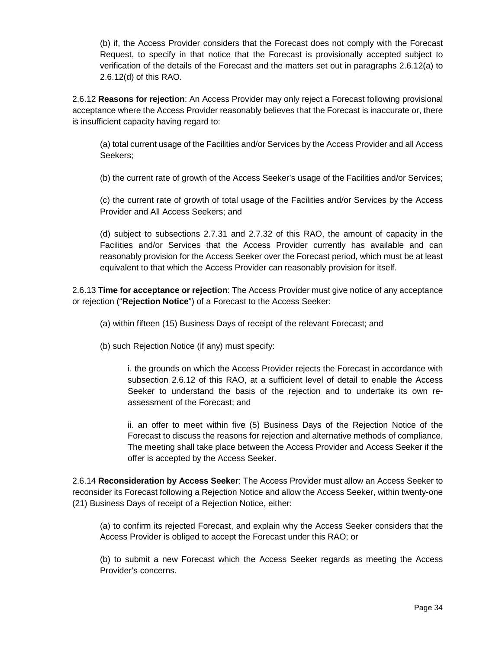(b) if, the Access Provider considers that the Forecast does not comply with the Forecast Request, to specify in that notice that the Forecast is provisionally accepted subject to verification of the details of the Forecast and the matters set out in paragraphs 2.6.12(a) to 2.6.12(d) of this RAO.

2.6.12 **Reasons for rejection**: An Access Provider may only reject a Forecast following provisional acceptance where the Access Provider reasonably believes that the Forecast is inaccurate or, there is insufficient capacity having regard to:

(a) total current usage of the Facilities and/or Services by the Access Provider and all Access Seekers;

(b) the current rate of growth of the Access Seeker's usage of the Facilities and/or Services;

(c) the current rate of growth of total usage of the Facilities and/or Services by the Access Provider and All Access Seekers; and

(d) subject to subsections 2.7.31 and 2.7.32 of this RAO, the amount of capacity in the Facilities and/or Services that the Access Provider currently has available and can reasonably provision for the Access Seeker over the Forecast period, which must be at least equivalent to that which the Access Provider can reasonably provision for itself.

2.6.13 **Time for acceptance or rejection**: The Access Provider must give notice of any acceptance or rejection ("**Rejection Notice**") of a Forecast to the Access Seeker:

- (a) within fifteen (15) Business Days of receipt of the relevant Forecast; and
- (b) such Rejection Notice (if any) must specify:

i. the grounds on which the Access Provider rejects the Forecast in accordance with subsection 2.6.12 of this RAO, at a sufficient level of detail to enable the Access Seeker to understand the basis of the rejection and to undertake its own reassessment of the Forecast; and

ii. an offer to meet within five (5) Business Days of the Rejection Notice of the Forecast to discuss the reasons for rejection and alternative methods of compliance. The meeting shall take place between the Access Provider and Access Seeker if the offer is accepted by the Access Seeker.

2.6.14 **Reconsideration by Access Seeker**: The Access Provider must allow an Access Seeker to reconsider its Forecast following a Rejection Notice and allow the Access Seeker, within twenty-one (21) Business Days of receipt of a Rejection Notice, either:

(a) to confirm its rejected Forecast, and explain why the Access Seeker considers that the Access Provider is obliged to accept the Forecast under this RAO; or

(b) to submit a new Forecast which the Access Seeker regards as meeting the Access Provider's concerns.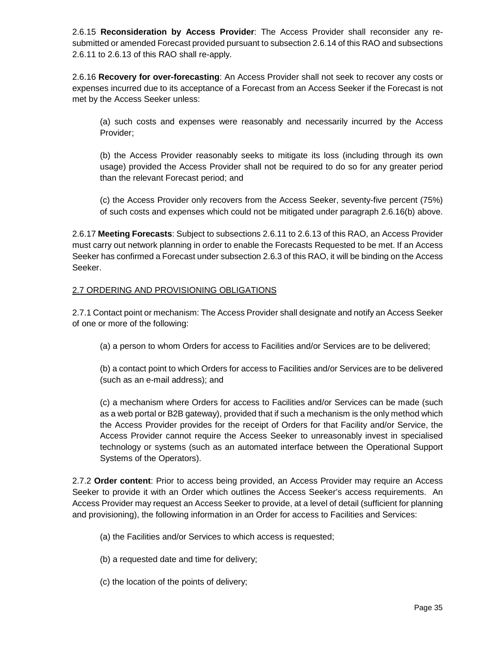2.6.15 **Reconsideration by Access Provider**: The Access Provider shall reconsider any resubmitted or amended Forecast provided pursuant to subsection 2.6.14 of this RAO and subsections 2.6.11 to 2.6.13 of this RAO shall re-apply.

2.6.16 **Recovery for over-forecasting**: An Access Provider shall not seek to recover any costs or expenses incurred due to its acceptance of a Forecast from an Access Seeker if the Forecast is not met by the Access Seeker unless:

(a) such costs and expenses were reasonably and necessarily incurred by the Access Provider;

(b) the Access Provider reasonably seeks to mitigate its loss (including through its own usage) provided the Access Provider shall not be required to do so for any greater period than the relevant Forecast period; and

(c) the Access Provider only recovers from the Access Seeker, seventy-five percent (75%) of such costs and expenses which could not be mitigated under paragraph 2.6.16(b) above.

2.6.17 **Meeting Forecasts**: Subject to subsections 2.6.11 to 2.6.13 of this RAO, an Access Provider must carry out network planning in order to enable the Forecasts Requested to be met. If an Access Seeker has confirmed a Forecast under subsection 2.6.3 of this RAO, it will be binding on the Access Seeker.

## 2.7 ORDERING AND PROVISIONING OBLIGATIONS

2.7.1 Contact point or mechanism: The Access Provider shall designate and notify an Access Seeker of one or more of the following:

(a) a person to whom Orders for access to Facilities and/or Services are to be delivered;

(b) a contact point to which Orders for access to Facilities and/or Services are to be delivered (such as an e-mail address); and

(c) a mechanism where Orders for access to Facilities and/or Services can be made (such as a web portal or B2B gateway), provided that if such a mechanism is the only method which the Access Provider provides for the receipt of Orders for that Facility and/or Service, the Access Provider cannot require the Access Seeker to unreasonably invest in specialised technology or systems (such as an automated interface between the Operational Support Systems of the Operators).

2.7.2 **Order content**: Prior to access being provided, an Access Provider may require an Access Seeker to provide it with an Order which outlines the Access Seeker's access requirements. An Access Provider may request an Access Seeker to provide, at a level of detail (sufficient for planning and provisioning), the following information in an Order for access to Facilities and Services:

- (a) the Facilities and/or Services to which access is requested;
- (b) a requested date and time for delivery;
- (c) the location of the points of delivery;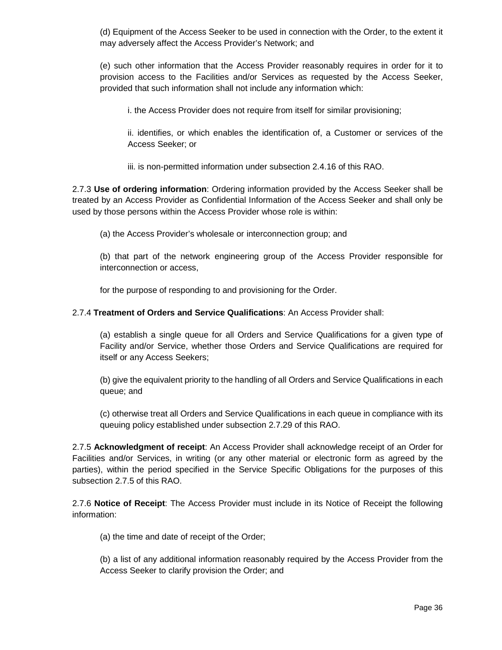(d) Equipment of the Access Seeker to be used in connection with the Order, to the extent it may adversely affect the Access Provider's Network; and

(e) such other information that the Access Provider reasonably requires in order for it to provision access to the Facilities and/or Services as requested by the Access Seeker, provided that such information shall not include any information which:

i. the Access Provider does not require from itself for similar provisioning;

ii. identifies, or which enables the identification of, a Customer or services of the Access Seeker; or

iii. is non-permitted information under subsection 2.4.16 of this RAO.

2.7.3 **Use of ordering information**: Ordering information provided by the Access Seeker shall be treated by an Access Provider as Confidential Information of the Access Seeker and shall only be used by those persons within the Access Provider whose role is within:

(a) the Access Provider's wholesale or interconnection group; and

(b) that part of the network engineering group of the Access Provider responsible for interconnection or access,

for the purpose of responding to and provisioning for the Order.

## 2.7.4 **Treatment of Orders and Service Qualifications**: An Access Provider shall:

(a) establish a single queue for all Orders and Service Qualifications for a given type of Facility and/or Service, whether those Orders and Service Qualifications are required for itself or any Access Seekers;

(b) give the equivalent priority to the handling of all Orders and Service Qualifications in each queue; and

(c) otherwise treat all Orders and Service Qualifications in each queue in compliance with its queuing policy established under subsection 2.7.29 of this RAO.

2.7.5 **Acknowledgment of receipt**: An Access Provider shall acknowledge receipt of an Order for Facilities and/or Services, in writing (or any other material or electronic form as agreed by the parties), within the period specified in the Service Specific Obligations for the purposes of this subsection 2.7.5 of this RAO.

2.7.6 **Notice of Receipt**: The Access Provider must include in its Notice of Receipt the following information:

(a) the time and date of receipt of the Order;

(b) a list of any additional information reasonably required by the Access Provider from the Access Seeker to clarify provision the Order; and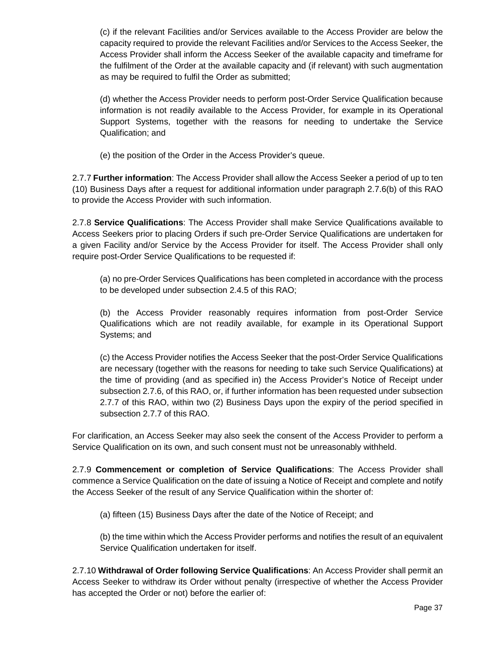(c) if the relevant Facilities and/or Services available to the Access Provider are below the capacity required to provide the relevant Facilities and/or Services to the Access Seeker, the Access Provider shall inform the Access Seeker of the available capacity and timeframe for the fulfilment of the Order at the available capacity and (if relevant) with such augmentation as may be required to fulfil the Order as submitted;

(d) whether the Access Provider needs to perform post-Order Service Qualification because information is not readily available to the Access Provider, for example in its Operational Support Systems, together with the reasons for needing to undertake the Service Qualification; and

(e) the position of the Order in the Access Provider's queue.

2.7.7 **Further information**: The Access Provider shall allow the Access Seeker a period of up to ten (10) Business Days after a request for additional information under paragraph 2.7.6(b) of this RAO to provide the Access Provider with such information.

2.7.8 **Service Qualifications**: The Access Provider shall make Service Qualifications available to Access Seekers prior to placing Orders if such pre-Order Service Qualifications are undertaken for a given Facility and/or Service by the Access Provider for itself. The Access Provider shall only require post-Order Service Qualifications to be requested if:

(a) no pre-Order Services Qualifications has been completed in accordance with the process to be developed under subsection 2.4.5 of this RAO;

(b) the Access Provider reasonably requires information from post-Order Service Qualifications which are not readily available, for example in its Operational Support Systems; and

(c) the Access Provider notifies the Access Seeker that the post-Order Service Qualifications are necessary (together with the reasons for needing to take such Service Qualifications) at the time of providing (and as specified in) the Access Provider's Notice of Receipt under subsection 2.7.6, of this RAO, or, if further information has been requested under subsection 2.7.7 of this RAO, within two (2) Business Days upon the expiry of the period specified in subsection 2.7.7 of this RAO.

For clarification, an Access Seeker may also seek the consent of the Access Provider to perform a Service Qualification on its own, and such consent must not be unreasonably withheld.

2.7.9 **Commencement or completion of Service Qualifications**: The Access Provider shall commence a Service Qualification on the date of issuing a Notice of Receipt and complete and notify the Access Seeker of the result of any Service Qualification within the shorter of:

(a) fifteen (15) Business Days after the date of the Notice of Receipt; and

(b) the time within which the Access Provider performs and notifies the result of an equivalent Service Qualification undertaken for itself.

2.7.10 **Withdrawal of Order following Service Qualifications**: An Access Provider shall permit an Access Seeker to withdraw its Order without penalty (irrespective of whether the Access Provider has accepted the Order or not) before the earlier of: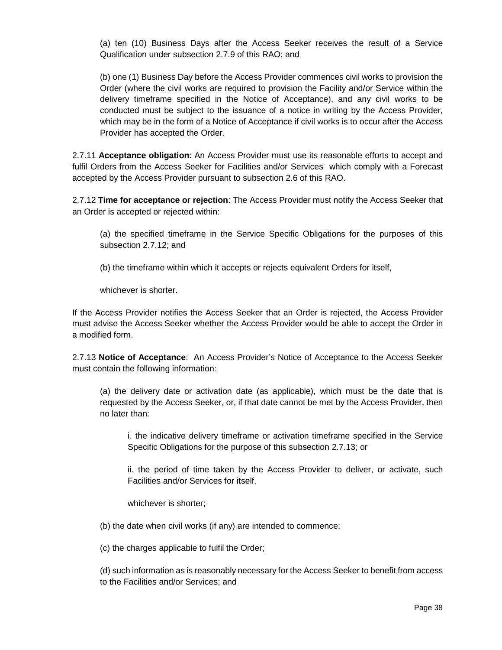(a) ten (10) Business Days after the Access Seeker receives the result of a Service Qualification under subsection 2.7.9 of this RAO; and

(b) one (1) Business Day before the Access Provider commences civil works to provision the Order (where the civil works are required to provision the Facility and/or Service within the delivery timeframe specified in the Notice of Acceptance), and any civil works to be conducted must be subject to the issuance of a notice in writing by the Access Provider, which may be in the form of a Notice of Acceptance if civil works is to occur after the Access Provider has accepted the Order.

2.7.11 **Acceptance obligation**: An Access Provider must use its reasonable efforts to accept and fulfil Orders from the Access Seeker for Facilities and/or Services which comply with a Forecast accepted by the Access Provider pursuant to subsection 2.6 of this RAO.

2.7.12 **Time for acceptance or rejection**: The Access Provider must notify the Access Seeker that an Order is accepted or rejected within:

(a) the specified timeframe in the Service Specific Obligations for the purposes of this subsection 2.7.12; and

(b) the timeframe within which it accepts or rejects equivalent Orders for itself,

whichever is shorter.

If the Access Provider notifies the Access Seeker that an Order is rejected, the Access Provider must advise the Access Seeker whether the Access Provider would be able to accept the Order in a modified form.

2.7.13 **Notice of Acceptance**: An Access Provider's Notice of Acceptance to the Access Seeker must contain the following information:

(a) the delivery date or activation date (as applicable), which must be the date that is requested by the Access Seeker, or, if that date cannot be met by the Access Provider, then no later than:

i. the indicative delivery timeframe or activation timeframe specified in the Service Specific Obligations for the purpose of this subsection 2.7.13; or

ii. the period of time taken by the Access Provider to deliver, or activate, such Facilities and/or Services for itself,

whichever is shorter;

(b) the date when civil works (if any) are intended to commence;

(c) the charges applicable to fulfil the Order;

(d) such information as is reasonably necessary for the Access Seeker to benefit from access to the Facilities and/or Services; and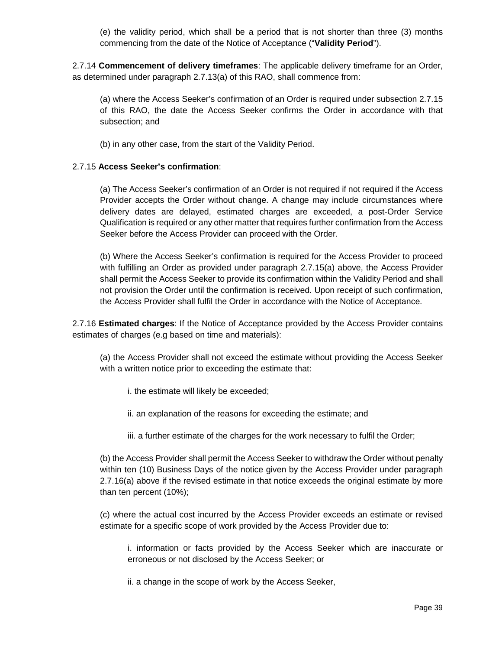(e) the validity period, which shall be a period that is not shorter than three (3) months commencing from the date of the Notice of Acceptance ("**Validity Period**").

2.7.14 **Commencement of delivery timeframes**: The applicable delivery timeframe for an Order, as determined under paragraph 2.7.13(a) of this RAO, shall commence from:

(a) where the Access Seeker's confirmation of an Order is required under subsection 2.7.15 of this RAO, the date the Access Seeker confirms the Order in accordance with that subsection; and

(b) in any other case, from the start of the Validity Period.

#### 2.7.15 **Access Seeker's confirmation**:

(a) The Access Seeker's confirmation of an Order is not required if not required if the Access Provider accepts the Order without change. A change may include circumstances where delivery dates are delayed, estimated charges are exceeded, a post-Order Service Qualification is required or any other matter that requires further confirmation from the Access Seeker before the Access Provider can proceed with the Order.

(b) Where the Access Seeker's confirmation is required for the Access Provider to proceed with fulfilling an Order as provided under paragraph 2.7.15(a) above, the Access Provider shall permit the Access Seeker to provide its confirmation within the Validity Period and shall not provision the Order until the confirmation is received. Upon receipt of such confirmation, the Access Provider shall fulfil the Order in accordance with the Notice of Acceptance.

2.7.16 **Estimated charges**: If the Notice of Acceptance provided by the Access Provider contains estimates of charges (e.g based on time and materials):

(a) the Access Provider shall not exceed the estimate without providing the Access Seeker with a written notice prior to exceeding the estimate that:

i. the estimate will likely be exceeded;

ii. an explanation of the reasons for exceeding the estimate; and

iii. a further estimate of the charges for the work necessary to fulfil the Order;

(b) the Access Provider shall permit the Access Seeker to withdraw the Order without penalty within ten (10) Business Days of the notice given by the Access Provider under paragraph 2.7.16(a) above if the revised estimate in that notice exceeds the original estimate by more than ten percent (10%);

(c) where the actual cost incurred by the Access Provider exceeds an estimate or revised estimate for a specific scope of work provided by the Access Provider due to:

i. information or facts provided by the Access Seeker which are inaccurate or erroneous or not disclosed by the Access Seeker; or

ii. a change in the scope of work by the Access Seeker,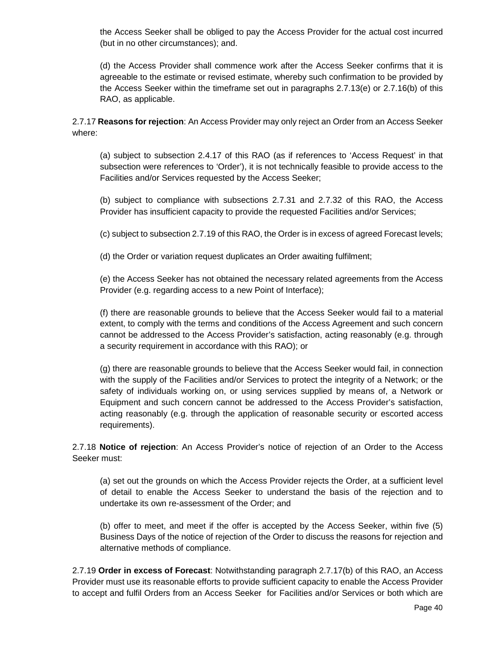the Access Seeker shall be obliged to pay the Access Provider for the actual cost incurred (but in no other circumstances); and.

(d) the Access Provider shall commence work after the Access Seeker confirms that it is agreeable to the estimate or revised estimate, whereby such confirmation to be provided by the Access Seeker within the timeframe set out in paragraphs 2.7.13(e) or 2.7.16(b) of this RAO, as applicable.

2.7.17 **Reasons for rejection**: An Access Provider may only reject an Order from an Access Seeker where:

(a) subject to subsection 2.4.17 of this RAO (as if references to 'Access Request' in that subsection were references to 'Order'), it is not technically feasible to provide access to the Facilities and/or Services requested by the Access Seeker;

(b) subject to compliance with subsections 2.7.31 and 2.7.32 of this RAO, the Access Provider has insufficient capacity to provide the requested Facilities and/or Services;

(c) subject to subsection 2.7.19 of this RAO, the Order is in excess of agreed Forecast levels;

(d) the Order or variation request duplicates an Order awaiting fulfilment;

(e) the Access Seeker has not obtained the necessary related agreements from the Access Provider (e.g. regarding access to a new Point of Interface);

(f) there are reasonable grounds to believe that the Access Seeker would fail to a material extent, to comply with the terms and conditions of the Access Agreement and such concern cannot be addressed to the Access Provider's satisfaction, acting reasonably (e.g. through a security requirement in accordance with this RAO); or

(g) there are reasonable grounds to believe that the Access Seeker would fail, in connection with the supply of the Facilities and/or Services to protect the integrity of a Network; or the safety of individuals working on, or using services supplied by means of, a Network or Equipment and such concern cannot be addressed to the Access Provider's satisfaction, acting reasonably (e.g. through the application of reasonable security or escorted access requirements).

2.7.18 **Notice of rejection**: An Access Provider's notice of rejection of an Order to the Access Seeker must:

(a) set out the grounds on which the Access Provider rejects the Order, at a sufficient level of detail to enable the Access Seeker to understand the basis of the rejection and to undertake its own re-assessment of the Order; and

(b) offer to meet, and meet if the offer is accepted by the Access Seeker, within five (5) Business Days of the notice of rejection of the Order to discuss the reasons for rejection and alternative methods of compliance.

2.7.19 **Order in excess of Forecast**: Notwithstanding paragraph 2.7.17(b) of this RAO, an Access Provider must use its reasonable efforts to provide sufficient capacity to enable the Access Provider to accept and fulfil Orders from an Access Seeker for Facilities and/or Services or both which are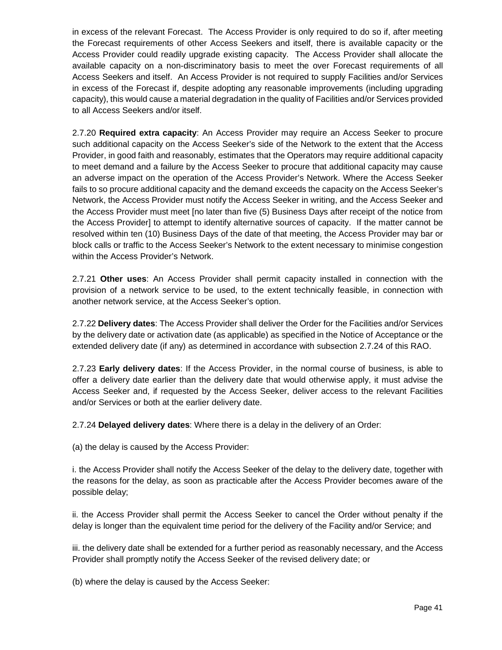in excess of the relevant Forecast. The Access Provider is only required to do so if, after meeting the Forecast requirements of other Access Seekers and itself, there is available capacity or the Access Provider could readily upgrade existing capacity. The Access Provider shall allocate the available capacity on a non-discriminatory basis to meet the over Forecast requirements of all Access Seekers and itself. An Access Provider is not required to supply Facilities and/or Services in excess of the Forecast if, despite adopting any reasonable improvements (including upgrading capacity), this would cause a material degradation in the quality of Facilities and/or Services provided to all Access Seekers and/or itself.

2.7.20 **Required extra capacity**: An Access Provider may require an Access Seeker to procure such additional capacity on the Access Seeker's side of the Network to the extent that the Access Provider, in good faith and reasonably, estimates that the Operators may require additional capacity to meet demand and a failure by the Access Seeker to procure that additional capacity may cause an adverse impact on the operation of the Access Provider's Network. Where the Access Seeker fails to so procure additional capacity and the demand exceeds the capacity on the Access Seeker's Network, the Access Provider must notify the Access Seeker in writing, and the Access Seeker and the Access Provider must meet [no later than five (5) Business Days after receipt of the notice from the Access Provider] to attempt to identify alternative sources of capacity. If the matter cannot be resolved within ten (10) Business Days of the date of that meeting, the Access Provider may bar or block calls or traffic to the Access Seeker's Network to the extent necessary to minimise congestion within the Access Provider's Network.

2.7.21 **Other uses**: An Access Provider shall permit capacity installed in connection with the provision of a network service to be used, to the extent technically feasible, in connection with another network service, at the Access Seeker's option.

2.7.22 **Delivery dates**: The Access Provider shall deliver the Order for the Facilities and/or Services by the delivery date or activation date (as applicable) as specified in the Notice of Acceptance or the extended delivery date (if any) as determined in accordance with subsection 2.7.24 of this RAO.

2.7.23 **Early delivery dates**: If the Access Provider, in the normal course of business, is able to offer a delivery date earlier than the delivery date that would otherwise apply, it must advise the Access Seeker and, if requested by the Access Seeker, deliver access to the relevant Facilities and/or Services or both at the earlier delivery date.

2.7.24 **Delayed delivery dates**: Where there is a delay in the delivery of an Order:

(a) the delay is caused by the Access Provider:

i. the Access Provider shall notify the Access Seeker of the delay to the delivery date, together with the reasons for the delay, as soon as practicable after the Access Provider becomes aware of the possible delay;

ii. the Access Provider shall permit the Access Seeker to cancel the Order without penalty if the delay is longer than the equivalent time period for the delivery of the Facility and/or Service; and

iii. the delivery date shall be extended for a further period as reasonably necessary, and the Access Provider shall promptly notify the Access Seeker of the revised delivery date; or

(b) where the delay is caused by the Access Seeker: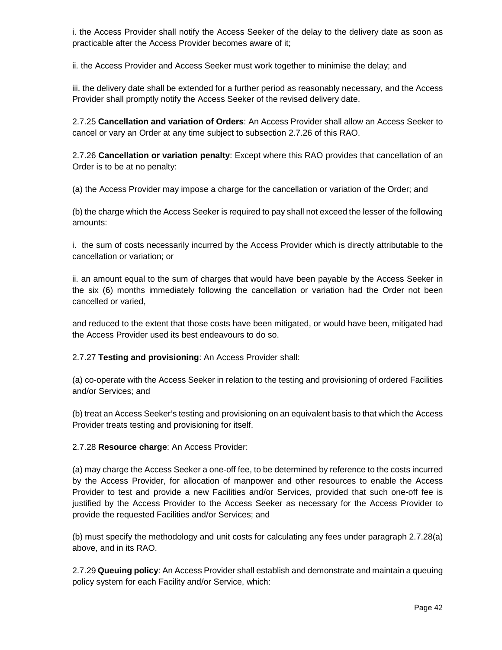i. the Access Provider shall notify the Access Seeker of the delay to the delivery date as soon as practicable after the Access Provider becomes aware of it;

ii. the Access Provider and Access Seeker must work together to minimise the delay; and

iii. the delivery date shall be extended for a further period as reasonably necessary, and the Access Provider shall promptly notify the Access Seeker of the revised delivery date.

2.7.25 **Cancellation and variation of Orders**: An Access Provider shall allow an Access Seeker to cancel or vary an Order at any time subject to subsection 2.7.26 of this RAO.

2.7.26 **Cancellation or variation penalty**: Except where this RAO provides that cancellation of an Order is to be at no penalty:

(a) the Access Provider may impose a charge for the cancellation or variation of the Order; and

(b) the charge which the Access Seeker is required to pay shall not exceed the lesser of the following amounts:

i. the sum of costs necessarily incurred by the Access Provider which is directly attributable to the cancellation or variation; or

ii. an amount equal to the sum of charges that would have been payable by the Access Seeker in the six (6) months immediately following the cancellation or variation had the Order not been cancelled or varied,

and reduced to the extent that those costs have been mitigated, or would have been, mitigated had the Access Provider used its best endeavours to do so.

2.7.27 **Testing and provisioning**: An Access Provider shall:

(a) co-operate with the Access Seeker in relation to the testing and provisioning of ordered Facilities and/or Services; and

(b) treat an Access Seeker's testing and provisioning on an equivalent basis to that which the Access Provider treats testing and provisioning for itself.

2.7.28 **Resource charge**: An Access Provider:

(a) may charge the Access Seeker a one-off fee, to be determined by reference to the costs incurred by the Access Provider, for allocation of manpower and other resources to enable the Access Provider to test and provide a new Facilities and/or Services, provided that such one-off fee is justified by the Access Provider to the Access Seeker as necessary for the Access Provider to provide the requested Facilities and/or Services; and

(b) must specify the methodology and unit costs for calculating any fees under paragraph 2.7.28(a) above, and in its RAO.

2.7.29 **Queuing policy**: An Access Provider shall establish and demonstrate and maintain a queuing policy system for each Facility and/or Service, which: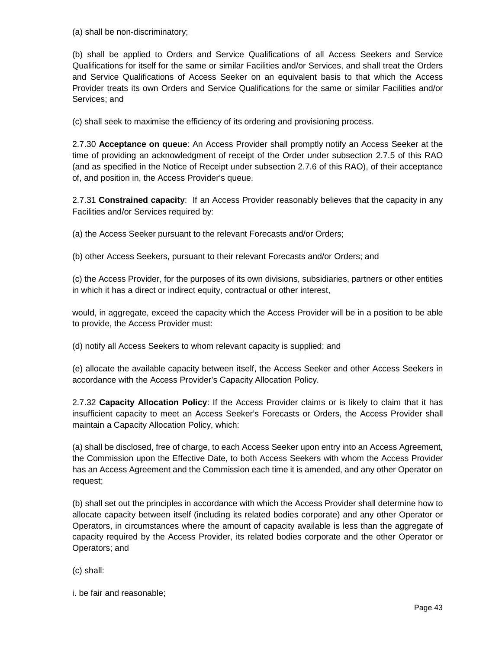(a) shall be non-discriminatory;

(b) shall be applied to Orders and Service Qualifications of all Access Seekers and Service Qualifications for itself for the same or similar Facilities and/or Services, and shall treat the Orders and Service Qualifications of Access Seeker on an equivalent basis to that which the Access Provider treats its own Orders and Service Qualifications for the same or similar Facilities and/or Services; and

(c) shall seek to maximise the efficiency of its ordering and provisioning process.

2.7.30 **Acceptance on queue**: An Access Provider shall promptly notify an Access Seeker at the time of providing an acknowledgment of receipt of the Order under subsection 2.7.5 of this RAO (and as specified in the Notice of Receipt under subsection 2.7.6 of this RAO), of their acceptance of, and position in, the Access Provider's queue.

2.7.31 **Constrained capacity**: If an Access Provider reasonably believes that the capacity in any Facilities and/or Services required by:

(a) the Access Seeker pursuant to the relevant Forecasts and/or Orders;

(b) other Access Seekers, pursuant to their relevant Forecasts and/or Orders; and

(c) the Access Provider, for the purposes of its own divisions, subsidiaries, partners or other entities in which it has a direct or indirect equity, contractual or other interest,

would, in aggregate, exceed the capacity which the Access Provider will be in a position to be able to provide, the Access Provider must:

(d) notify all Access Seekers to whom relevant capacity is supplied; and

(e) allocate the available capacity between itself, the Access Seeker and other Access Seekers in accordance with the Access Provider's Capacity Allocation Policy.

2.7.32 **Capacity Allocation Policy**: If the Access Provider claims or is likely to claim that it has insufficient capacity to meet an Access Seeker's Forecasts or Orders, the Access Provider shall maintain a Capacity Allocation Policy, which:

(a) shall be disclosed, free of charge, to each Access Seeker upon entry into an Access Agreement, the Commission upon the Effective Date, to both Access Seekers with whom the Access Provider has an Access Agreement and the Commission each time it is amended, and any other Operator on request;

(b) shall set out the principles in accordance with which the Access Provider shall determine how to allocate capacity between itself (including its related bodies corporate) and any other Operator or Operators, in circumstances where the amount of capacity available is less than the aggregate of capacity required by the Access Provider, its related bodies corporate and the other Operator or Operators; and

(c) shall:

i. be fair and reasonable;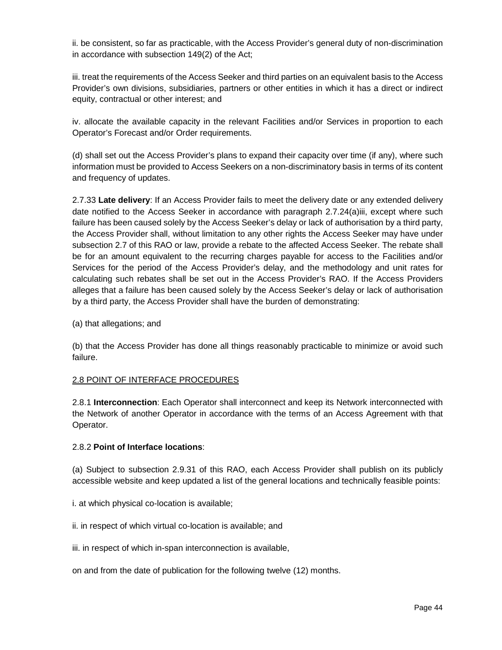ii. be consistent, so far as practicable, with the Access Provider's general duty of non-discrimination in accordance with subsection 149(2) of the Act;

iii. treat the requirements of the Access Seeker and third parties on an equivalent basis to the Access Provider's own divisions, subsidiaries, partners or other entities in which it has a direct or indirect equity, contractual or other interest; and

iv. allocate the available capacity in the relevant Facilities and/or Services in proportion to each Operator's Forecast and/or Order requirements.

(d) shall set out the Access Provider's plans to expand their capacity over time (if any), where such information must be provided to Access Seekers on a non-discriminatory basis in terms of its content and frequency of updates.

2.7.33 **Late delivery**: If an Access Provider fails to meet the delivery date or any extended delivery date notified to the Access Seeker in accordance with paragraph 2.7.24(a)iii, except where such failure has been caused solely by the Access Seeker's delay or lack of authorisation by a third party, the Access Provider shall, without limitation to any other rights the Access Seeker may have under subsection 2.7 of this RAO or law, provide a rebate to the affected Access Seeker. The rebate shall be for an amount equivalent to the recurring charges payable for access to the Facilities and/or Services for the period of the Access Provider's delay, and the methodology and unit rates for calculating such rebates shall be set out in the Access Provider's RAO. If the Access Providers alleges that a failure has been caused solely by the Access Seeker's delay or lack of authorisation by a third party, the Access Provider shall have the burden of demonstrating:

(a) that allegations; and

(b) that the Access Provider has done all things reasonably practicable to minimize or avoid such failure.

#### 2.8 POINT OF INTERFACE PROCEDURES

2.8.1 **Interconnection**: Each Operator shall interconnect and keep its Network interconnected with the Network of another Operator in accordance with the terms of an Access Agreement with that Operator.

#### 2.8.2 **Point of Interface locations**:

(a) Subject to subsection 2.9.31 of this RAO, each Access Provider shall publish on its publicly accessible website and keep updated a list of the general locations and technically feasible points:

- i. at which physical co-location is available;
- ii. in respect of which virtual co-location is available; and
- iii. in respect of which in-span interconnection is available,

on and from the date of publication for the following twelve (12) months.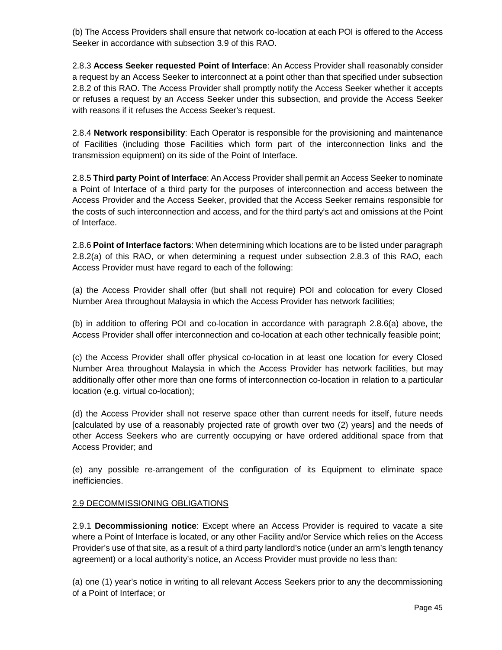(b) The Access Providers shall ensure that network co-location at each POI is offered to the Access Seeker in accordance with subsection 3.9 of this RAO.

2.8.3 **Access Seeker requested Point of Interface**: An Access Provider shall reasonably consider a request by an Access Seeker to interconnect at a point other than that specified under subsection 2.8.2 of this RAO. The Access Provider shall promptly notify the Access Seeker whether it accepts or refuses a request by an Access Seeker under this subsection, and provide the Access Seeker with reasons if it refuses the Access Seeker's request.

2.8.4 **Network responsibility**: Each Operator is responsible for the provisioning and maintenance of Facilities (including those Facilities which form part of the interconnection links and the transmission equipment) on its side of the Point of Interface.

2.8.5 **Third party Point of Interface**: An Access Provider shall permit an Access Seeker to nominate a Point of Interface of a third party for the purposes of interconnection and access between the Access Provider and the Access Seeker, provided that the Access Seeker remains responsible for the costs of such interconnection and access, and for the third party's act and omissions at the Point of Interface.

2.8.6 **Point of Interface factors**: When determining which locations are to be listed under paragraph 2.8.2(a) of this RAO, or when determining a request under subsection 2.8.3 of this RAO, each Access Provider must have regard to each of the following:

(a) the Access Provider shall offer (but shall not require) POI and colocation for every Closed Number Area throughout Malaysia in which the Access Provider has network facilities;

(b) in addition to offering POI and co-location in accordance with paragraph 2.8.6(a) above, the Access Provider shall offer interconnection and co-location at each other technically feasible point;

(c) the Access Provider shall offer physical co-location in at least one location for every Closed Number Area throughout Malaysia in which the Access Provider has network facilities, but may additionally offer other more than one forms of interconnection co-location in relation to a particular location (e.g. virtual co-location);

(d) the Access Provider shall not reserve space other than current needs for itself, future needs [calculated by use of a reasonably projected rate of growth over two (2) years] and the needs of other Access Seekers who are currently occupying or have ordered additional space from that Access Provider; and

(e) any possible re-arrangement of the configuration of its Equipment to eliminate space inefficiencies.

#### 2.9 DECOMMISSIONING OBLIGATIONS

2.9.1 **Decommissioning notice**: Except where an Access Provider is required to vacate a site where a Point of Interface is located, or any other Facility and/or Service which relies on the Access Provider's use of that site, as a result of a third party landlord's notice (under an arm's length tenancy agreement) or a local authority's notice, an Access Provider must provide no less than:

(a) one (1) year's notice in writing to all relevant Access Seekers prior to any the decommissioning of a Point of Interface; or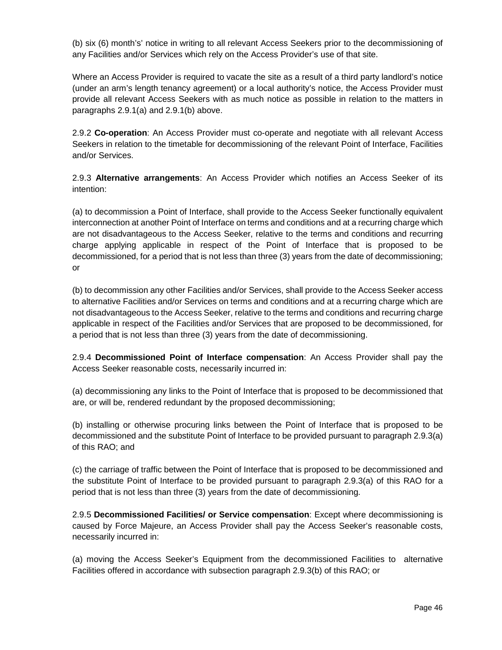(b) six (6) month's' notice in writing to all relevant Access Seekers prior to the decommissioning of any Facilities and/or Services which rely on the Access Provider's use of that site.

Where an Access Provider is required to vacate the site as a result of a third party landlord's notice (under an arm's length tenancy agreement) or a local authority's notice, the Access Provider must provide all relevant Access Seekers with as much notice as possible in relation to the matters in paragraphs 2.9.1(a) and 2.9.1(b) above.

2.9.2 **Co-operation**: An Access Provider must co-operate and negotiate with all relevant Access Seekers in relation to the timetable for decommissioning of the relevant Point of Interface, Facilities and/or Services.

2.9.3 **Alternative arrangements**: An Access Provider which notifies an Access Seeker of its intention:

(a) to decommission a Point of Interface, shall provide to the Access Seeker functionally equivalent interconnection at another Point of Interface on terms and conditions and at a recurring charge which are not disadvantageous to the Access Seeker, relative to the terms and conditions and recurring charge applying applicable in respect of the Point of Interface that is proposed to be decommissioned, for a period that is not less than three (3) years from the date of decommissioning; or

(b) to decommission any other Facilities and/or Services, shall provide to the Access Seeker access to alternative Facilities and/or Services on terms and conditions and at a recurring charge which are not disadvantageous to the Access Seeker, relative to the terms and conditions and recurring charge applicable in respect of the Facilities and/or Services that are proposed to be decommissioned, for a period that is not less than three (3) years from the date of decommissioning.

2.9.4 **Decommissioned Point of Interface compensation**: An Access Provider shall pay the Access Seeker reasonable costs, necessarily incurred in:

(a) decommissioning any links to the Point of Interface that is proposed to be decommissioned that are, or will be, rendered redundant by the proposed decommissioning;

(b) installing or otherwise procuring links between the Point of Interface that is proposed to be decommissioned and the substitute Point of Interface to be provided pursuant to paragraph 2.9.3(a) of this RAO; and

(c) the carriage of traffic between the Point of Interface that is proposed to be decommissioned and the substitute Point of Interface to be provided pursuant to paragraph 2.9.3(a) of this RAO for a period that is not less than three (3) years from the date of decommissioning.

2.9.5 **Decommissioned Facilities/ or Service compensation**: Except where decommissioning is caused by Force Majeure, an Access Provider shall pay the Access Seeker's reasonable costs, necessarily incurred in:

(a) moving the Access Seeker's Equipment from the decommissioned Facilities to alternative Facilities offered in accordance with subsection paragraph 2.9.3(b) of this RAO; or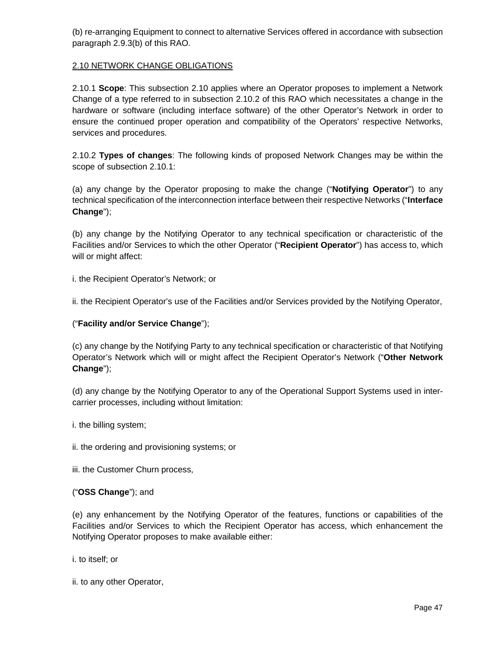(b) re-arranging Equipment to connect to alternative Services offered in accordance with subsection paragraph 2.9.3(b) of this RAO.

## 2.10 NETWORK CHANGE OBLIGATIONS

2.10.1 **Scope**: This subsection 2.10 applies where an Operator proposes to implement a Network Change of a type referred to in subsection 2.10.2 of this RAO which necessitates a change in the hardware or software (including interface software) of the other Operator's Network in order to ensure the continued proper operation and compatibility of the Operators' respective Networks, services and procedures.

2.10.2 **Types of changes**: The following kinds of proposed Network Changes may be within the scope of subsection 2.10.1:

(a) any change by the Operator proposing to make the change ("**Notifying Operator**") to any technical specification of the interconnection interface between their respective Networks ("**Interface Change**");

(b) any change by the Notifying Operator to any technical specification or characteristic of the Facilities and/or Services to which the other Operator ("**Recipient Operator**") has access to, which will or might affect:

i. the Recipient Operator's Network; or

ii. the Recipient Operator's use of the Facilities and/or Services provided by the Notifying Operator,

# ("**Facility and/or Service Change**");

(c) any change by the Notifying Party to any technical specification or characteristic of that Notifying Operator's Network which will or might affect the Recipient Operator's Network ("**Other Network Change**");

(d) any change by the Notifying Operator to any of the Operational Support Systems used in intercarrier processes, including without limitation:

i. the billing system;

ii. the ordering and provisioning systems; or

iii. the Customer Churn process,

#### ("**OSS Change**"); and

(e) any enhancement by the Notifying Operator of the features, functions or capabilities of the Facilities and/or Services to which the Recipient Operator has access, which enhancement the Notifying Operator proposes to make available either:

i. to itself; or

ii. to any other Operator,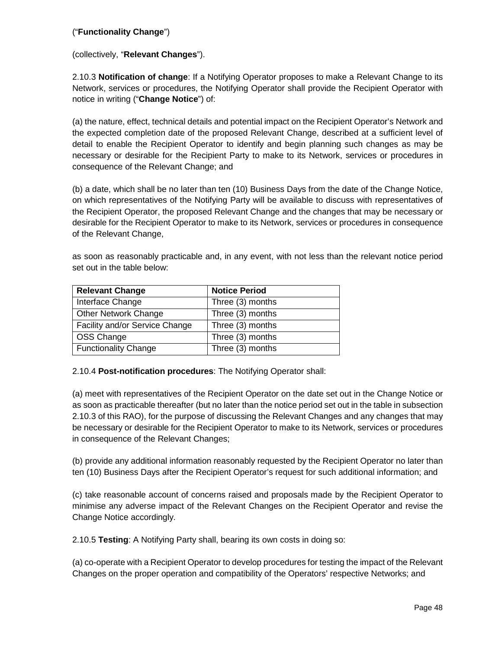# ("**Functionality Change**")

(collectively, "**Relevant Changes**").

2.10.3 **Notification of change**: If a Notifying Operator proposes to make a Relevant Change to its Network, services or procedures, the Notifying Operator shall provide the Recipient Operator with notice in writing ("**Change Notice**") of:

(a) the nature, effect, technical details and potential impact on the Recipient Operator's Network and the expected completion date of the proposed Relevant Change, described at a sufficient level of detail to enable the Recipient Operator to identify and begin planning such changes as may be necessary or desirable for the Recipient Party to make to its Network, services or procedures in consequence of the Relevant Change; and

(b) a date, which shall be no later than ten (10) Business Days from the date of the Change Notice, on which representatives of the Notifying Party will be available to discuss with representatives of the Recipient Operator, the proposed Relevant Change and the changes that may be necessary or desirable for the Recipient Operator to make to its Network, services or procedures in consequence of the Relevant Change,

as soon as reasonably practicable and, in any event, with not less than the relevant notice period set out in the table below:

| <b>Relevant Change</b>         | <b>Notice Period</b> |
|--------------------------------|----------------------|
| Interface Change               | Three (3) months     |
| <b>Other Network Change</b>    | Three (3) months     |
| Facility and/or Service Change | Three (3) months     |
| OSS Change                     | Three (3) months     |
| <b>Functionality Change</b>    | Three (3) months     |

#### 2.10.4 **Post-notification procedures**: The Notifying Operator shall:

(a) meet with representatives of the Recipient Operator on the date set out in the Change Notice or as soon as practicable thereafter (but no later than the notice period set out in the table in subsection 2.10.3 of this RAO), for the purpose of discussing the Relevant Changes and any changes that may be necessary or desirable for the Recipient Operator to make to its Network, services or procedures in consequence of the Relevant Changes;

(b) provide any additional information reasonably requested by the Recipient Operator no later than ten (10) Business Days after the Recipient Operator's request for such additional information; and

(c) take reasonable account of concerns raised and proposals made by the Recipient Operator to minimise any adverse impact of the Relevant Changes on the Recipient Operator and revise the Change Notice accordingly.

2.10.5 **Testing**: A Notifying Party shall, bearing its own costs in doing so:

(a) co-operate with a Recipient Operator to develop procedures for testing the impact of the Relevant Changes on the proper operation and compatibility of the Operators' respective Networks; and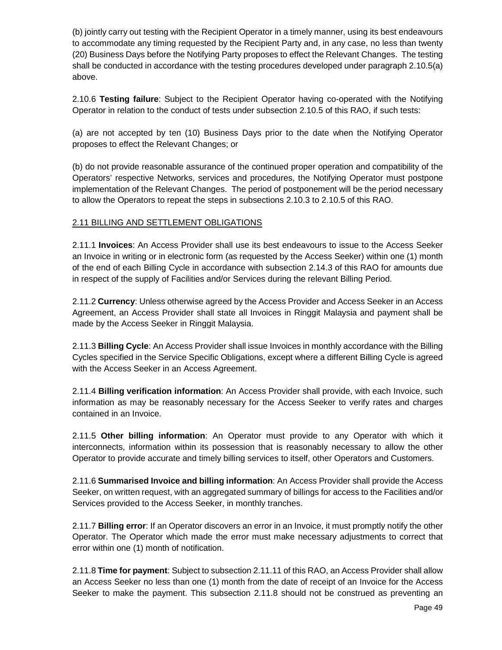(b) jointly carry out testing with the Recipient Operator in a timely manner, using its best endeavours to accommodate any timing requested by the Recipient Party and, in any case, no less than twenty (20) Business Days before the Notifying Party proposes to effect the Relevant Changes. The testing shall be conducted in accordance with the testing procedures developed under paragraph 2.10.5(a) above.

2.10.6 **Testing failure**: Subject to the Recipient Operator having co-operated with the Notifying Operator in relation to the conduct of tests under subsection 2.10.5 of this RAO, if such tests:

(a) are not accepted by ten (10) Business Days prior to the date when the Notifying Operator proposes to effect the Relevant Changes; or

(b) do not provide reasonable assurance of the continued proper operation and compatibility of the Operators' respective Networks, services and procedures, the Notifying Operator must postpone implementation of the Relevant Changes. The period of postponement will be the period necessary to allow the Operators to repeat the steps in subsections 2.10.3 to 2.10.5 of this RAO.

# 2.11 BILLING AND SETTLEMENT OBLIGATIONS

2.11.1 **Invoices**: An Access Provider shall use its best endeavours to issue to the Access Seeker an Invoice in writing or in electronic form (as requested by the Access Seeker) within one (1) month of the end of each Billing Cycle in accordance with subsection 2.14.3 of this RAO for amounts due in respect of the supply of Facilities and/or Services during the relevant Billing Period.

2.11.2 **Currency**: Unless otherwise agreed by the Access Provider and Access Seeker in an Access Agreement, an Access Provider shall state all Invoices in Ringgit Malaysia and payment shall be made by the Access Seeker in Ringgit Malaysia.

2.11.3 **Billing Cycle**: An Access Provider shall issue Invoices in monthly accordance with the Billing Cycles specified in the Service Specific Obligations, except where a different Billing Cycle is agreed with the Access Seeker in an Access Agreement.

2.11.4 **Billing verification information**: An Access Provider shall provide, with each Invoice, such information as may be reasonably necessary for the Access Seeker to verify rates and charges contained in an Invoice.

2.11.5 **Other billing information**: An Operator must provide to any Operator with which it interconnects, information within its possession that is reasonably necessary to allow the other Operator to provide accurate and timely billing services to itself, other Operators and Customers.

2.11.6 **Summarised Invoice and billing information**: An Access Provider shall provide the Access Seeker, on written request, with an aggregated summary of billings for access to the Facilities and/or Services provided to the Access Seeker, in monthly tranches.

2.11.7 **Billing error**: If an Operator discovers an error in an Invoice, it must promptly notify the other Operator. The Operator which made the error must make necessary adjustments to correct that error within one (1) month of notification.

2.11.8 **Time for payment**: Subject to subsection 2.11.11 of this RAO, an Access Provider shall allow an Access Seeker no less than one (1) month from the date of receipt of an Invoice for the Access Seeker to make the payment. This subsection 2.11.8 should not be construed as preventing an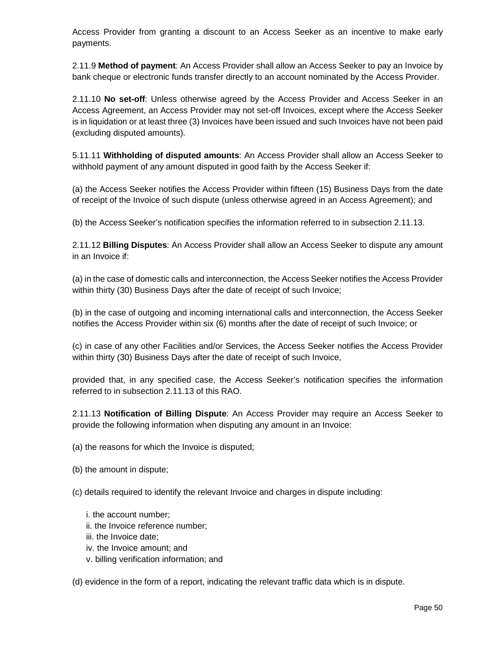Access Provider from granting a discount to an Access Seeker as an incentive to make early payments.

2.11.9 **Method of payment**: An Access Provider shall allow an Access Seeker to pay an Invoice by bank cheque or electronic funds transfer directly to an account nominated by the Access Provider.

2.11.10 **No set-off**: Unless otherwise agreed by the Access Provider and Access Seeker in an Access Agreement, an Access Provider may not set-off Invoices, except where the Access Seeker is in liquidation or at least three (3) Invoices have been issued and such Invoices have not been paid (excluding disputed amounts).

5.11.11 **Withholding of disputed amounts**: An Access Provider shall allow an Access Seeker to withhold payment of any amount disputed in good faith by the Access Seeker if:

(a) the Access Seeker notifies the Access Provider within fifteen (15) Business Days from the date of receipt of the Invoice of such dispute (unless otherwise agreed in an Access Agreement); and

(b) the Access Seeker's notification specifies the information referred to in subsection 2.11.13.

2.11.12 **Billing Disputes**: An Access Provider shall allow an Access Seeker to dispute any amount in an Invoice if:

(a) in the case of domestic calls and interconnection, the Access Seeker notifies the Access Provider within thirty (30) Business Days after the date of receipt of such Invoice;

(b) in the case of outgoing and incoming international calls and interconnection, the Access Seeker notifies the Access Provider within six (6) months after the date of receipt of such Invoice; or

(c) in case of any other Facilities and/or Services, the Access Seeker notifies the Access Provider within thirty (30) Business Days after the date of receipt of such Invoice,

provided that, in any specified case, the Access Seeker's notification specifies the information referred to in subsection 2.11.13 of this RAO.

2.11.13 **Notification of Billing Dispute**: An Access Provider may require an Access Seeker to provide the following information when disputing any amount in an Invoice:

(a) the reasons for which the Invoice is disputed;

(b) the amount in dispute;

(c) details required to identify the relevant Invoice and charges in dispute including:

- i. the account number;
- ii. the Invoice reference number;
- iii. the Invoice date;
- iv. the Invoice amount; and
- v. billing verification information; and

(d) evidence in the form of a report, indicating the relevant traffic data which is in dispute.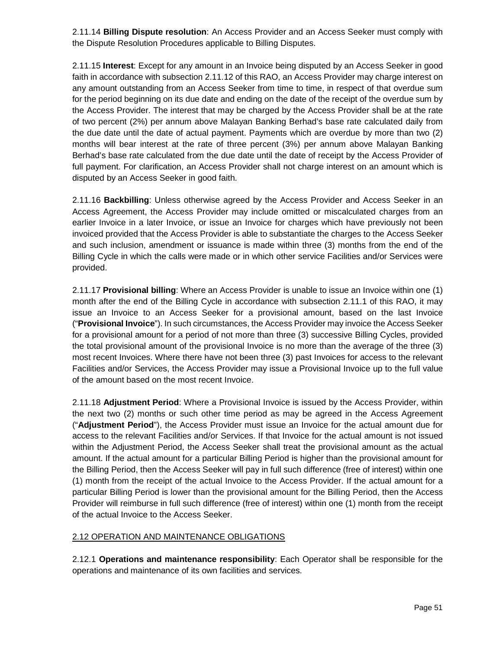2.11.14 **Billing Dispute resolution**: An Access Provider and an Access Seeker must comply with the Dispute Resolution Procedures applicable to Billing Disputes.

2.11.15 **Interest**: Except for any amount in an Invoice being disputed by an Access Seeker in good faith in accordance with subsection 2.11.12 of this RAO, an Access Provider may charge interest on any amount outstanding from an Access Seeker from time to time, in respect of that overdue sum for the period beginning on its due date and ending on the date of the receipt of the overdue sum by the Access Provider. The interest that may be charged by the Access Provider shall be at the rate of two percent (2%) per annum above Malayan Banking Berhad's base rate calculated daily from the due date until the date of actual payment. Payments which are overdue by more than two (2) months will bear interest at the rate of three percent (3%) per annum above Malayan Banking Berhad's base rate calculated from the due date until the date of receipt by the Access Provider of full payment. For clarification, an Access Provider shall not charge interest on an amount which is disputed by an Access Seeker in good faith.

2.11.16 **Backbilling**: Unless otherwise agreed by the Access Provider and Access Seeker in an Access Agreement, the Access Provider may include omitted or miscalculated charges from an earlier Invoice in a later Invoice, or issue an Invoice for charges which have previously not been invoiced provided that the Access Provider is able to substantiate the charges to the Access Seeker and such inclusion, amendment or issuance is made within three (3) months from the end of the Billing Cycle in which the calls were made or in which other service Facilities and/or Services were provided.

2.11.17 **Provisional billing**: Where an Access Provider is unable to issue an Invoice within one (1) month after the end of the Billing Cycle in accordance with subsection 2.11.1 of this RAO, it may issue an Invoice to an Access Seeker for a provisional amount, based on the last Invoice ("**Provisional Invoice**"). In such circumstances, the Access Provider may invoice the Access Seeker for a provisional amount for a period of not more than three (3) successive Billing Cycles, provided the total provisional amount of the provisional Invoice is no more than the average of the three (3) most recent Invoices. Where there have not been three (3) past Invoices for access to the relevant Facilities and/or Services, the Access Provider may issue a Provisional Invoice up to the full value of the amount based on the most recent Invoice.

2.11.18 **Adjustment Period**: Where a Provisional Invoice is issued by the Access Provider, within the next two (2) months or such other time period as may be agreed in the Access Agreement ("**Adjustment Period**"), the Access Provider must issue an Invoice for the actual amount due for access to the relevant Facilities and/or Services. If that Invoice for the actual amount is not issued within the Adjustment Period, the Access Seeker shall treat the provisional amount as the actual amount. If the actual amount for a particular Billing Period is higher than the provisional amount for the Billing Period, then the Access Seeker will pay in full such difference (free of interest) within one (1) month from the receipt of the actual Invoice to the Access Provider. If the actual amount for a particular Billing Period is lower than the provisional amount for the Billing Period, then the Access Provider will reimburse in full such difference (free of interest) within one (1) month from the receipt of the actual Invoice to the Access Seeker.

#### 2.12 OPERATION AND MAINTENANCE OBLIGATIONS

2.12.1 **Operations and maintenance responsibility**: Each Operator shall be responsible for the operations and maintenance of its own facilities and services.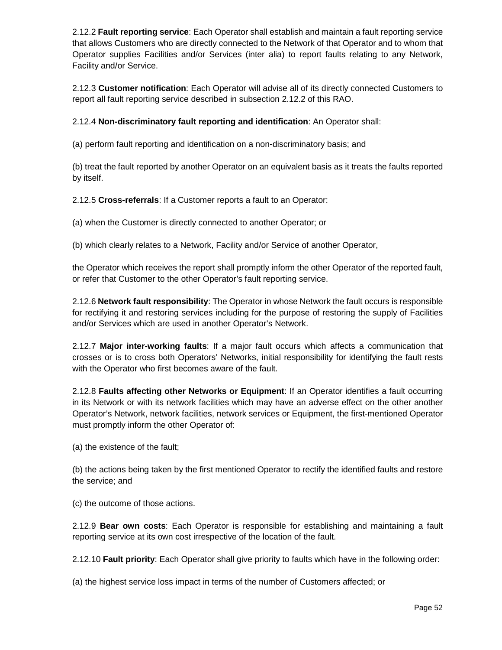2.12.2 **Fault reporting service**: Each Operator shall establish and maintain a fault reporting service that allows Customers who are directly connected to the Network of that Operator and to whom that Operator supplies Facilities and/or Services (inter alia) to report faults relating to any Network, Facility and/or Service.

2.12.3 **Customer notification**: Each Operator will advise all of its directly connected Customers to report all fault reporting service described in subsection 2.12.2 of this RAO.

2.12.4 **Non-discriminatory fault reporting and identification**: An Operator shall:

(a) perform fault reporting and identification on a non-discriminatory basis; and

(b) treat the fault reported by another Operator on an equivalent basis as it treats the faults reported by itself.

2.12.5 **Cross-referrals**: If a Customer reports a fault to an Operator:

(a) when the Customer is directly connected to another Operator; or

(b) which clearly relates to a Network, Facility and/or Service of another Operator,

the Operator which receives the report shall promptly inform the other Operator of the reported fault, or refer that Customer to the other Operator's fault reporting service.

2.12.6 **Network fault responsibility**: The Operator in whose Network the fault occurs is responsible for rectifying it and restoring services including for the purpose of restoring the supply of Facilities and/or Services which are used in another Operator's Network.

2.12.7 **Major inter-working faults**: If a major fault occurs which affects a communication that crosses or is to cross both Operators' Networks, initial responsibility for identifying the fault rests with the Operator who first becomes aware of the fault.

2.12.8 **Faults affecting other Networks or Equipment**: If an Operator identifies a fault occurring in its Network or with its network facilities which may have an adverse effect on the other another Operator's Network, network facilities, network services or Equipment, the first-mentioned Operator must promptly inform the other Operator of:

(a) the existence of the fault;

(b) the actions being taken by the first mentioned Operator to rectify the identified faults and restore the service; and

(c) the outcome of those actions.

2.12.9 **Bear own costs**: Each Operator is responsible for establishing and maintaining a fault reporting service at its own cost irrespective of the location of the fault.

2.12.10 **Fault priority**: Each Operator shall give priority to faults which have in the following order:

(a) the highest service loss impact in terms of the number of Customers affected; or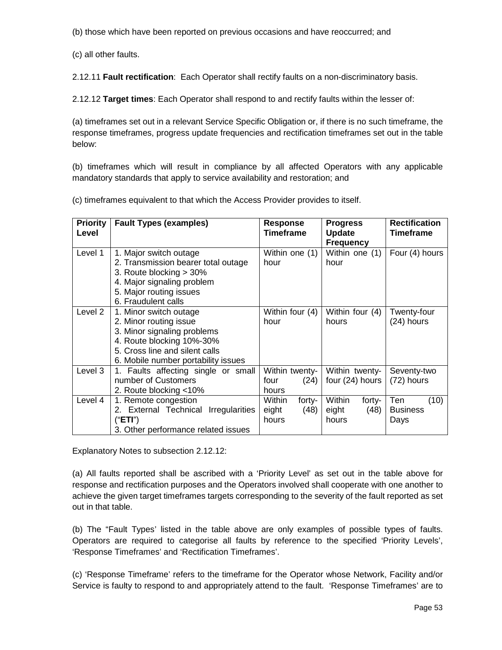(b) those which have been reported on previous occasions and have reoccurred; and

(c) all other faults.

2.12.11 **Fault rectification**: Each Operator shall rectify faults on a non-discriminatory basis.

2.12.12 **Target times**: Each Operator shall respond to and rectify faults within the lesser of:

(a) timeframes set out in a relevant Service Specific Obligation or, if there is no such timeframe, the response timeframes, progress update frequencies and rectification timeframes set out in the table below:

(b) timeframes which will result in compliance by all affected Operators with any applicable mandatory standards that apply to service availability and restoration; and

(c) timeframes equivalent to that which the Access Provider provides to itself.

| <b>Priority</b><br>Level | <b>Fault Types (examples)</b>                                                                                                                                                         | <b>Response</b><br><b>Timeframe</b>        | <b>Progress</b><br><b>Update</b><br><b>Frequency</b> | <b>Rectification</b><br><b>Timeframe</b> |
|--------------------------|---------------------------------------------------------------------------------------------------------------------------------------------------------------------------------------|--------------------------------------------|------------------------------------------------------|------------------------------------------|
| Level 1                  | 1. Major switch outage<br>2. Transmission bearer total outage<br>3. Route blocking > 30%<br>4. Major signaling problem<br>5. Major routing issues<br>6. Fraudulent calls              | Within one (1)<br>hour                     | Within one (1)<br>hour                               | Four (4) hours                           |
| Level 2                  | 1. Minor switch outage<br>2. Minor routing issue<br>3. Minor signaling problems<br>4. Route blocking 10%-30%<br>5. Cross line and silent calls<br>6. Mobile number portability issues | Within four (4)<br>hour                    | Within four (4)<br>hours                             | Twenty-four<br>(24) hours                |
| Level 3                  | 1. Faults affecting single or small<br>number of Customers<br>2. Route blocking <10%                                                                                                  | Within twenty-<br>(24)<br>four<br>hours    | Within twenty-<br>four (24) hours                    | Seventy-two<br>(72) hours                |
| Level 4                  | 1. Remote congestion<br>2. External Technical Irregularities<br>("ETI")<br>3. Other performance related issues                                                                        | Within<br>forty-<br>(48)<br>eight<br>hours | Within<br>forty-<br>eight<br>(48)<br>hours           | Ten<br>(10)<br><b>Business</b><br>Days   |

Explanatory Notes to subsection 2.12.12:

(a) All faults reported shall be ascribed with a 'Priority Level' as set out in the table above for response and rectification purposes and the Operators involved shall cooperate with one another to achieve the given target timeframes targets corresponding to the severity of the fault reported as set out in that table.

(b) The "Fault Types' listed in the table above are only examples of possible types of faults. Operators are required to categorise all faults by reference to the specified 'Priority Levels', 'Response Timeframes' and 'Rectification Timeframes'.

(c) 'Response Timeframe' refers to the timeframe for the Operator whose Network, Facility and/or Service is faulty to respond to and appropriately attend to the fault. 'Response Timeframes' are to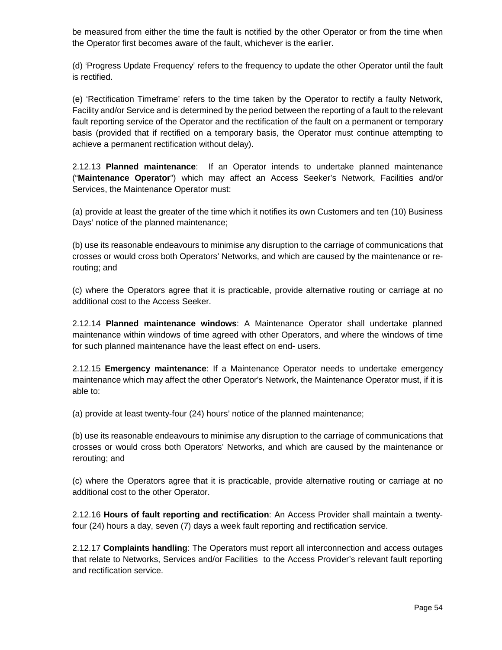be measured from either the time the fault is notified by the other Operator or from the time when the Operator first becomes aware of the fault, whichever is the earlier.

(d) 'Progress Update Frequency' refers to the frequency to update the other Operator until the fault is rectified.

(e) 'Rectification Timeframe' refers to the time taken by the Operator to rectify a faulty Network, Facility and/or Service and is determined by the period between the reporting of a fault to the relevant fault reporting service of the Operator and the rectification of the fault on a permanent or temporary basis (provided that if rectified on a temporary basis, the Operator must continue attempting to achieve a permanent rectification without delay).

2.12.13 **Planned maintenance**: If an Operator intends to undertake planned maintenance ("**Maintenance Operator**") which may affect an Access Seeker's Network, Facilities and/or Services, the Maintenance Operator must:

(a) provide at least the greater of the time which it notifies its own Customers and ten (10) Business Days' notice of the planned maintenance;

(b) use its reasonable endeavours to minimise any disruption to the carriage of communications that crosses or would cross both Operators' Networks, and which are caused by the maintenance or rerouting; and

(c) where the Operators agree that it is practicable, provide alternative routing or carriage at no additional cost to the Access Seeker.

2.12.14 **Planned maintenance windows**: A Maintenance Operator shall undertake planned maintenance within windows of time agreed with other Operators, and where the windows of time for such planned maintenance have the least effect on end- users.

2.12.15 **Emergency maintenance**: If a Maintenance Operator needs to undertake emergency maintenance which may affect the other Operator's Network, the Maintenance Operator must, if it is able to:

(a) provide at least twenty-four (24) hours' notice of the planned maintenance;

(b) use its reasonable endeavours to minimise any disruption to the carriage of communications that crosses or would cross both Operators' Networks, and which are caused by the maintenance or rerouting; and

(c) where the Operators agree that it is practicable, provide alternative routing or carriage at no additional cost to the other Operator.

2.12.16 **Hours of fault reporting and rectification**: An Access Provider shall maintain a twentyfour (24) hours a day, seven (7) days a week fault reporting and rectification service.

2.12.17 **Complaints handling**: The Operators must report all interconnection and access outages that relate to Networks, Services and/or Facilities to the Access Provider's relevant fault reporting and rectification service.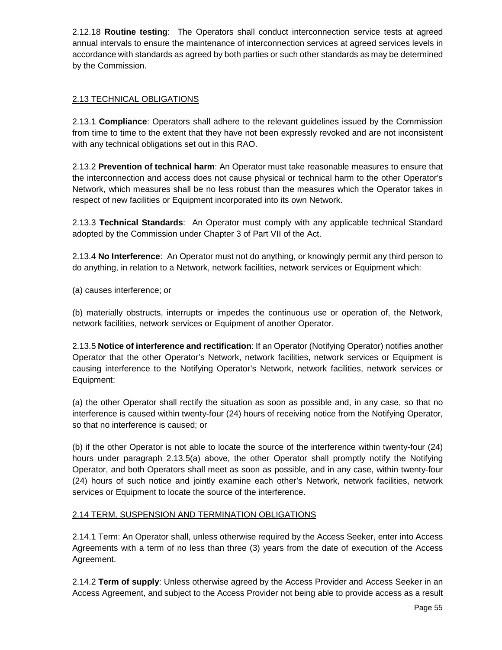2.12.18 **Routine testing**: The Operators shall conduct interconnection service tests at agreed annual intervals to ensure the maintenance of interconnection services at agreed services levels in accordance with standards as agreed by both parties or such other standards as may be determined by the Commission.

# 2.13 TECHNICAL OBLIGATIONS

2.13.1 **Compliance**: Operators shall adhere to the relevant guidelines issued by the Commission from time to time to the extent that they have not been expressly revoked and are not inconsistent with any technical obligations set out in this RAO.

2.13.2 **Prevention of technical harm**: An Operator must take reasonable measures to ensure that the interconnection and access does not cause physical or technical harm to the other Operator's Network, which measures shall be no less robust than the measures which the Operator takes in respect of new facilities or Equipment incorporated into its own Network.

2.13.3 **Technical Standards**: An Operator must comply with any applicable technical Standard adopted by the Commission under Chapter 3 of Part VII of the Act.

2.13.4 **No Interference**: An Operator must not do anything, or knowingly permit any third person to do anything, in relation to a Network, network facilities, network services or Equipment which:

(a) causes interference; or

(b) materially obstructs, interrupts or impedes the continuous use or operation of, the Network, network facilities, network services or Equipment of another Operator.

2.13.5 **Notice of interference and rectification**: If an Operator (Notifying Operator) notifies another Operator that the other Operator's Network, network facilities, network services or Equipment is causing interference to the Notifying Operator's Network, network facilities, network services or Equipment:

(a) the other Operator shall rectify the situation as soon as possible and, in any case, so that no interference is caused within twenty-four (24) hours of receiving notice from the Notifying Operator, so that no interference is caused; or

(b) if the other Operator is not able to locate the source of the interference within twenty-four (24) hours under paragraph 2.13.5(a) above, the other Operator shall promptly notify the Notifying Operator, and both Operators shall meet as soon as possible, and in any case, within twenty-four (24) hours of such notice and jointly examine each other's Network, network facilities, network services or Equipment to locate the source of the interference.

## 2.14 TERM, SUSPENSION AND TERMINATION OBLIGATIONS

2.14.1 Term: An Operator shall, unless otherwise required by the Access Seeker, enter into Access Agreements with a term of no less than three (3) years from the date of execution of the Access Agreement.

2.14.2 **Term of supply**: Unless otherwise agreed by the Access Provider and Access Seeker in an Access Agreement, and subject to the Access Provider not being able to provide access as a result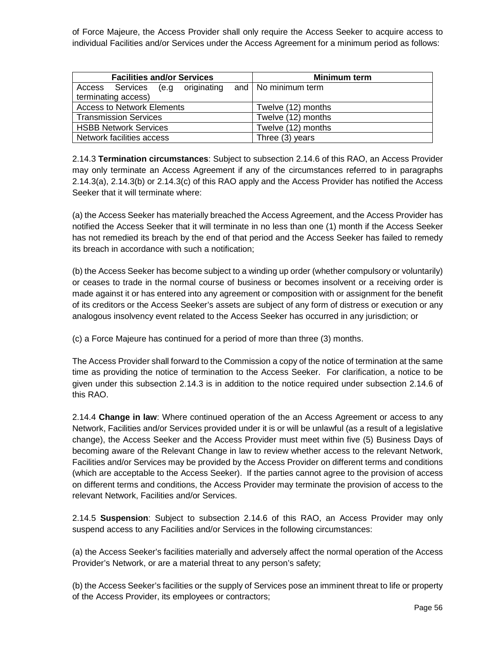of Force Majeure, the Access Provider shall only require the Access Seeker to acquire access to individual Facilities and/or Services under the Access Agreement for a minimum period as follows:

| <b>Facilities and/or Services</b>                    | Minimum term       |  |
|------------------------------------------------------|--------------------|--|
| Access Services (e.g originating and No minimum term |                    |  |
| terminating access)                                  |                    |  |
| <b>Access to Network Elements</b>                    | Twelve (12) months |  |
| <b>Transmission Services</b>                         | Twelve (12) months |  |
| <b>HSBB Network Services</b>                         | Twelve (12) months |  |
| Network facilities access                            | Three $(3)$ years  |  |

2.14.3 **Termination circumstances**: Subject to subsection 2.14.6 of this RAO, an Access Provider may only terminate an Access Agreement if any of the circumstances referred to in paragraphs 2.14.3(a), 2.14.3(b) or 2.14.3(c) of this RAO apply and the Access Provider has notified the Access Seeker that it will terminate where:

(a) the Access Seeker has materially breached the Access Agreement, and the Access Provider has notified the Access Seeker that it will terminate in no less than one (1) month if the Access Seeker has not remedied its breach by the end of that period and the Access Seeker has failed to remedy its breach in accordance with such a notification;

(b) the Access Seeker has become subject to a winding up order (whether compulsory or voluntarily) or ceases to trade in the normal course of business or becomes insolvent or a receiving order is made against it or has entered into any agreement or composition with or assignment for the benefit of its creditors or the Access Seeker's assets are subject of any form of distress or execution or any analogous insolvency event related to the Access Seeker has occurred in any jurisdiction; or

(c) a Force Majeure has continued for a period of more than three (3) months.

The Access Provider shall forward to the Commission a copy of the notice of termination at the same time as providing the notice of termination to the Access Seeker. For clarification, a notice to be given under this subsection 2.14.3 is in addition to the notice required under subsection 2.14.6 of this RAO.

2.14.4 **Change in law**: Where continued operation of the an Access Agreement or access to any Network, Facilities and/or Services provided under it is or will be unlawful (as a result of a legislative change), the Access Seeker and the Access Provider must meet within five (5) Business Days of becoming aware of the Relevant Change in law to review whether access to the relevant Network, Facilities and/or Services may be provided by the Access Provider on different terms and conditions (which are acceptable to the Access Seeker). If the parties cannot agree to the provision of access on different terms and conditions, the Access Provider may terminate the provision of access to the relevant Network, Facilities and/or Services.

2.14.5 **Suspension**: Subject to subsection 2.14.6 of this RAO, an Access Provider may only suspend access to any Facilities and/or Services in the following circumstances:

(a) the Access Seeker's facilities materially and adversely affect the normal operation of the Access Provider's Network, or are a material threat to any person's safety;

(b) the Access Seeker's facilities or the supply of Services pose an imminent threat to life or property of the Access Provider, its employees or contractors;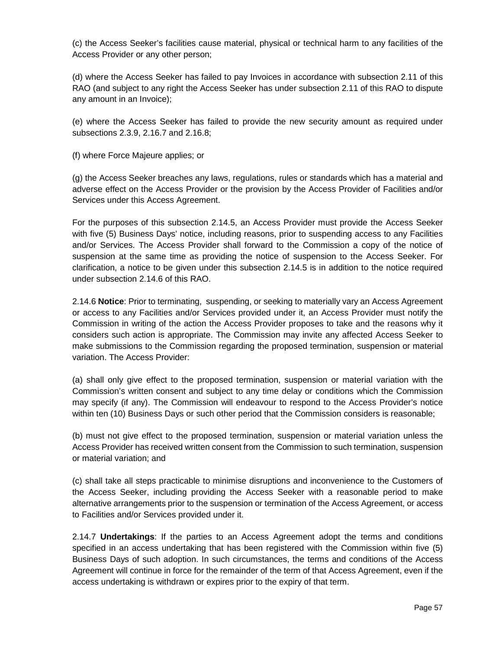(c) the Access Seeker's facilities cause material, physical or technical harm to any facilities of the Access Provider or any other person;

(d) where the Access Seeker has failed to pay Invoices in accordance with subsection 2.11 of this RAO (and subject to any right the Access Seeker has under subsection 2.11 of this RAO to dispute any amount in an Invoice);

(e) where the Access Seeker has failed to provide the new security amount as required under subsections 2.3.9, 2.16.7 and 2.16.8;

(f) where Force Majeure applies; or

(g) the Access Seeker breaches any laws, regulations, rules or standards which has a material and adverse effect on the Access Provider or the provision by the Access Provider of Facilities and/or Services under this Access Agreement.

For the purposes of this subsection 2.14.5, an Access Provider must provide the Access Seeker with five (5) Business Days' notice, including reasons, prior to suspending access to any Facilities and/or Services. The Access Provider shall forward to the Commission a copy of the notice of suspension at the same time as providing the notice of suspension to the Access Seeker. For clarification, a notice to be given under this subsection 2.14.5 is in addition to the notice required under subsection 2.14.6 of this RAO.

2.14.6 **Notice**: Prior to terminating, suspending, or seeking to materially vary an Access Agreement or access to any Facilities and/or Services provided under it, an Access Provider must notify the Commission in writing of the action the Access Provider proposes to take and the reasons why it considers such action is appropriate. The Commission may invite any affected Access Seeker to make submissions to the Commission regarding the proposed termination, suspension or material variation. The Access Provider:

(a) shall only give effect to the proposed termination, suspension or material variation with the Commission's written consent and subject to any time delay or conditions which the Commission may specify (if any). The Commission will endeavour to respond to the Access Provider's notice within ten (10) Business Days or such other period that the Commission considers is reasonable;

(b) must not give effect to the proposed termination, suspension or material variation unless the Access Provider has received written consent from the Commission to such termination, suspension or material variation; and

(c) shall take all steps practicable to minimise disruptions and inconvenience to the Customers of the Access Seeker, including providing the Access Seeker with a reasonable period to make alternative arrangements prior to the suspension or termination of the Access Agreement, or access to Facilities and/or Services provided under it.

2.14.7 **Undertakings**: If the parties to an Access Agreement adopt the terms and conditions specified in an access undertaking that has been registered with the Commission within five (5) Business Days of such adoption. In such circumstances, the terms and conditions of the Access Agreement will continue in force for the remainder of the term of that Access Agreement, even if the access undertaking is withdrawn or expires prior to the expiry of that term.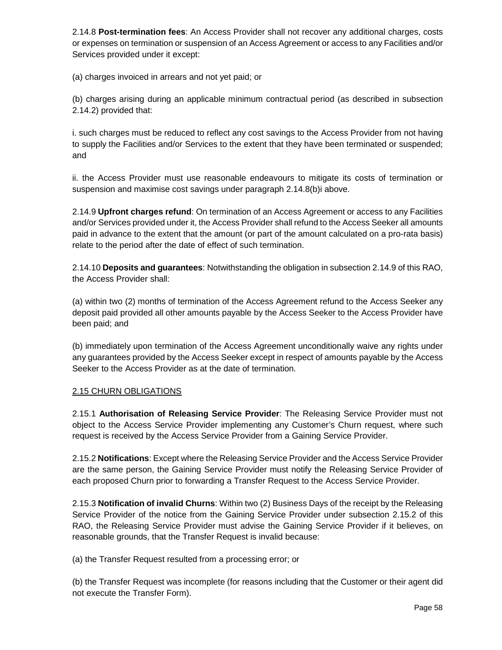2.14.8 **Post-termination fees**: An Access Provider shall not recover any additional charges, costs or expenses on termination or suspension of an Access Agreement or access to any Facilities and/or Services provided under it except:

(a) charges invoiced in arrears and not yet paid; or

(b) charges arising during an applicable minimum contractual period (as described in subsection 2.14.2) provided that:

i. such charges must be reduced to reflect any cost savings to the Access Provider from not having to supply the Facilities and/or Services to the extent that they have been terminated or suspended; and

ii. the Access Provider must use reasonable endeavours to mitigate its costs of termination or suspension and maximise cost savings under paragraph 2.14.8(b)i above.

2.14.9 **Upfront charges refund**: On termination of an Access Agreement or access to any Facilities and/or Services provided under it, the Access Provider shall refund to the Access Seeker all amounts paid in advance to the extent that the amount (or part of the amount calculated on a pro-rata basis) relate to the period after the date of effect of such termination.

2.14.10 **Deposits and guarantees**: Notwithstanding the obligation in subsection 2.14.9 of this RAO, the Access Provider shall:

(a) within two (2) months of termination of the Access Agreement refund to the Access Seeker any deposit paid provided all other amounts payable by the Access Seeker to the Access Provider have been paid; and

(b) immediately upon termination of the Access Agreement unconditionally waive any rights under any guarantees provided by the Access Seeker except in respect of amounts payable by the Access Seeker to the Access Provider as at the date of termination.

#### 2.15 CHURN OBLIGATIONS

2.15.1 **Authorisation of Releasing Service Provider**: The Releasing Service Provider must not object to the Access Service Provider implementing any Customer's Churn request, where such request is received by the Access Service Provider from a Gaining Service Provider.

2.15.2 **Notifications**: Except where the Releasing Service Provider and the Access Service Provider are the same person, the Gaining Service Provider must notify the Releasing Service Provider of each proposed Churn prior to forwarding a Transfer Request to the Access Service Provider.

2.15.3 **Notification of invalid Churns**: Within two (2) Business Days of the receipt by the Releasing Service Provider of the notice from the Gaining Service Provider under subsection 2.15.2 of this RAO, the Releasing Service Provider must advise the Gaining Service Provider if it believes, on reasonable grounds, that the Transfer Request is invalid because:

(a) the Transfer Request resulted from a processing error; or

(b) the Transfer Request was incomplete (for reasons including that the Customer or their agent did not execute the Transfer Form).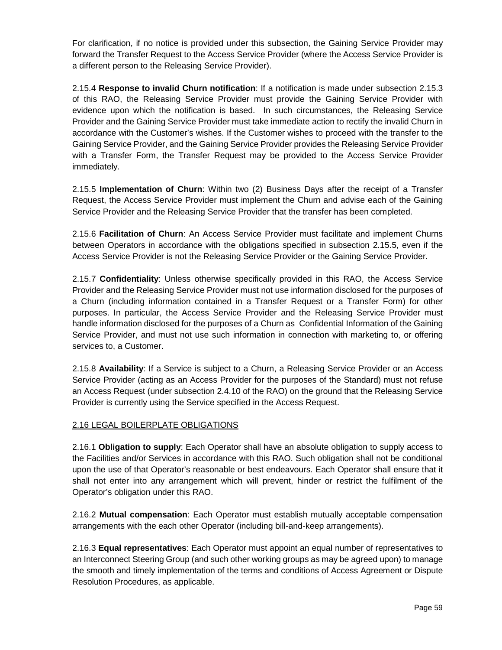For clarification, if no notice is provided under this subsection, the Gaining Service Provider may forward the Transfer Request to the Access Service Provider (where the Access Service Provider is a different person to the Releasing Service Provider).

2.15.4 **Response to invalid Churn notification**: If a notification is made under subsection 2.15.3 of this RAO, the Releasing Service Provider must provide the Gaining Service Provider with evidence upon which the notification is based. In such circumstances, the Releasing Service Provider and the Gaining Service Provider must take immediate action to rectify the invalid Churn in accordance with the Customer's wishes. If the Customer wishes to proceed with the transfer to the Gaining Service Provider, and the Gaining Service Provider provides the Releasing Service Provider with a Transfer Form, the Transfer Request may be provided to the Access Service Provider immediately.

2.15.5 **Implementation of Churn**: Within two (2) Business Days after the receipt of a Transfer Request, the Access Service Provider must implement the Churn and advise each of the Gaining Service Provider and the Releasing Service Provider that the transfer has been completed.

2.15.6 **Facilitation of Churn**: An Access Service Provider must facilitate and implement Churns between Operators in accordance with the obligations specified in subsection 2.15.5, even if the Access Service Provider is not the Releasing Service Provider or the Gaining Service Provider.

2.15.7 **Confidentiality**: Unless otherwise specifically provided in this RAO, the Access Service Provider and the Releasing Service Provider must not use information disclosed for the purposes of a Churn (including information contained in a Transfer Request or a Transfer Form) for other purposes. In particular, the Access Service Provider and the Releasing Service Provider must handle information disclosed for the purposes of a Churn as Confidential Information of the Gaining Service Provider, and must not use such information in connection with marketing to, or offering services to, a Customer.

2.15.8 **Availability**: If a Service is subject to a Churn, a Releasing Service Provider or an Access Service Provider (acting as an Access Provider for the purposes of the Standard) must not refuse an Access Request (under subsection 2.4.10 of the RAO) on the ground that the Releasing Service Provider is currently using the Service specified in the Access Request.

#### 2.16 LEGAL BOILERPLATE OBLIGATIONS

2.16.1 **Obligation to supply**: Each Operator shall have an absolute obligation to supply access to the Facilities and/or Services in accordance with this RAO. Such obligation shall not be conditional upon the use of that Operator's reasonable or best endeavours. Each Operator shall ensure that it shall not enter into any arrangement which will prevent, hinder or restrict the fulfilment of the Operator's obligation under this RAO.

2.16.2 **Mutual compensation**: Each Operator must establish mutually acceptable compensation arrangements with the each other Operator (including bill-and-keep arrangements).

2.16.3 **Equal representatives**: Each Operator must appoint an equal number of representatives to an Interconnect Steering Group (and such other working groups as may be agreed upon) to manage the smooth and timely implementation of the terms and conditions of Access Agreement or Dispute Resolution Procedures, as applicable.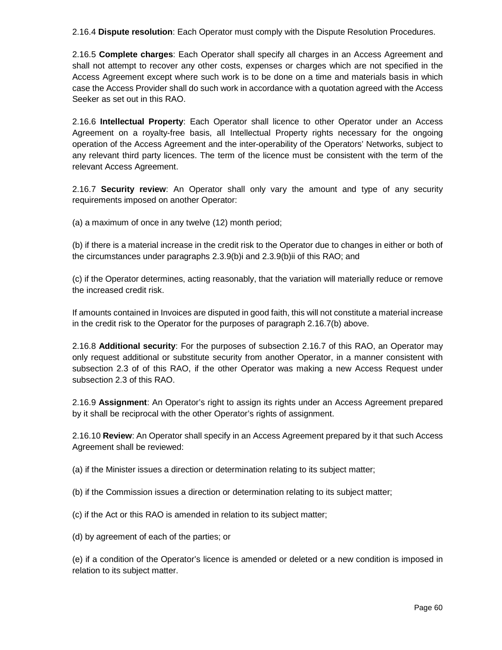2.16.4 **Dispute resolution**: Each Operator must comply with the Dispute Resolution Procedures.

2.16.5 **Complete charges**: Each Operator shall specify all charges in an Access Agreement and shall not attempt to recover any other costs, expenses or charges which are not specified in the Access Agreement except where such work is to be done on a time and materials basis in which case the Access Provider shall do such work in accordance with a quotation agreed with the Access Seeker as set out in this RAO.

2.16.6 **Intellectual Property**: Each Operator shall licence to other Operator under an Access Agreement on a royalty-free basis, all Intellectual Property rights necessary for the ongoing operation of the Access Agreement and the inter-operability of the Operators' Networks, subject to any relevant third party licences. The term of the licence must be consistent with the term of the relevant Access Agreement.

2.16.7 **Security review**: An Operator shall only vary the amount and type of any security requirements imposed on another Operator:

(a) a maximum of once in any twelve (12) month period;

(b) if there is a material increase in the credit risk to the Operator due to changes in either or both of the circumstances under paragraphs 2.3.9(b)i and 2.3.9(b)ii of this RAO; and

(c) if the Operator determines, acting reasonably, that the variation will materially reduce or remove the increased credit risk.

If amounts contained in Invoices are disputed in good faith, this will not constitute a material increase in the credit risk to the Operator for the purposes of paragraph 2.16.7(b) above.

2.16.8 **Additional security**: For the purposes of subsection 2.16.7 of this RAO, an Operator may only request additional or substitute security from another Operator, in a manner consistent with subsection 2.3 of of this RAO, if the other Operator was making a new Access Request under subsection 2.3 of this RAO.

2.16.9 **Assignment**: An Operator's right to assign its rights under an Access Agreement prepared by it shall be reciprocal with the other Operator's rights of assignment.

2.16.10 **Review**: An Operator shall specify in an Access Agreement prepared by it that such Access Agreement shall be reviewed:

(a) if the Minister issues a direction or determination relating to its subject matter;

(b) if the Commission issues a direction or determination relating to its subject matter;

(c) if the Act or this RAO is amended in relation to its subject matter;

(d) by agreement of each of the parties; or

(e) if a condition of the Operator's licence is amended or deleted or a new condition is imposed in relation to its subject matter.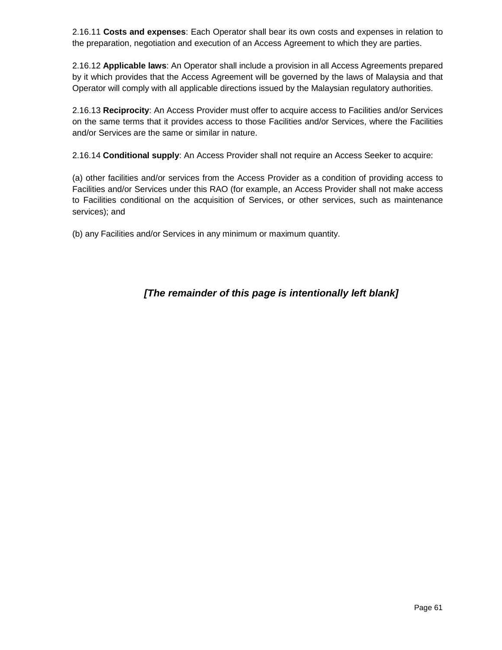2.16.11 **Costs and expenses**: Each Operator shall bear its own costs and expenses in relation to the preparation, negotiation and execution of an Access Agreement to which they are parties.

2.16.12 **Applicable laws**: An Operator shall include a provision in all Access Agreements prepared by it which provides that the Access Agreement will be governed by the laws of Malaysia and that Operator will comply with all applicable directions issued by the Malaysian regulatory authorities.

2.16.13 **Reciprocity**: An Access Provider must offer to acquire access to Facilities and/or Services on the same terms that it provides access to those Facilities and/or Services, where the Facilities and/or Services are the same or similar in nature.

2.16.14 **Conditional supply**: An Access Provider shall not require an Access Seeker to acquire:

(a) other facilities and/or services from the Access Provider as a condition of providing access to Facilities and/or Services under this RAO (for example, an Access Provider shall not make access to Facilities conditional on the acquisition of Services, or other services, such as maintenance services); and

(b) any Facilities and/or Services in any minimum or maximum quantity.

# **[The remainder of this page is intentionally left blank]**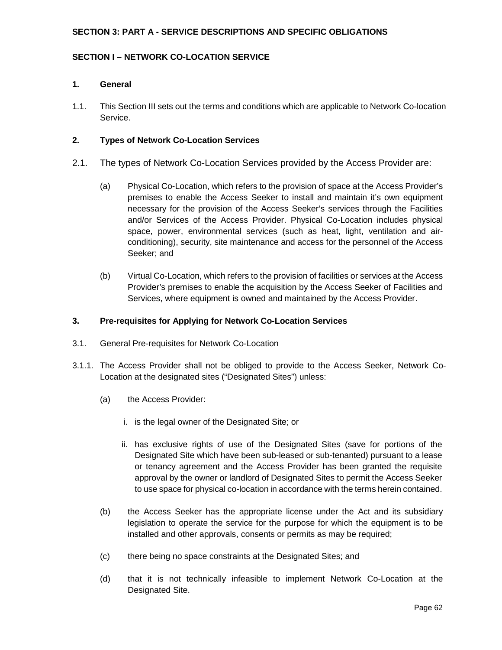## **SECTION 3: PART A - SERVICE DESCRIPTIONS AND SPECIFIC OBLIGATIONS**

## **SECTION I – NETWORK CO-LOCATION SERVICE**

#### **1. General**

1.1. This Section III sets out the terms and conditions which are applicable to Network Co-location Service.

#### **2. Types of Network Co-Location Services**

- 2.1. The types of Network Co-Location Services provided by the Access Provider are:
	- (a) Physical Co-Location, which refers to the provision of space at the Access Provider's premises to enable the Access Seeker to install and maintain it's own equipment necessary for the provision of the Access Seeker's services through the Facilities and/or Services of the Access Provider. Physical Co-Location includes physical space, power, environmental services (such as heat, light, ventilation and airconditioning), security, site maintenance and access for the personnel of the Access Seeker; and
	- (b) Virtual Co-Location, which refers to the provision of facilities or services at the Access Provider's premises to enable the acquisition by the Access Seeker of Facilities and Services, where equipment is owned and maintained by the Access Provider.

#### **3. Pre-requisites for Applying for Network Co-Location Services**

- 3.1. General Pre-requisites for Network Co-Location
- 3.1.1. The Access Provider shall not be obliged to provide to the Access Seeker, Network Co-Location at the designated sites ("Designated Sites") unless:
	- (a) the Access Provider:
		- i. is the legal owner of the Designated Site; or
		- ii. has exclusive rights of use of the Designated Sites (save for portions of the Designated Site which have been sub-leased or sub-tenanted) pursuant to a lease or tenancy agreement and the Access Provider has been granted the requisite approval by the owner or landlord of Designated Sites to permit the Access Seeker to use space for physical co-location in accordance with the terms herein contained.
	- (b) the Access Seeker has the appropriate license under the Act and its subsidiary legislation to operate the service for the purpose for which the equipment is to be installed and other approvals, consents or permits as may be required;
	- (c) there being no space constraints at the Designated Sites; and
	- (d) that it is not technically infeasible to implement Network Co-Location at the Designated Site.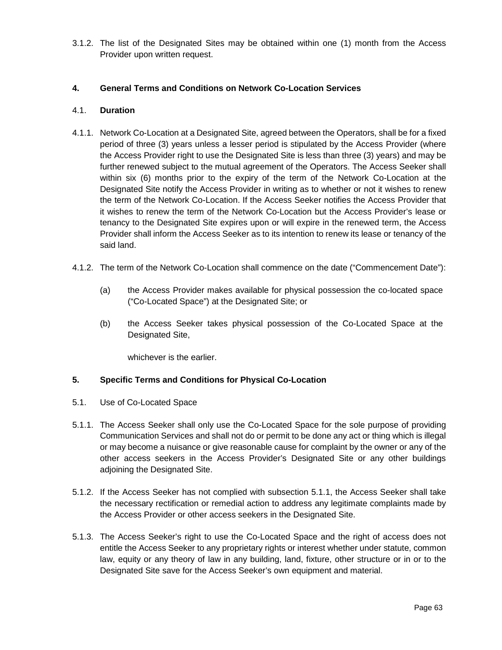3.1.2. The list of the Designated Sites may be obtained within one (1) month from the Access Provider upon written request.

# **4. General Terms and Conditions on Network Co-Location Services**

#### 4.1. **Duration**

- 4.1.1. Network Co-Location at a Designated Site, agreed between the Operators, shall be for a fixed period of three (3) years unless a lesser period is stipulated by the Access Provider (where the Access Provider right to use the Designated Site is less than three (3) years) and may be further renewed subject to the mutual agreement of the Operators. The Access Seeker shall within six (6) months prior to the expiry of the term of the Network Co-Location at the Designated Site notify the Access Provider in writing as to whether or not it wishes to renew the term of the Network Co-Location. If the Access Seeker notifies the Access Provider that it wishes to renew the term of the Network Co-Location but the Access Provider's lease or tenancy to the Designated Site expires upon or will expire in the renewed term, the Access Provider shall inform the Access Seeker as to its intention to renew its lease or tenancy of the said land.
- 4.1.2. The term of the Network Co-Location shall commence on the date ("Commencement Date"):
	- (a) the Access Provider makes available for physical possession the co-located space ("Co-Located Space") at the Designated Site; or
	- (b) the Access Seeker takes physical possession of the Co-Located Space at the Designated Site,

whichever is the earlier.

#### **5. Specific Terms and Conditions for Physical Co-Location**

- 5.1. Use of Co-Located Space
- 5.1.1. The Access Seeker shall only use the Co-Located Space for the sole purpose of providing Communication Services and shall not do or permit to be done any act or thing which is illegal or may become a nuisance or give reasonable cause for complaint by the owner or any of the other access seekers in the Access Provider's Designated Site or any other buildings adjoining the Designated Site.
- 5.1.2. If the Access Seeker has not complied with subsection 5.1.1, the Access Seeker shall take the necessary rectification or remedial action to address any legitimate complaints made by the Access Provider or other access seekers in the Designated Site.
- 5.1.3. The Access Seeker's right to use the Co-Located Space and the right of access does not entitle the Access Seeker to any proprietary rights or interest whether under statute, common law, equity or any theory of law in any building, land, fixture, other structure or in or to the Designated Site save for the Access Seeker's own equipment and material.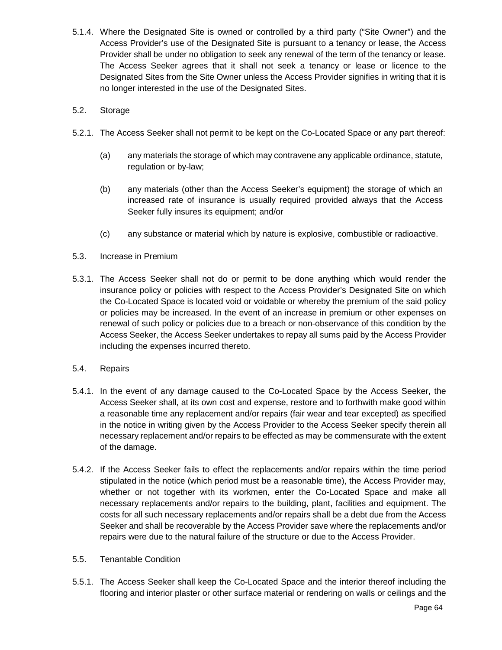- 5.1.4. Where the Designated Site is owned or controlled by a third party ("Site Owner") and the Access Provider's use of the Designated Site is pursuant to a tenancy or lease, the Access Provider shall be under no obligation to seek any renewal of the term of the tenancy or lease. The Access Seeker agrees that it shall not seek a tenancy or lease or licence to the Designated Sites from the Site Owner unless the Access Provider signifies in writing that it is no longer interested in the use of the Designated Sites.
- 5.2. Storage
- 5.2.1. The Access Seeker shall not permit to be kept on the Co-Located Space or any part thereof:
	- (a) any materials the storage of which may contravene any applicable ordinance, statute, regulation or by-law;
	- (b) any materials (other than the Access Seeker's equipment) the storage of which an increased rate of insurance is usually required provided always that the Access Seeker fully insures its equipment; and/or
	- (c) any substance or material which by nature is explosive, combustible or radioactive.
- 5.3. Increase in Premium
- 5.3.1. The Access Seeker shall not do or permit to be done anything which would render the insurance policy or policies with respect to the Access Provider's Designated Site on which the Co-Located Space is located void or voidable or whereby the premium of the said policy or policies may be increased. In the event of an increase in premium or other expenses on renewal of such policy or policies due to a breach or non-observance of this condition by the Access Seeker, the Access Seeker undertakes to repay all sums paid by the Access Provider including the expenses incurred thereto.
- 5.4. Repairs
- 5.4.1. In the event of any damage caused to the Co-Located Space by the Access Seeker, the Access Seeker shall, at its own cost and expense, restore and to forthwith make good within a reasonable time any replacement and/or repairs (fair wear and tear excepted) as specified in the notice in writing given by the Access Provider to the Access Seeker specify therein all necessary replacement and/or repairs to be effected as may be commensurate with the extent of the damage.
- 5.4.2. If the Access Seeker fails to effect the replacements and/or repairs within the time period stipulated in the notice (which period must be a reasonable time), the Access Provider may, whether or not together with its workmen, enter the Co-Located Space and make all necessary replacements and/or repairs to the building, plant, facilities and equipment. The costs for all such necessary replacements and/or repairs shall be a debt due from the Access Seeker and shall be recoverable by the Access Provider save where the replacements and/or repairs were due to the natural failure of the structure or due to the Access Provider.
- 5.5. Tenantable Condition
- 5.5.1. The Access Seeker shall keep the Co-Located Space and the interior thereof including the flooring and interior plaster or other surface material or rendering on walls or ceilings and the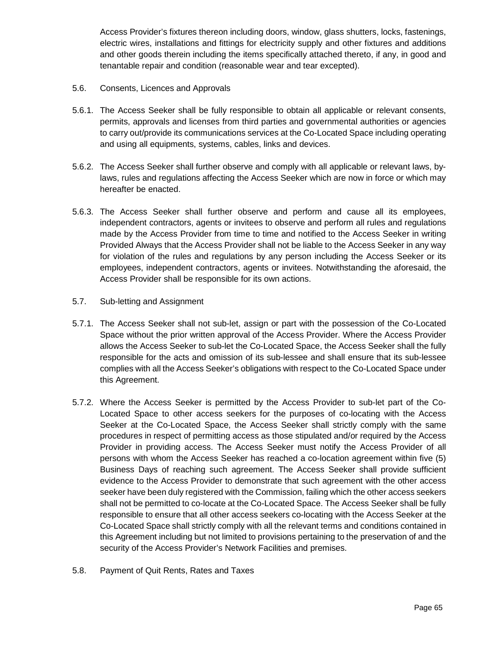Access Provider's fixtures thereon including doors, window, glass shutters, locks, fastenings, electric wires, installations and fittings for electricity supply and other fixtures and additions and other goods therein including the items specifically attached thereto, if any, in good and tenantable repair and condition (reasonable wear and tear excepted).

- 5.6. Consents, Licences and Approvals
- 5.6.1. The Access Seeker shall be fully responsible to obtain all applicable or relevant consents, permits, approvals and licenses from third parties and governmental authorities or agencies to carry out/provide its communications services at the Co-Located Space including operating and using all equipments, systems, cables, links and devices.
- 5.6.2. The Access Seeker shall further observe and comply with all applicable or relevant laws, bylaws, rules and regulations affecting the Access Seeker which are now in force or which may hereafter be enacted.
- 5.6.3. The Access Seeker shall further observe and perform and cause all its employees, independent contractors, agents or invitees to observe and perform all rules and regulations made by the Access Provider from time to time and notified to the Access Seeker in writing Provided Always that the Access Provider shall not be liable to the Access Seeker in any way for violation of the rules and regulations by any person including the Access Seeker or its employees, independent contractors, agents or invitees. Notwithstanding the aforesaid, the Access Provider shall be responsible for its own actions.
- 5.7. Sub-letting and Assignment
- 5.7.1. The Access Seeker shall not sub-let, assign or part with the possession of the Co-Located Space without the prior written approval of the Access Provider. Where the Access Provider allows the Access Seeker to sub-let the Co-Located Space, the Access Seeker shall the fully responsible for the acts and omission of its sub-lessee and shall ensure that its sub-lessee complies with all the Access Seeker's obligations with respect to the Co-Located Space under this Agreement.
- 5.7.2. Where the Access Seeker is permitted by the Access Provider to sub-let part of the Co-Located Space to other access seekers for the purposes of co-locating with the Access Seeker at the Co-Located Space, the Access Seeker shall strictly comply with the same procedures in respect of permitting access as those stipulated and/or required by the Access Provider in providing access. The Access Seeker must notify the Access Provider of all persons with whom the Access Seeker has reached a co-location agreement within five (5) Business Days of reaching such agreement. The Access Seeker shall provide sufficient evidence to the Access Provider to demonstrate that such agreement with the other access seeker have been duly registered with the Commission, failing which the other access seekers shall not be permitted to co-locate at the Co-Located Space. The Access Seeker shall be fully responsible to ensure that all other access seekers co-locating with the Access Seeker at the Co-Located Space shall strictly comply with all the relevant terms and conditions contained in this Agreement including but not limited to provisions pertaining to the preservation of and the security of the Access Provider's Network Facilities and premises.
- 5.8. Payment of Quit Rents, Rates and Taxes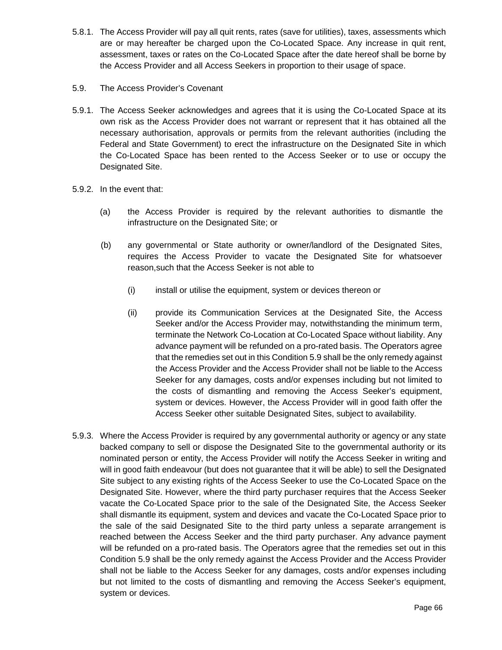- 5.8.1. The Access Provider will pay all quit rents, rates (save for utilities), taxes, assessments which are or may hereafter be charged upon the Co-Located Space. Any increase in quit rent, assessment, taxes or rates on the Co-Located Space after the date hereof shall be borne by the Access Provider and all Access Seekers in proportion to their usage of space.
- 5.9. The Access Provider's Covenant
- 5.9.1. The Access Seeker acknowledges and agrees that it is using the Co-Located Space at its own risk as the Access Provider does not warrant or represent that it has obtained all the necessary authorisation, approvals or permits from the relevant authorities (including the Federal and State Government) to erect the infrastructure on the Designated Site in which the Co-Located Space has been rented to the Access Seeker or to use or occupy the Designated Site.
- 5.9.2. In the event that:
	- (a) the Access Provider is required by the relevant authorities to dismantle the infrastructure on the Designated Site; or
	- (b) any governmental or State authority or owner/landlord of the Designated Sites, requires the Access Provider to vacate the Designated Site for whatsoever reason,such that the Access Seeker is not able to
		- (i) install or utilise the equipment, system or devices thereon or
		- (ii) provide its Communication Services at the Designated Site, the Access Seeker and/or the Access Provider may, notwithstanding the minimum term, terminate the Network Co-Location at Co-Located Space without liability. Any advance payment will be refunded on a pro-rated basis. The Operators agree that the remedies set out in this Condition 5.9 shall be the only remedy against the Access Provider and the Access Provider shall not be liable to the Access Seeker for any damages, costs and/or expenses including but not limited to the costs of dismantling and removing the Access Seeker's equipment, system or devices. However, the Access Provider will in good faith offer the Access Seeker other suitable Designated Sites, subject to availability.
- 5.9.3. Where the Access Provider is required by any governmental authority or agency or any state backed company to sell or dispose the Designated Site to the governmental authority or its nominated person or entity, the Access Provider will notify the Access Seeker in writing and will in good faith endeavour (but does not guarantee that it will be able) to sell the Designated Site subject to any existing rights of the Access Seeker to use the Co-Located Space on the Designated Site. However, where the third party purchaser requires that the Access Seeker vacate the Co-Located Space prior to the sale of the Designated Site, the Access Seeker shall dismantle its equipment, system and devices and vacate the Co-Located Space prior to the sale of the said Designated Site to the third party unless a separate arrangement is reached between the Access Seeker and the third party purchaser. Any advance payment will be refunded on a pro-rated basis. The Operators agree that the remedies set out in this Condition 5.9 shall be the only remedy against the Access Provider and the Access Provider shall not be liable to the Access Seeker for any damages, costs and/or expenses including but not limited to the costs of dismantling and removing the Access Seeker's equipment, system or devices.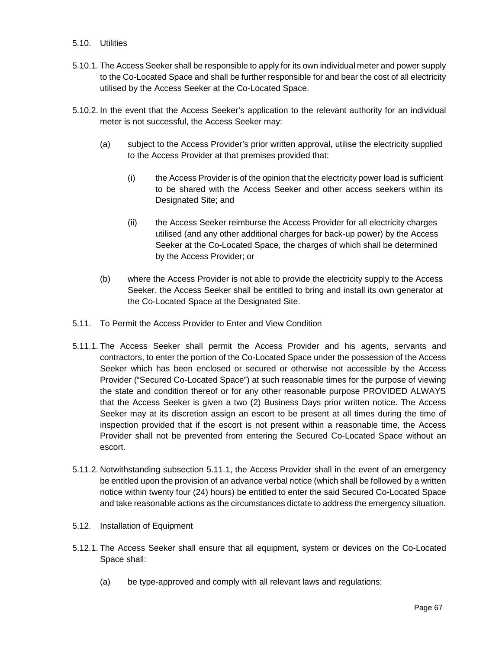## 5.10. Utilities

- 5.10.1. The Access Seeker shall be responsible to apply for its own individual meter and power supply to the Co-Located Space and shall be further responsible for and bear the cost of all electricity utilised by the Access Seeker at the Co-Located Space.
- 5.10.2. In the event that the Access Seeker's application to the relevant authority for an individual meter is not successful, the Access Seeker may:
	- (a) subject to the Access Provider's prior written approval, utilise the electricity supplied to the Access Provider at that premises provided that:
		- (i) the Access Provider is of the opinion that the electricity power load is sufficient to be shared with the Access Seeker and other access seekers within its Designated Site; and
		- (ii) the Access Seeker reimburse the Access Provider for all electricity charges utilised (and any other additional charges for back-up power) by the Access Seeker at the Co-Located Space, the charges of which shall be determined by the Access Provider; or
	- (b) where the Access Provider is not able to provide the electricity supply to the Access Seeker, the Access Seeker shall be entitled to bring and install its own generator at the Co-Located Space at the Designated Site.
- 5.11. To Permit the Access Provider to Enter and View Condition
- 5.11.1. The Access Seeker shall permit the Access Provider and his agents, servants and contractors, to enter the portion of the Co-Located Space under the possession of the Access Seeker which has been enclosed or secured or otherwise not accessible by the Access Provider ("Secured Co-Located Space") at such reasonable times for the purpose of viewing the state and condition thereof or for any other reasonable purpose PROVIDED ALWAYS that the Access Seeker is given a two (2) Business Days prior written notice. The Access Seeker may at its discretion assign an escort to be present at all times during the time of inspection provided that if the escort is not present within a reasonable time, the Access Provider shall not be prevented from entering the Secured Co-Located Space without an escort.
- 5.11.2. Notwithstanding subsection 5.11.1, the Access Provider shall in the event of an emergency be entitled upon the provision of an advance verbal notice (which shall be followed by a written notice within twenty four (24) hours) be entitled to enter the said Secured Co-Located Space and take reasonable actions as the circumstances dictate to address the emergency situation.
- 5.12. Installation of Equipment
- 5.12.1. The Access Seeker shall ensure that all equipment, system or devices on the Co-Located Space shall:
	- (a) be type-approved and comply with all relevant laws and regulations;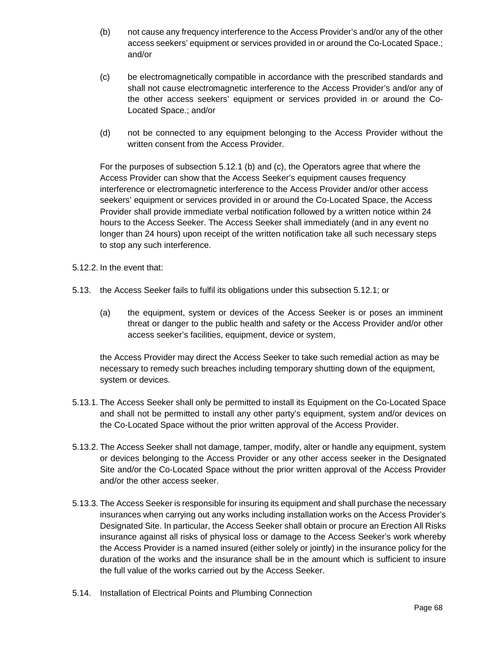- (b) not cause any frequency interference to the Access Provider's and/or any of the other access seekers' equipment or services provided in or around the Co-Located Space.; and/or
- (c) be electromagnetically compatible in accordance with the prescribed standards and shall not cause electromagnetic interference to the Access Provider's and/or any of the other access seekers' equipment or services provided in or around the Co-Located Space.; and/or
- (d) not be connected to any equipment belonging to the Access Provider without the written consent from the Access Provider.

For the purposes of subsection 5.12.1 (b) and (c), the Operators agree that where the Access Provider can show that the Access Seeker's equipment causes frequency interference or electromagnetic interference to the Access Provider and/or other access seekers' equipment or services provided in or around the Co-Located Space, the Access Provider shall provide immediate verbal notification followed by a written notice within 24 hours to the Access Seeker. The Access Seeker shall immediately (and in any event no longer than 24 hours) upon receipt of the written notification take all such necessary steps to stop any such interference.

- 5.12.2. In the event that:
- 5.13. the Access Seeker fails to fulfil its obligations under this subsection 5.12.1; or
	- (a) the equipment, system or devices of the Access Seeker is or poses an imminent threat or danger to the public health and safety or the Access Provider and/or other access seeker's facilities, equipment, device or system,

the Access Provider may direct the Access Seeker to take such remedial action as may be necessary to remedy such breaches including temporary shutting down of the equipment, system or devices.

- 5.13.1. The Access Seeker shall only be permitted to install its Equipment on the Co-Located Space and shall not be permitted to install any other party's equipment, system and/or devices on the Co-Located Space without the prior written approval of the Access Provider.
- 5.13.2. The Access Seeker shall not damage, tamper, modify, alter or handle any equipment, system or devices belonging to the Access Provider or any other access seeker in the Designated Site and/or the Co-Located Space without the prior written approval of the Access Provider and/or the other access seeker.
- 5.13.3. The Access Seeker is responsible for insuring its equipment and shall purchase the necessary insurances when carrying out any works including installation works on the Access Provider's Designated Site. In particular, the Access Seeker shall obtain or procure an Erection All Risks insurance against all risks of physical loss or damage to the Access Seeker's work whereby the Access Provider is a named insured (either solely or jointly) in the insurance policy for the duration of the works and the insurance shall be in the amount which is sufficient to insure the full value of the works carried out by the Access Seeker.
- 5.14. Installation of Electrical Points and Plumbing Connection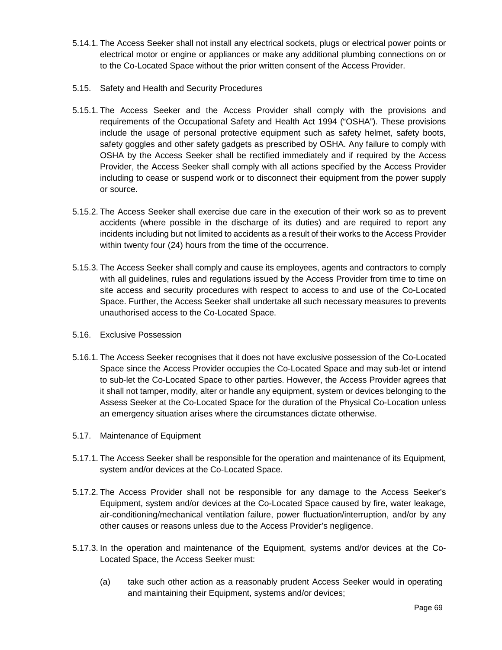- 5.14.1. The Access Seeker shall not install any electrical sockets, plugs or electrical power points or electrical motor or engine or appliances or make any additional plumbing connections on or to the Co-Located Space without the prior written consent of the Access Provider.
- 5.15. Safety and Health and Security Procedures
- 5.15.1. The Access Seeker and the Access Provider shall comply with the provisions and requirements of the Occupational Safety and Health Act 1994 ("OSHA"). These provisions include the usage of personal protective equipment such as safety helmet, safety boots, safety goggles and other safety gadgets as prescribed by OSHA. Any failure to comply with OSHA by the Access Seeker shall be rectified immediately and if required by the Access Provider, the Access Seeker shall comply with all actions specified by the Access Provider including to cease or suspend work or to disconnect their equipment from the power supply or source.
- 5.15.2. The Access Seeker shall exercise due care in the execution of their work so as to prevent accidents (where possible in the discharge of its duties) and are required to report any incidents including but not limited to accidents as a result of their works to the Access Provider within twenty four (24) hours from the time of the occurrence.
- 5.15.3. The Access Seeker shall comply and cause its employees, agents and contractors to comply with all guidelines, rules and regulations issued by the Access Provider from time to time on site access and security procedures with respect to access to and use of the Co-Located Space. Further, the Access Seeker shall undertake all such necessary measures to prevents unauthorised access to the Co-Located Space.
- 5.16. Exclusive Possession
- 5.16.1. The Access Seeker recognises that it does not have exclusive possession of the Co-Located Space since the Access Provider occupies the Co-Located Space and may sub-let or intend to sub-let the Co-Located Space to other parties. However, the Access Provider agrees that it shall not tamper, modify, alter or handle any equipment, system or devices belonging to the Assess Seeker at the Co-Located Space for the duration of the Physical Co-Location unless an emergency situation arises where the circumstances dictate otherwise.
- 5.17. Maintenance of Equipment
- 5.17.1. The Access Seeker shall be responsible for the operation and maintenance of its Equipment, system and/or devices at the Co-Located Space.
- 5.17.2. The Access Provider shall not be responsible for any damage to the Access Seeker's Equipment, system and/or devices at the Co-Located Space caused by fire, water leakage, air-conditioning/mechanical ventilation failure, power fluctuation/interruption, and/or by any other causes or reasons unless due to the Access Provider's negligence.
- 5.17.3. In the operation and maintenance of the Equipment, systems and/or devices at the Co-Located Space, the Access Seeker must:
	- (a) take such other action as a reasonably prudent Access Seeker would in operating and maintaining their Equipment, systems and/or devices;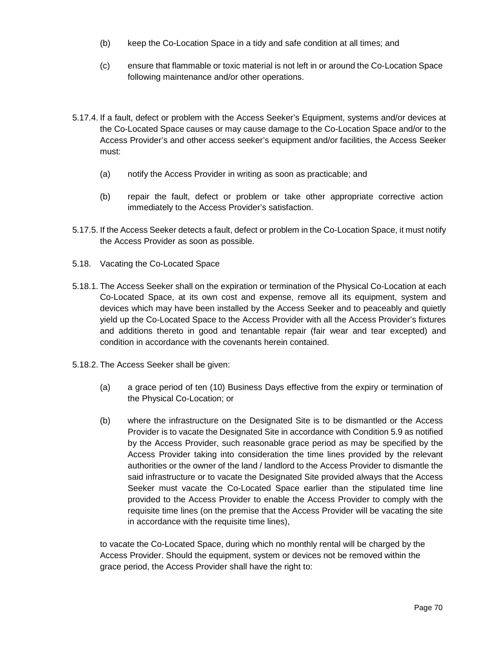- (b) keep the Co-Location Space in a tidy and safe condition at all times; and
- (c) ensure that flammable or toxic material is not left in or around the Co-Location Space following maintenance and/or other operations.
- 5.17.4. If a fault, defect or problem with the Access Seeker's Equipment, systems and/or devices at the Co-Located Space causes or may cause damage to the Co-Location Space and/or to the Access Provider's and other access seeker's equipment and/or facilities, the Access Seeker must:
	- (a) notify the Access Provider in writing as soon as practicable; and
	- (b) repair the fault, defect or problem or take other appropriate corrective action immediately to the Access Provider's satisfaction.
- 5.17.5. If the Access Seeker detects a fault, defect or problem in the Co-Location Space, it must notify the Access Provider as soon as possible.
- 5.18. Vacating the Co-Located Space
- 5.18.1. The Access Seeker shall on the expiration or termination of the Physical Co-Location at each Co-Located Space, at its own cost and expense, remove all its equipment, system and devices which may have been installed by the Access Seeker and to peaceably and quietly yield up the Co-Located Space to the Access Provider with all the Access Provider's fixtures and additions thereto in good and tenantable repair (fair wear and tear excepted) and condition in accordance with the covenants herein contained.
- 5.18.2. The Access Seeker shall be given:
	- (a) a grace period of ten (10) Business Days effective from the expiry or termination of the Physical Co-Location; or
	- (b) where the infrastructure on the Designated Site is to be dismantled or the Access Provider is to vacate the Designated Site in accordance with Condition 5.9 as notified by the Access Provider, such reasonable grace period as may be specified by the Access Provider taking into consideration the time lines provided by the relevant authorities or the owner of the land / landlord to the Access Provider to dismantle the said infrastructure or to vacate the Designated Site provided always that the Access Seeker must vacate the Co-Located Space earlier than the stipulated time line provided to the Access Provider to enable the Access Provider to comply with the requisite time lines (on the premise that the Access Provider will be vacating the site in accordance with the requisite time lines),

to vacate the Co-Located Space, during which no monthly rental will be charged by the Access Provider. Should the equipment, system or devices not be removed within the grace period, the Access Provider shall have the right to: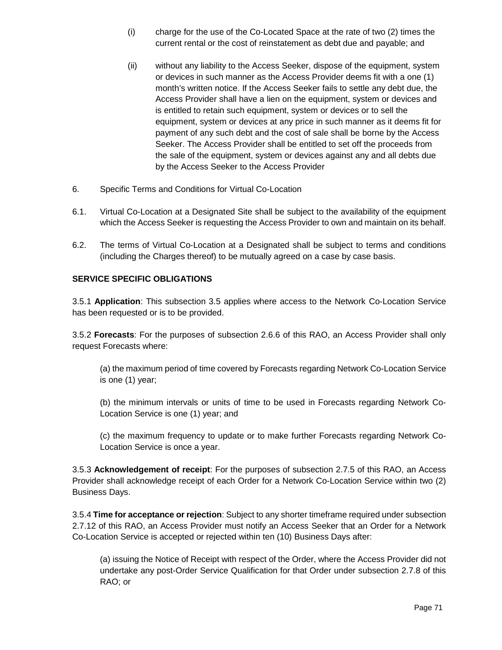- (i) charge for the use of the Co-Located Space at the rate of two (2) times the current rental or the cost of reinstatement as debt due and payable; and
- (ii) without any liability to the Access Seeker, dispose of the equipment, system or devices in such manner as the Access Provider deems fit with a one (1) month's written notice. If the Access Seeker fails to settle any debt due, the Access Provider shall have a lien on the equipment, system or devices and is entitled to retain such equipment, system or devices or to sell the equipment, system or devices at any price in such manner as it deems fit for payment of any such debt and the cost of sale shall be borne by the Access Seeker. The Access Provider shall be entitled to set off the proceeds from the sale of the equipment, system or devices against any and all debts due by the Access Seeker to the Access Provider
- 6. Specific Terms and Conditions for Virtual Co-Location
- 6.1. Virtual Co-Location at a Designated Site shall be subject to the availability of the equipment which the Access Seeker is requesting the Access Provider to own and maintain on its behalf.
- 6.2. The terms of Virtual Co-Location at a Designated shall be subject to terms and conditions (including the Charges thereof) to be mutually agreed on a case by case basis.

# **SERVICE SPECIFIC OBLIGATIONS**

3.5.1 **Application**: This subsection 3.5 applies where access to the Network Co-Location Service has been requested or is to be provided.

3.5.2 **Forecasts**: For the purposes of subsection 2.6.6 of this RAO, an Access Provider shall only request Forecasts where:

(a) the maximum period of time covered by Forecasts regarding Network Co-Location Service is one (1) year;

(b) the minimum intervals or units of time to be used in Forecasts regarding Network Co-Location Service is one (1) year; and

(c) the maximum frequency to update or to make further Forecasts regarding Network Co-Location Service is once a year.

3.5.3 **Acknowledgement of receipt**: For the purposes of subsection 2.7.5 of this RAO, an Access Provider shall acknowledge receipt of each Order for a Network Co-Location Service within two (2) Business Days.

3.5.4 **Time for acceptance or rejection**: Subject to any shorter timeframe required under subsection 2.7.12 of this RAO, an Access Provider must notify an Access Seeker that an Order for a Network Co-Location Service is accepted or rejected within ten (10) Business Days after:

(a) issuing the Notice of Receipt with respect of the Order, where the Access Provider did not undertake any post-Order Service Qualification for that Order under subsection 2.7.8 of this RAO; or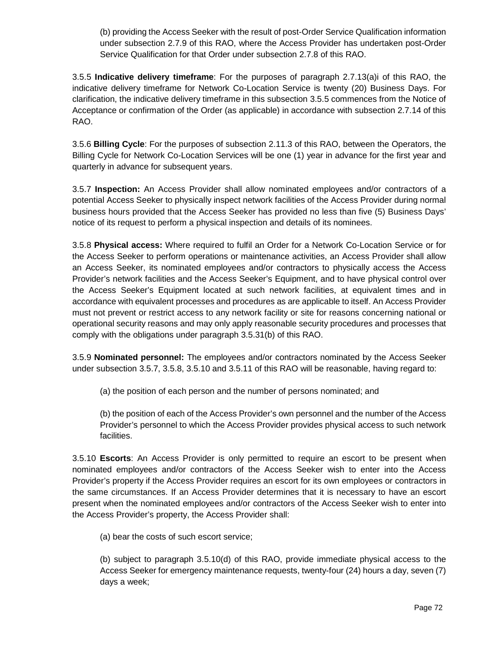(b) providing the Access Seeker with the result of post-Order Service Qualification information under subsection 2.7.9 of this RAO, where the Access Provider has undertaken post-Order Service Qualification for that Order under subsection 2.7.8 of this RAO.

3.5.5 **Indicative delivery timeframe**: For the purposes of paragraph 2.7.13(a)i of this RAO, the indicative delivery timeframe for Network Co-Location Service is twenty (20) Business Days. For clarification, the indicative delivery timeframe in this subsection 3.5.5 commences from the Notice of Acceptance or confirmation of the Order (as applicable) in accordance with subsection 2.7.14 of this RAO.

3.5.6 **Billing Cycle**: For the purposes of subsection 2.11.3 of this RAO, between the Operators, the Billing Cycle for Network Co-Location Services will be one (1) year in advance for the first year and quarterly in advance for subsequent years.

3.5.7 **Inspection:** An Access Provider shall allow nominated employees and/or contractors of a potential Access Seeker to physically inspect network facilities of the Access Provider during normal business hours provided that the Access Seeker has provided no less than five (5) Business Days' notice of its request to perform a physical inspection and details of its nominees.

3.5.8 **Physical access:** Where required to fulfil an Order for a Network Co-Location Service or for the Access Seeker to perform operations or maintenance activities, an Access Provider shall allow an Access Seeker, its nominated employees and/or contractors to physically access the Access Provider's network facilities and the Access Seeker's Equipment, and to have physical control over the Access Seeker's Equipment located at such network facilities, at equivalent times and in accordance with equivalent processes and procedures as are applicable to itself. An Access Provider must not prevent or restrict access to any network facility or site for reasons concerning national or operational security reasons and may only apply reasonable security procedures and processes that comply with the obligations under paragraph 3.5.31(b) of this RAO.

3.5.9 **Nominated personnel:** The employees and/or contractors nominated by the Access Seeker under subsection 3.5.7, 3.5.8, 3.5.10 and 3.5.11 of this RAO will be reasonable, having regard to:

(a) the position of each person and the number of persons nominated; and

(b) the position of each of the Access Provider's own personnel and the number of the Access Provider's personnel to which the Access Provider provides physical access to such network facilities.

3.5.10 **Escorts**: An Access Provider is only permitted to require an escort to be present when nominated employees and/or contractors of the Access Seeker wish to enter into the Access Provider's property if the Access Provider requires an escort for its own employees or contractors in the same circumstances. If an Access Provider determines that it is necessary to have an escort present when the nominated employees and/or contractors of the Access Seeker wish to enter into the Access Provider's property, the Access Provider shall:

(a) bear the costs of such escort service;

(b) subject to paragraph 3.5.10(d) of this RAO, provide immediate physical access to the Access Seeker for emergency maintenance requests, twenty-four (24) hours a day, seven (7) days a week;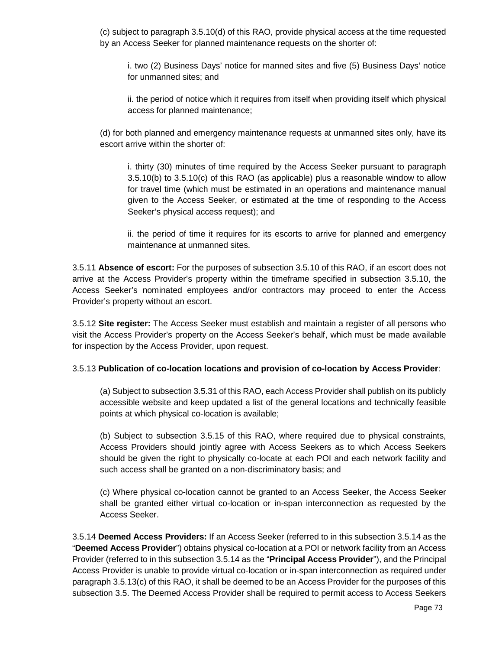(c) subject to paragraph 3.5.10(d) of this RAO, provide physical access at the time requested by an Access Seeker for planned maintenance requests on the shorter of:

i. two (2) Business Days' notice for manned sites and five (5) Business Days' notice for unmanned sites; and

ii. the period of notice which it requires from itself when providing itself which physical access for planned maintenance;

(d) for both planned and emergency maintenance requests at unmanned sites only, have its escort arrive within the shorter of:

i. thirty (30) minutes of time required by the Access Seeker pursuant to paragraph 3.5.10(b) to 3.5.10(c) of this RAO (as applicable) plus a reasonable window to allow for travel time (which must be estimated in an operations and maintenance manual given to the Access Seeker, or estimated at the time of responding to the Access Seeker's physical access request); and

ii. the period of time it requires for its escorts to arrive for planned and emergency maintenance at unmanned sites.

3.5.11 **Absence of escort:** For the purposes of subsection 3.5.10 of this RAO, if an escort does not arrive at the Access Provider's property within the timeframe specified in subsection 3.5.10, the Access Seeker's nominated employees and/or contractors may proceed to enter the Access Provider's property without an escort.

3.5.12 **Site register:** The Access Seeker must establish and maintain a register of all persons who visit the Access Provider's property on the Access Seeker's behalf, which must be made available for inspection by the Access Provider, upon request.

#### 3.5.13 **Publication of co-location locations and provision of co-location by Access Provider**:

(a) Subject to subsection 3.5.31 of this RAO, each Access Provider shall publish on its publicly accessible website and keep updated a list of the general locations and technically feasible points at which physical co-location is available;

(b) Subject to subsection 3.5.15 of this RAO, where required due to physical constraints, Access Providers should jointly agree with Access Seekers as to which Access Seekers should be given the right to physically co-locate at each POI and each network facility and such access shall be granted on a non-discriminatory basis; and

(c) Where physical co-location cannot be granted to an Access Seeker, the Access Seeker shall be granted either virtual co-location or in-span interconnection as requested by the Access Seeker.

3.5.14 **Deemed Access Providers:** If an Access Seeker (referred to in this subsection 3.5.14 as the "**Deemed Access Provider**") obtains physical co-location at a POI or network facility from an Access Provider (referred to in this subsection 3.5.14 as the "**Principal Access Provider**"), and the Principal Access Provider is unable to provide virtual co-location or in-span interconnection as required under paragraph 3.5.13(c) of this RAO, it shall be deemed to be an Access Provider for the purposes of this subsection 3.5. The Deemed Access Provider shall be required to permit access to Access Seekers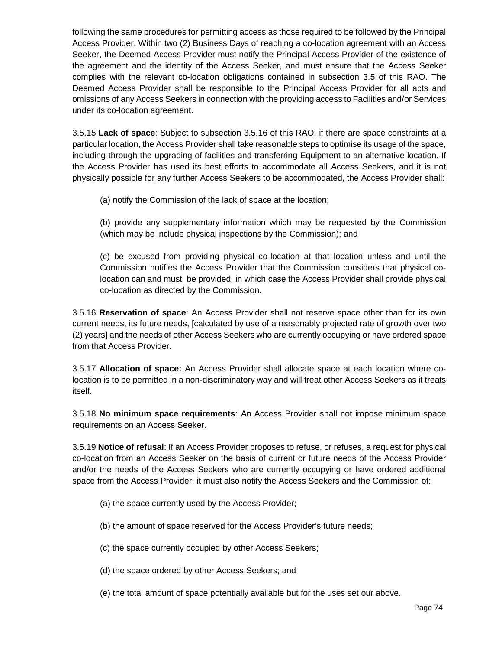following the same procedures for permitting access as those required to be followed by the Principal Access Provider. Within two (2) Business Days of reaching a co-location agreement with an Access Seeker, the Deemed Access Provider must notify the Principal Access Provider of the existence of the agreement and the identity of the Access Seeker, and must ensure that the Access Seeker complies with the relevant co-location obligations contained in subsection 3.5 of this RAO. The Deemed Access Provider shall be responsible to the Principal Access Provider for all acts and omissions of any Access Seekers in connection with the providing access to Facilities and/or Services under its co-location agreement.

3.5.15 **Lack of space**: Subject to subsection 3.5.16 of this RAO, if there are space constraints at a particular location, the Access Provider shall take reasonable steps to optimise its usage of the space, including through the upgrading of facilities and transferring Equipment to an alternative location. If the Access Provider has used its best efforts to accommodate all Access Seekers, and it is not physically possible for any further Access Seekers to be accommodated, the Access Provider shall:

(a) notify the Commission of the lack of space at the location;

(b) provide any supplementary information which may be requested by the Commission (which may be include physical inspections by the Commission); and

(c) be excused from providing physical co-location at that location unless and until the Commission notifies the Access Provider that the Commission considers that physical colocation can and must be provided, in which case the Access Provider shall provide physical co-location as directed by the Commission.

3.5.16 **Reservation of space**: An Access Provider shall not reserve space other than for its own current needs, its future needs, [calculated by use of a reasonably projected rate of growth over two (2) years] and the needs of other Access Seekers who are currently occupying or have ordered space from that Access Provider.

3.5.17 **Allocation of space:** An Access Provider shall allocate space at each location where colocation is to be permitted in a non-discriminatory way and will treat other Access Seekers as it treats itself.

3.5.18 **No minimum space requirements**: An Access Provider shall not impose minimum space requirements on an Access Seeker.

3.5.19 **Notice of refusal**: If an Access Provider proposes to refuse, or refuses, a request for physical co-location from an Access Seeker on the basis of current or future needs of the Access Provider and/or the needs of the Access Seekers who are currently occupying or have ordered additional space from the Access Provider, it must also notify the Access Seekers and the Commission of:

- (a) the space currently used by the Access Provider;
- (b) the amount of space reserved for the Access Provider's future needs;
- (c) the space currently occupied by other Access Seekers;
- (d) the space ordered by other Access Seekers; and
- (e) the total amount of space potentially available but for the uses set our above.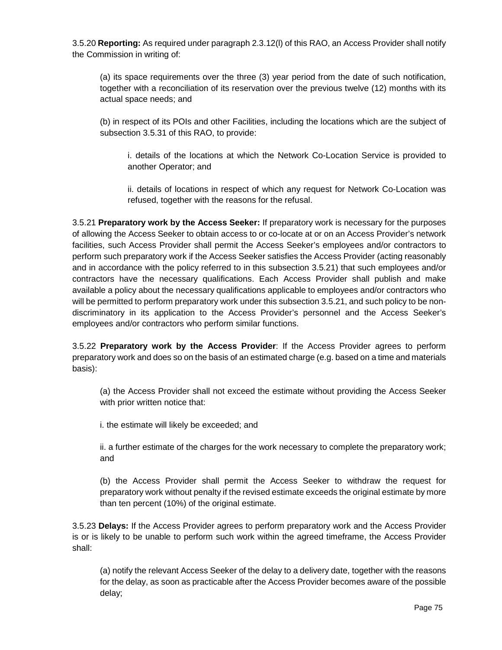3.5.20 **Reporting:** As required under paragraph 2.3.12(l) of this RAO, an Access Provider shall notify the Commission in writing of:

(a) its space requirements over the three (3) year period from the date of such notification, together with a reconciliation of its reservation over the previous twelve (12) months with its actual space needs; and

(b) in respect of its POIs and other Facilities, including the locations which are the subject of subsection 3.5.31 of this RAO, to provide:

i. details of the locations at which the Network Co-Location Service is provided to another Operator; and

ii. details of locations in respect of which any request for Network Co-Location was refused, together with the reasons for the refusal.

3.5.21 **Preparatory work by the Access Seeker:** If preparatory work is necessary for the purposes of allowing the Access Seeker to obtain access to or co-locate at or on an Access Provider's network facilities, such Access Provider shall permit the Access Seeker's employees and/or contractors to perform such preparatory work if the Access Seeker satisfies the Access Provider (acting reasonably and in accordance with the policy referred to in this subsection 3.5.21) that such employees and/or contractors have the necessary qualifications. Each Access Provider shall publish and make available a policy about the necessary qualifications applicable to employees and/or contractors who will be permitted to perform preparatory work under this subsection 3.5.21, and such policy to be nondiscriminatory in its application to the Access Provider's personnel and the Access Seeker's employees and/or contractors who perform similar functions.

3.5.22 **Preparatory work by the Access Provider**: If the Access Provider agrees to perform preparatory work and does so on the basis of an estimated charge (e.g. based on a time and materials basis):

(a) the Access Provider shall not exceed the estimate without providing the Access Seeker with prior written notice that:

i. the estimate will likely be exceeded; and

ii. a further estimate of the charges for the work necessary to complete the preparatory work; and

(b) the Access Provider shall permit the Access Seeker to withdraw the request for preparatory work without penalty if the revised estimate exceeds the original estimate by more than ten percent (10%) of the original estimate.

3.5.23 **Delays:** If the Access Provider agrees to perform preparatory work and the Access Provider is or is likely to be unable to perform such work within the agreed timeframe, the Access Provider shall:

(a) notify the relevant Access Seeker of the delay to a delivery date, together with the reasons for the delay, as soon as practicable after the Access Provider becomes aware of the possible delay;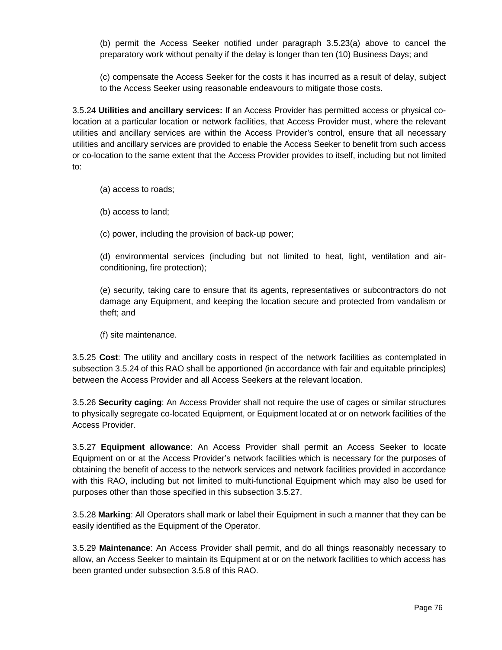(b) permit the Access Seeker notified under paragraph 3.5.23(a) above to cancel the preparatory work without penalty if the delay is longer than ten (10) Business Days; and

(c) compensate the Access Seeker for the costs it has incurred as a result of delay, subject to the Access Seeker using reasonable endeavours to mitigate those costs.

3.5.24 **Utilities and ancillary services:** If an Access Provider has permitted access or physical colocation at a particular location or network facilities, that Access Provider must, where the relevant utilities and ancillary services are within the Access Provider's control, ensure that all necessary utilities and ancillary services are provided to enable the Access Seeker to benefit from such access or co-location to the same extent that the Access Provider provides to itself, including but not limited to:

(a) access to roads;

(b) access to land;

(c) power, including the provision of back-up power;

(d) environmental services (including but not limited to heat, light, ventilation and airconditioning, fire protection);

(e) security, taking care to ensure that its agents, representatives or subcontractors do not damage any Equipment, and keeping the location secure and protected from vandalism or theft; and

(f) site maintenance.

3.5.25 **Cost**: The utility and ancillary costs in respect of the network facilities as contemplated in subsection 3.5.24 of this RAO shall be apportioned (in accordance with fair and equitable principles) between the Access Provider and all Access Seekers at the relevant location.

3.5.26 **Security caging**: An Access Provider shall not require the use of cages or similar structures to physically segregate co-located Equipment, or Equipment located at or on network facilities of the Access Provider.

3.5.27 **Equipment allowance**: An Access Provider shall permit an Access Seeker to locate Equipment on or at the Access Provider's network facilities which is necessary for the purposes of obtaining the benefit of access to the network services and network facilities provided in accordance with this RAO, including but not limited to multi-functional Equipment which may also be used for purposes other than those specified in this subsection 3.5.27.

3.5.28 **Marking**: All Operators shall mark or label their Equipment in such a manner that they can be easily identified as the Equipment of the Operator.

3.5.29 **Maintenance**: An Access Provider shall permit, and do all things reasonably necessary to allow, an Access Seeker to maintain its Equipment at or on the network facilities to which access has been granted under subsection 3.5.8 of this RAO.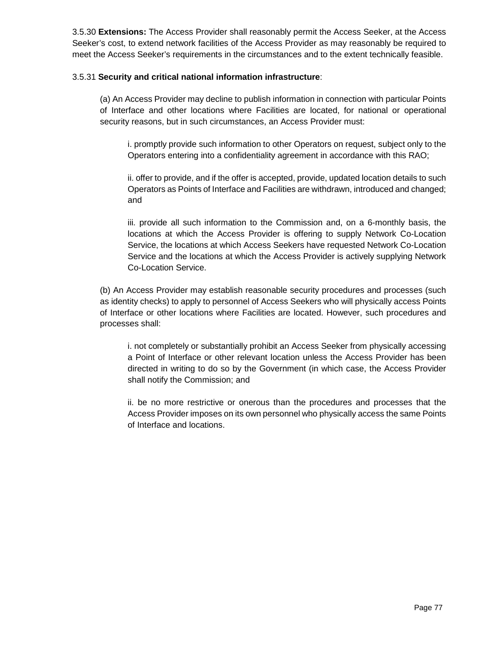3.5.30 **Extensions:** The Access Provider shall reasonably permit the Access Seeker, at the Access Seeker's cost, to extend network facilities of the Access Provider as may reasonably be required to meet the Access Seeker's requirements in the circumstances and to the extent technically feasible.

#### 3.5.31 **Security and critical national information infrastructure**:

(a) An Access Provider may decline to publish information in connection with particular Points of Interface and other locations where Facilities are located, for national or operational security reasons, but in such circumstances, an Access Provider must:

i. promptly provide such information to other Operators on request, subject only to the Operators entering into a confidentiality agreement in accordance with this RAO;

ii. offer to provide, and if the offer is accepted, provide, updated location details to such Operators as Points of Interface and Facilities are withdrawn, introduced and changed; and

iii. provide all such information to the Commission and, on a 6-monthly basis, the locations at which the Access Provider is offering to supply Network Co-Location Service, the locations at which Access Seekers have requested Network Co-Location Service and the locations at which the Access Provider is actively supplying Network Co-Location Service.

(b) An Access Provider may establish reasonable security procedures and processes (such as identity checks) to apply to personnel of Access Seekers who will physically access Points of Interface or other locations where Facilities are located. However, such procedures and processes shall:

i. not completely or substantially prohibit an Access Seeker from physically accessing a Point of Interface or other relevant location unless the Access Provider has been directed in writing to do so by the Government (in which case, the Access Provider shall notify the Commission; and

ii. be no more restrictive or onerous than the procedures and processes that the Access Provider imposes on its own personnel who physically access the same Points of Interface and locations.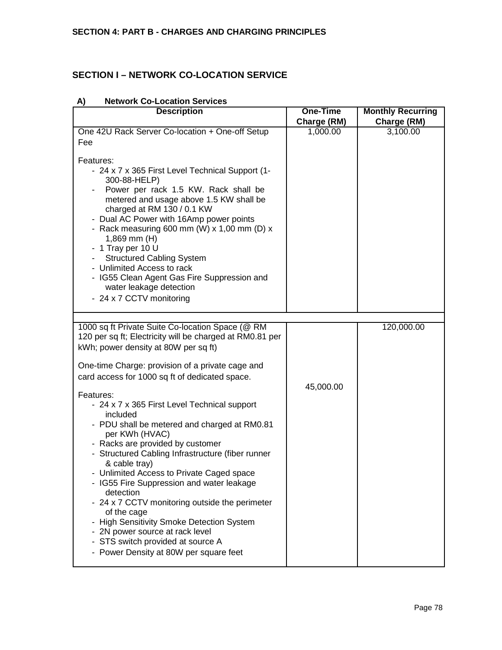# **SECTION I – NETWORK CO-LOCATION SERVICE**

| Charge (RM)<br>1,000.00 | Charge (RM)<br>3,100.00 |
|-------------------------|-------------------------|
|                         |                         |
|                         |                         |
|                         |                         |
|                         | 120,000.00              |
|                         |                         |
| 45,000.00               |                         |
|                         |                         |
|                         |                         |
|                         |                         |
|                         |                         |
|                         |                         |

#### **A) Network Co-Location Services**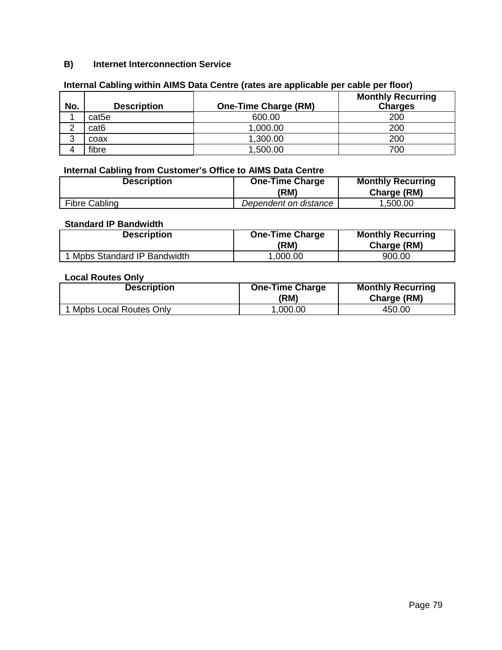# **B) Internet Interconnection Service**

| No.    | <b>Description</b> | <b>One-Time Charge (RM)</b> | <b>Monthly Recurring</b><br><b>Charges</b> |
|--------|--------------------|-----------------------------|--------------------------------------------|
|        | cat <sub>5e</sub>  | 600.00                      | 200                                        |
| ົ<br>∼ | cat <sub>6</sub>   | 1,000.00                    | 200                                        |
| 3      | coax               | 1,300.00                    | 200                                        |
|        | fibre              | 1,500.00                    | 700                                        |

## **Internal Cabling within AIMS Data Centre (rates are applicable per cable per floor)**

## **Internal Cabling from Customer's Office to AIMS Data Centre**

| <b>Description</b>   | <b>One-Time Charge</b><br>(RM) | <b>Monthly Recurring</b><br>Charge (RM) |
|----------------------|--------------------------------|-----------------------------------------|
| <b>Fibre Cabling</b> | Dependent on distance          | .500.00                                 |

#### **Standard IP Bandwidth**

| <b>Description</b>           | <b>One-Time Charge</b><br>(RM) | <b>Monthly Recurring</b><br>Charge (RM) |
|------------------------------|--------------------------------|-----------------------------------------|
| 1 Mpbs Standard IP Bandwidth | ,000.00                        | 900.00                                  |

#### **Local Routes Only**

| <b>Description</b>     | <b>One-Time Charge</b><br>(RM) | <b>Monthly Recurring</b><br>Charge (RM) |
|------------------------|--------------------------------|-----------------------------------------|
| Mpbs Local Routes Only | ,000.00                        | 450.00                                  |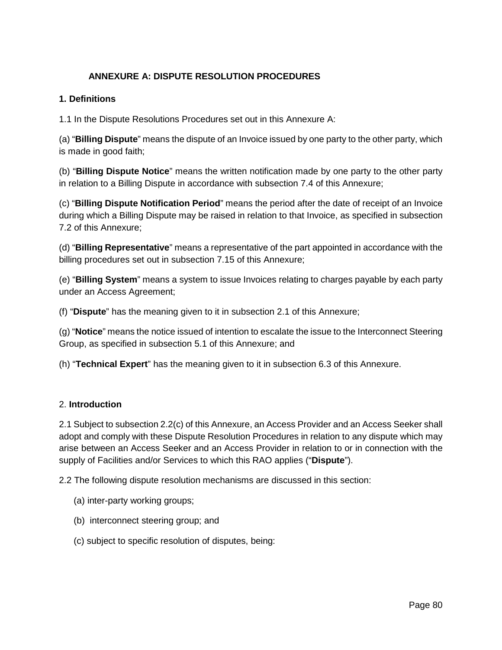# **ANNEXURE A: DISPUTE RESOLUTION PROCEDURES**

## **1. Definitions**

1.1 In the Dispute Resolutions Procedures set out in this Annexure A:

(a) "**Billing Dispute**" means the dispute of an Invoice issued by one party to the other party, which is made in good faith;

(b) "**Billing Dispute Notice**" means the written notification made by one party to the other party in relation to a Billing Dispute in accordance with subsection 7.4 of this Annexure;

(c) "**Billing Dispute Notification Period**" means the period after the date of receipt of an Invoice during which a Billing Dispute may be raised in relation to that Invoice, as specified in subsection 7.2 of this Annexure;

(d) "**Billing Representative**" means a representative of the part appointed in accordance with the billing procedures set out in subsection 7.15 of this Annexure;

(e) "**Billing System**" means a system to issue Invoices relating to charges payable by each party under an Access Agreement;

(f) "**Dispute**" has the meaning given to it in subsection 2.1 of this Annexure;

(g) "**Notice**" means the notice issued of intention to escalate the issue to the Interconnect Steering Group, as specified in subsection 5.1 of this Annexure; and

(h) "**Technical Expert**" has the meaning given to it in subsection 6.3 of this Annexure.

## 2. **Introduction**

2.1 Subject to subsection 2.2(c) of this Annexure, an Access Provider and an Access Seeker shall adopt and comply with these Dispute Resolution Procedures in relation to any dispute which may arise between an Access Seeker and an Access Provider in relation to or in connection with the supply of Facilities and/or Services to which this RAO applies ("**Dispute**").

2.2 The following dispute resolution mechanisms are discussed in this section:

- (a) inter-party working groups;
- (b) interconnect steering group; and
- (c) subject to specific resolution of disputes, being: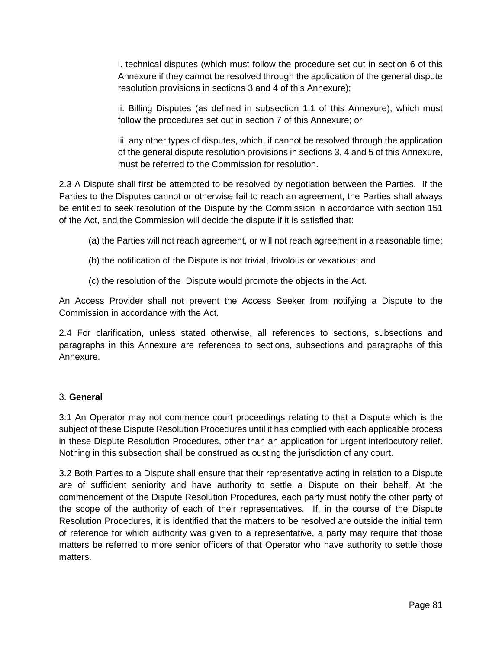i. technical disputes (which must follow the procedure set out in section 6 of this Annexure if they cannot be resolved through the application of the general dispute resolution provisions in sections 3 and 4 of this Annexure);

ii. Billing Disputes (as defined in subsection 1.1 of this Annexure), which must follow the procedures set out in section 7 of this Annexure; or

iii. any other types of disputes, which, if cannot be resolved through the application of the general dispute resolution provisions in sections 3, 4 and 5 of this Annexure, must be referred to the Commission for resolution.

2.3 A Dispute shall first be attempted to be resolved by negotiation between the Parties. If the Parties to the Disputes cannot or otherwise fail to reach an agreement, the Parties shall always be entitled to seek resolution of the Dispute by the Commission in accordance with section 151 of the Act, and the Commission will decide the dispute if it is satisfied that:

- (a) the Parties will not reach agreement, or will not reach agreement in a reasonable time;
- (b) the notification of the Dispute is not trivial, frivolous or vexatious; and
- (c) the resolution of the Dispute would promote the objects in the Act.

An Access Provider shall not prevent the Access Seeker from notifying a Dispute to the Commission in accordance with the Act.

2.4 For clarification, unless stated otherwise, all references to sections, subsections and paragraphs in this Annexure are references to sections, subsections and paragraphs of this Annexure.

## 3. **General**

3.1 An Operator may not commence court proceedings relating to that a Dispute which is the subject of these Dispute Resolution Procedures until it has complied with each applicable process in these Dispute Resolution Procedures, other than an application for urgent interlocutory relief. Nothing in this subsection shall be construed as ousting the jurisdiction of any court.

3.2 Both Parties to a Dispute shall ensure that their representative acting in relation to a Dispute are of sufficient seniority and have authority to settle a Dispute on their behalf. At the commencement of the Dispute Resolution Procedures, each party must notify the other party of the scope of the authority of each of their representatives. If, in the course of the Dispute Resolution Procedures, it is identified that the matters to be resolved are outside the initial term of reference for which authority was given to a representative, a party may require that those matters be referred to more senior officers of that Operator who have authority to settle those matters.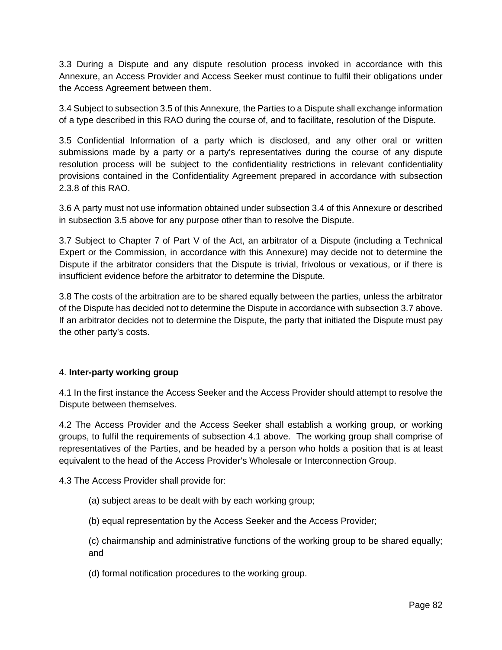3.3 During a Dispute and any dispute resolution process invoked in accordance with this Annexure, an Access Provider and Access Seeker must continue to fulfil their obligations under the Access Agreement between them.

3.4 Subject to subsection 3.5 of this Annexure, the Parties to a Dispute shall exchange information of a type described in this RAO during the course of, and to facilitate, resolution of the Dispute.

3.5 Confidential Information of a party which is disclosed, and any other oral or written submissions made by a party or a party's representatives during the course of any dispute resolution process will be subject to the confidentiality restrictions in relevant confidentiality provisions contained in the Confidentiality Agreement prepared in accordance with subsection 2.3.8 of this RAO.

3.6 A party must not use information obtained under subsection 3.4 of this Annexure or described in subsection 3.5 above for any purpose other than to resolve the Dispute.

3.7 Subject to Chapter 7 of Part V of the Act, an arbitrator of a Dispute (including a Technical Expert or the Commission, in accordance with this Annexure) may decide not to determine the Dispute if the arbitrator considers that the Dispute is trivial, frivolous or vexatious, or if there is insufficient evidence before the arbitrator to determine the Dispute.

3.8 The costs of the arbitration are to be shared equally between the parties, unless the arbitrator of the Dispute has decided not to determine the Dispute in accordance with subsection 3.7 above. If an arbitrator decides not to determine the Dispute, the party that initiated the Dispute must pay the other party's costs.

## 4. **Inter-party working group**

4.1 In the first instance the Access Seeker and the Access Provider should attempt to resolve the Dispute between themselves.

4.2 The Access Provider and the Access Seeker shall establish a working group, or working groups, to fulfil the requirements of subsection 4.1 above. The working group shall comprise of representatives of the Parties, and be headed by a person who holds a position that is at least equivalent to the head of the Access Provider's Wholesale or Interconnection Group.

4.3 The Access Provider shall provide for:

- (a) subject areas to be dealt with by each working group;
- (b) equal representation by the Access Seeker and the Access Provider;
- (c) chairmanship and administrative functions of the working group to be shared equally; and
- (d) formal notification procedures to the working group.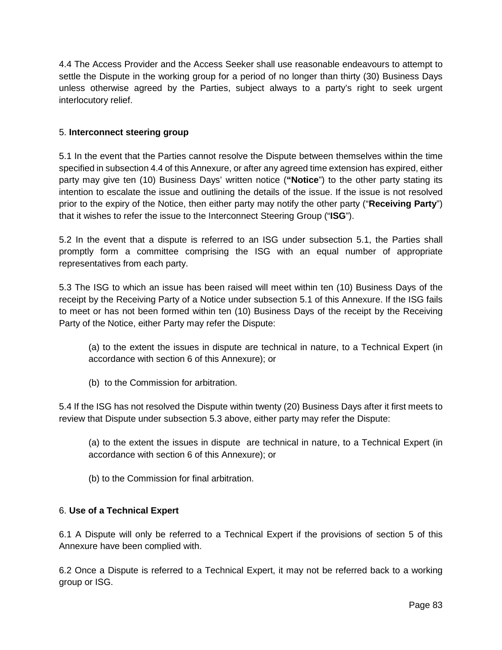4.4 The Access Provider and the Access Seeker shall use reasonable endeavours to attempt to settle the Dispute in the working group for a period of no longer than thirty (30) Business Days unless otherwise agreed by the Parties, subject always to a party's right to seek urgent interlocutory relief.

## 5. **Interconnect steering group**

5.1 In the event that the Parties cannot resolve the Dispute between themselves within the time specified in subsection 4.4 of this Annexure, or after any agreed time extension has expired, either party may give ten (10) Business Days' written notice (**"Notice**") to the other party stating its intention to escalate the issue and outlining the details of the issue. If the issue is not resolved prior to the expiry of the Notice, then either party may notify the other party ("**Receiving Party**") that it wishes to refer the issue to the Interconnect Steering Group ("**ISG**").

5.2 In the event that a dispute is referred to an ISG under subsection 5.1, the Parties shall promptly form a committee comprising the ISG with an equal number of appropriate representatives from each party.

5.3 The ISG to which an issue has been raised will meet within ten (10) Business Days of the receipt by the Receiving Party of a Notice under subsection 5.1 of this Annexure. If the ISG fails to meet or has not been formed within ten (10) Business Days of the receipt by the Receiving Party of the Notice, either Party may refer the Dispute:

(a) to the extent the issues in dispute are technical in nature, to a Technical Expert (in accordance with section 6 of this Annexure); or

(b) to the Commission for arbitration.

5.4 If the ISG has not resolved the Dispute within twenty (20) Business Days after it first meets to review that Dispute under subsection 5.3 above, either party may refer the Dispute:

(a) to the extent the issues in dispute are technical in nature, to a Technical Expert (in accordance with section 6 of this Annexure); or

(b) to the Commission for final arbitration.

## 6. **Use of a Technical Expert**

6.1 A Dispute will only be referred to a Technical Expert if the provisions of section 5 of this Annexure have been complied with.

6.2 Once a Dispute is referred to a Technical Expert, it may not be referred back to a working group or ISG.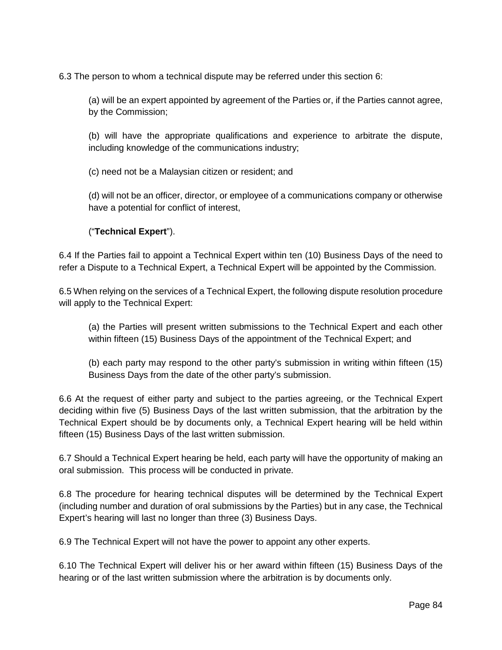6.3 The person to whom a technical dispute may be referred under this section 6:

(a) will be an expert appointed by agreement of the Parties or, if the Parties cannot agree, by the Commission;

(b) will have the appropriate qualifications and experience to arbitrate the dispute, including knowledge of the communications industry;

(c) need not be a Malaysian citizen or resident; and

(d) will not be an officer, director, or employee of a communications company or otherwise have a potential for conflict of interest,

## ("**Technical Expert**").

6.4 If the Parties fail to appoint a Technical Expert within ten (10) Business Days of the need to refer a Dispute to a Technical Expert, a Technical Expert will be appointed by the Commission.

6.5 When relying on the services of a Technical Expert, the following dispute resolution procedure will apply to the Technical Expert:

(a) the Parties will present written submissions to the Technical Expert and each other within fifteen (15) Business Days of the appointment of the Technical Expert; and

(b) each party may respond to the other party's submission in writing within fifteen (15) Business Days from the date of the other party's submission.

6.6 At the request of either party and subject to the parties agreeing, or the Technical Expert deciding within five (5) Business Days of the last written submission, that the arbitration by the Technical Expert should be by documents only, a Technical Expert hearing will be held within fifteen (15) Business Days of the last written submission.

6.7 Should a Technical Expert hearing be held, each party will have the opportunity of making an oral submission. This process will be conducted in private.

6.8 The procedure for hearing technical disputes will be determined by the Technical Expert (including number and duration of oral submissions by the Parties) but in any case, the Technical Expert's hearing will last no longer than three (3) Business Days.

6.9 The Technical Expert will not have the power to appoint any other experts.

6.10 The Technical Expert will deliver his or her award within fifteen (15) Business Days of the hearing or of the last written submission where the arbitration is by documents only.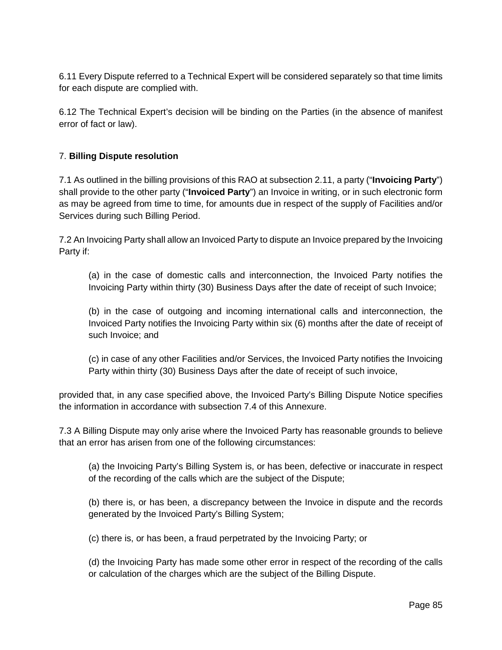6.11 Every Dispute referred to a Technical Expert will be considered separately so that time limits for each dispute are complied with.

6.12 The Technical Expert's decision will be binding on the Parties (in the absence of manifest error of fact or law).

# 7. **Billing Dispute resolution**

7.1 As outlined in the billing provisions of this RAO at subsection 2.11, a party ("**Invoicing Party**") shall provide to the other party ("**Invoiced Party**") an Invoice in writing, or in such electronic form as may be agreed from time to time, for amounts due in respect of the supply of Facilities and/or Services during such Billing Period.

7.2 An Invoicing Party shall allow an Invoiced Party to dispute an Invoice prepared by the Invoicing Party if:

(a) in the case of domestic calls and interconnection, the Invoiced Party notifies the Invoicing Party within thirty (30) Business Days after the date of receipt of such Invoice;

(b) in the case of outgoing and incoming international calls and interconnection, the Invoiced Party notifies the Invoicing Party within six (6) months after the date of receipt of such Invoice; and

(c) in case of any other Facilities and/or Services, the Invoiced Party notifies the Invoicing Party within thirty (30) Business Days after the date of receipt of such invoice,

provided that, in any case specified above, the Invoiced Party's Billing Dispute Notice specifies the information in accordance with subsection 7.4 of this Annexure.

7.3 A Billing Dispute may only arise where the Invoiced Party has reasonable grounds to believe that an error has arisen from one of the following circumstances:

(a) the Invoicing Party's Billing System is, or has been, defective or inaccurate in respect of the recording of the calls which are the subject of the Dispute;

(b) there is, or has been, a discrepancy between the Invoice in dispute and the records generated by the Invoiced Party's Billing System;

(c) there is, or has been, a fraud perpetrated by the Invoicing Party; or

(d) the Invoicing Party has made some other error in respect of the recording of the calls or calculation of the charges which are the subject of the Billing Dispute.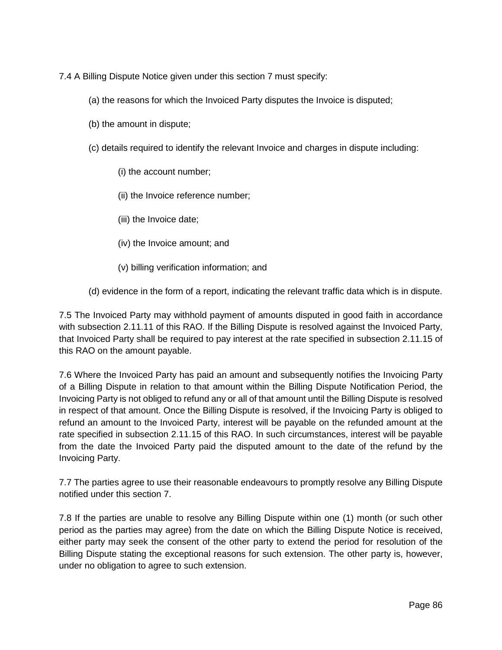7.4 A Billing Dispute Notice given under this section 7 must specify:

- (a) the reasons for which the Invoiced Party disputes the Invoice is disputed;
- (b) the amount in dispute;
- (c) details required to identify the relevant Invoice and charges in dispute including:
	- (i) the account number;
	- (ii) the Invoice reference number;
	- (iii) the Invoice date;
	- (iv) the Invoice amount; and
	- (v) billing verification information; and
- (d) evidence in the form of a report, indicating the relevant traffic data which is in dispute.

7.5 The Invoiced Party may withhold payment of amounts disputed in good faith in accordance with subsection 2.11.11 of this RAO. If the Billing Dispute is resolved against the Invoiced Party, that Invoiced Party shall be required to pay interest at the rate specified in subsection 2.11.15 of this RAO on the amount payable.

7.6 Where the Invoiced Party has paid an amount and subsequently notifies the Invoicing Party of a Billing Dispute in relation to that amount within the Billing Dispute Notification Period, the Invoicing Party is not obliged to refund any or all of that amount until the Billing Dispute is resolved in respect of that amount. Once the Billing Dispute is resolved, if the Invoicing Party is obliged to refund an amount to the Invoiced Party, interest will be payable on the refunded amount at the rate specified in subsection 2.11.15 of this RAO. In such circumstances, interest will be payable from the date the Invoiced Party paid the disputed amount to the date of the refund by the Invoicing Party.

7.7 The parties agree to use their reasonable endeavours to promptly resolve any Billing Dispute notified under this section 7.

7.8 If the parties are unable to resolve any Billing Dispute within one (1) month (or such other period as the parties may agree) from the date on which the Billing Dispute Notice is received, either party may seek the consent of the other party to extend the period for resolution of the Billing Dispute stating the exceptional reasons for such extension. The other party is, however, under no obligation to agree to such extension.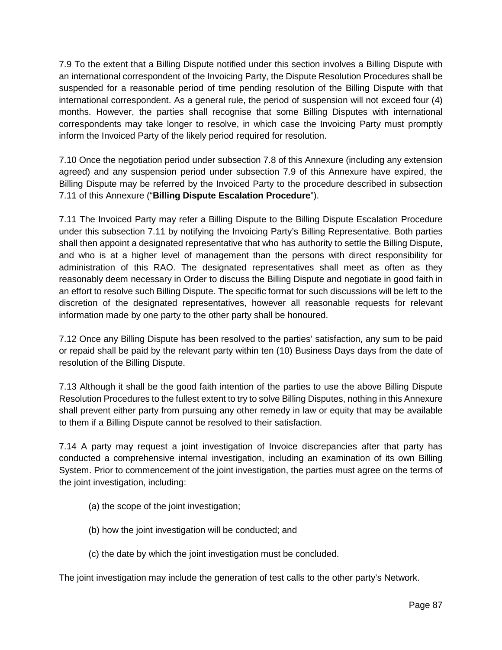7.9 To the extent that a Billing Dispute notified under this section involves a Billing Dispute with an international correspondent of the Invoicing Party, the Dispute Resolution Procedures shall be suspended for a reasonable period of time pending resolution of the Billing Dispute with that international correspondent. As a general rule, the period of suspension will not exceed four (4) months. However, the parties shall recognise that some Billing Disputes with international correspondents may take longer to resolve, in which case the Invoicing Party must promptly inform the Invoiced Party of the likely period required for resolution.

7.10 Once the negotiation period under subsection 7.8 of this Annexure (including any extension agreed) and any suspension period under subsection 7.9 of this Annexure have expired, the Billing Dispute may be referred by the Invoiced Party to the procedure described in subsection 7.11 of this Annexure ("**Billing Dispute Escalation Procedure**").

7.11 The Invoiced Party may refer a Billing Dispute to the Billing Dispute Escalation Procedure under this subsection 7.11 by notifying the Invoicing Party's Billing Representative. Both parties shall then appoint a designated representative that who has authority to settle the Billing Dispute, and who is at a higher level of management than the persons with direct responsibility for administration of this RAO. The designated representatives shall meet as often as they reasonably deem necessary in Order to discuss the Billing Dispute and negotiate in good faith in an effort to resolve such Billing Dispute. The specific format for such discussions will be left to the discretion of the designated representatives, however all reasonable requests for relevant information made by one party to the other party shall be honoured.

7.12 Once any Billing Dispute has been resolved to the parties' satisfaction, any sum to be paid or repaid shall be paid by the relevant party within ten (10) Business Days days from the date of resolution of the Billing Dispute.

7.13 Although it shall be the good faith intention of the parties to use the above Billing Dispute Resolution Procedures to the fullest extent to try to solve Billing Disputes, nothing in this Annexure shall prevent either party from pursuing any other remedy in law or equity that may be available to them if a Billing Dispute cannot be resolved to their satisfaction.

7.14 A party may request a joint investigation of Invoice discrepancies after that party has conducted a comprehensive internal investigation, including an examination of its own Billing System. Prior to commencement of the joint investigation, the parties must agree on the terms of the joint investigation, including:

- (a) the scope of the joint investigation;
- (b) how the joint investigation will be conducted; and
- (c) the date by which the joint investigation must be concluded.

The joint investigation may include the generation of test calls to the other party's Network.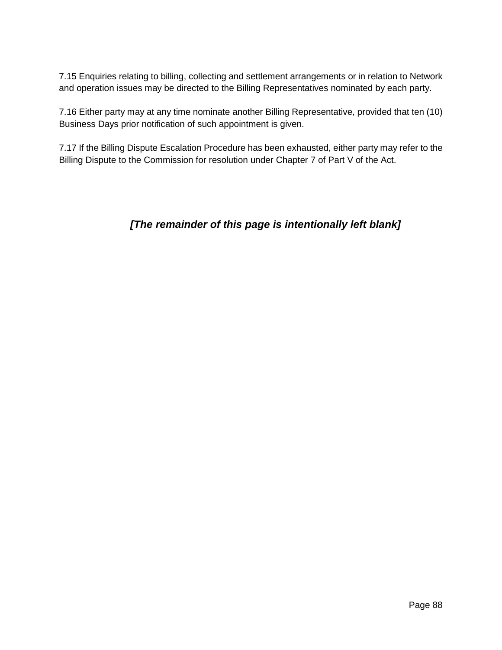7.15 Enquiries relating to billing, collecting and settlement arrangements or in relation to Network and operation issues may be directed to the Billing Representatives nominated by each party.

7.16 Either party may at any time nominate another Billing Representative, provided that ten (10) Business Days prior notification of such appointment is given.

7.17 If the Billing Dispute Escalation Procedure has been exhausted, either party may refer to the Billing Dispute to the Commission for resolution under Chapter 7 of Part V of the Act.

# **[The remainder of this page is intentionally left blank]**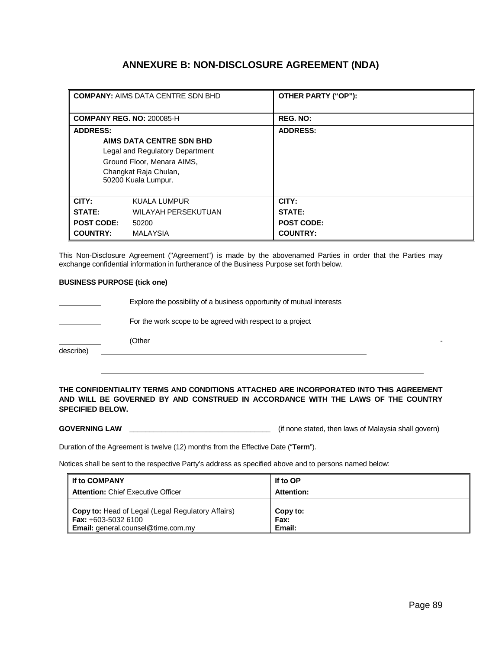# **ANNEXURE B: NON-DISCLOSURE AGREEMENT (NDA)**

|                                  | <b>COMPANY: AIMS DATA CENTRE SDN BHD</b>                                                                                                  | OTHER PARTY ("OP"):         |
|----------------------------------|-------------------------------------------------------------------------------------------------------------------------------------------|-----------------------------|
| <b>COMPANY REG. NO: 200085-H</b> |                                                                                                                                           | <b>REG. NO:</b>             |
| <b>ADDRESS:</b>                  | AIMS DATA CENTRE SDN BHD<br>Legal and Regulatory Department<br>Ground Floor, Menara AIMS,<br>Changkat Raja Chulan,<br>50200 Kuala Lumpur. | <b>ADDRESS:</b>             |
| CITY:                            | KUALA LUMPUR                                                                                                                              | CITY:                       |
| STATE:<br><b>POST CODE:</b>      | <b>WILAYAH PERSEKUTUAN</b><br>50200                                                                                                       | STATE:<br><b>POST CODE:</b> |
| <b>COUNTRY:</b>                  | <b>MALAYSIA</b>                                                                                                                           | <b>COUNTRY:</b>             |

This Non-Disclosure Agreement ("Agreement") is made by the abovenamed Parties in order that the Parties may exchange confidential information in furtherance of the Business Purpose set forth below.

#### **BUSINESS PURPOSE (tick one)**

|           | Explore the possibility of a business opportunity of mutual interests |
|-----------|-----------------------------------------------------------------------|
|           | For the work scope to be agreed with respect to a project             |
|           | (Other                                                                |
| describe) |                                                                       |

#### **THE CONFIDENTIALITY TERMS AND CONDITIONS ATTACHED ARE INCORPORATED INTO THIS AGREEMENT AND WILL BE GOVERNED BY AND CONSTRUED IN ACCORDANCE WITH THE LAWS OF THE COUNTRY SPECIFIED BELOW.**

GOVERNING LAW **LET A LAW LET A LAW LET A LAW COVERNING LAW LAW LAW LAW LAW LAW LAW LAW LAW LAW LAW LAW LAW LAW LAW LAW LAW LAW LAW LAW LAW LAW LAW LAW LAW LAW LAW**

Duration of the Agreement is twelve (12) months from the Effective Date ("**Term**").

Notices shall be sent to the respective Party's address as specified above and to persons named below:

| I If to COMPANY                                                                                                               | If to OP                   |
|-------------------------------------------------------------------------------------------------------------------------------|----------------------------|
| <b>Attention: Chief Executive Officer</b>                                                                                     | <b>Attention:</b>          |
| <b>Copy to:</b> Head of Legal (Legal Regulatory Affairs)<br><b>Fax:</b> $+603-50326100$<br>Email: general.counsel@time.com.my | Copy to:<br>Fax:<br>Email: |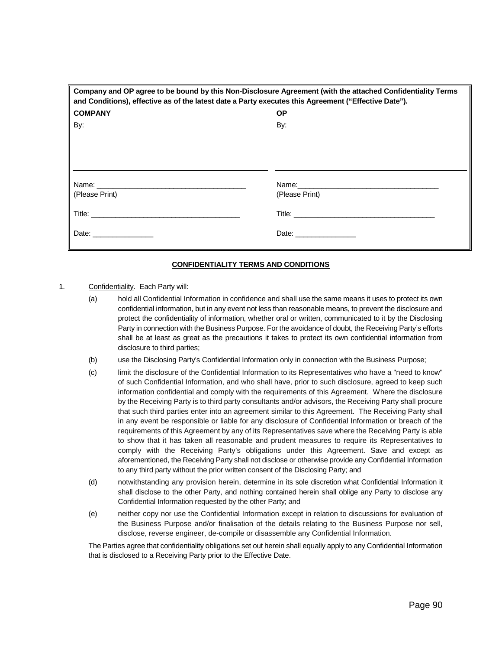| Company and OP agree to be bound by this Non-Disclosure Agreement (with the attached Confidentiality Terms<br>and Conditions), effective as of the latest date a Party executes this Agreement ("Effective Date"). |                |  |
|--------------------------------------------------------------------------------------------------------------------------------------------------------------------------------------------------------------------|----------------|--|
| <b>COMPANY</b>                                                                                                                                                                                                     | <b>OP</b>      |  |
| By:                                                                                                                                                                                                                | By:            |  |
|                                                                                                                                                                                                                    |                |  |
|                                                                                                                                                                                                                    |                |  |
|                                                                                                                                                                                                                    |                |  |
|                                                                                                                                                                                                                    |                |  |
| (Please Print)                                                                                                                                                                                                     | (Please Print) |  |
|                                                                                                                                                                                                                    |                |  |
|                                                                                                                                                                                                                    |                |  |

#### **CONFIDENTIALITY TERMS AND CONDITIONS**

- 1. Confidentiality. Each Party will:
	- (a) hold all Confidential Information in confidence and shall use the same means it uses to protect its own confidential information, but in any event not less than reasonable means, to prevent the disclosure and protect the confidentiality of information, whether oral or written, communicated to it by the Disclosing Party in connection with the Business Purpose. For the avoidance of doubt, the Receiving Party's efforts shall be at least as great as the precautions it takes to protect its own confidential information from disclosure to third parties;
	- (b) use the Disclosing Party's Confidential Information only in connection with the Business Purpose;
	- (c) limit the disclosure of the Confidential Information to its Representatives who have a "need to know" of such Confidential Information, and who shall have, prior to such disclosure, agreed to keep such information confidential and comply with the requirements of this Agreement. Where the disclosure by the Receiving Party is to third party consultants and/or advisors, the Receiving Party shall procure that such third parties enter into an agreement similar to this Agreement. The Receiving Party shall in any event be responsible or liable for any disclosure of Confidential Information or breach of the requirements of this Agreement by any of its Representatives save where the Receiving Party is able to show that it has taken all reasonable and prudent measures to require its Representatives to comply with the Receiving Party's obligations under this Agreement. Save and except as aforementioned, the Receiving Party shall not disclose or otherwise provide any Confidential Information to any third party without the prior written consent of the Disclosing Party; and
	- (d) notwithstanding any provision herein, determine in its sole discretion what Confidential Information it shall disclose to the other Party, and nothing contained herein shall oblige any Party to disclose any Confidential Information requested by the other Party; and
	- (e) neither copy nor use the Confidential Information except in relation to discussions for evaluation of the Business Purpose and/or finalisation of the details relating to the Business Purpose nor sell, disclose, reverse engineer, de-compile or disassemble any Confidential Information.

The Parties agree that confidentiality obligations set out herein shall equally apply to any Confidential Information that is disclosed to a Receiving Party prior to the Effective Date.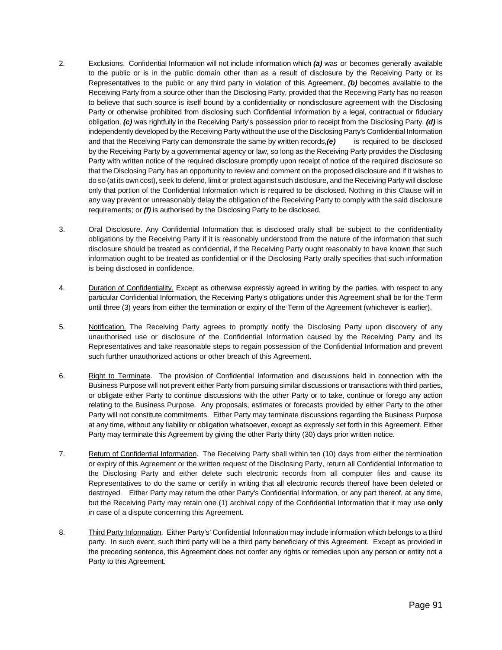- 2. Exclusions. Confidential Information will not include information which **(a)** was or becomes generally available to the public or is in the public domain other than as a result of disclosure by the Receiving Party or its Representatives to the public or any third party in violation of this Agreement, **(b)** becomes available to the Receiving Party from a source other than the Disclosing Party, provided that the Receiving Party has no reason to believe that such source is itself bound by a confidentiality or nondisclosure agreement with the Disclosing Party or otherwise prohibited from disclosing such Confidential Information by a legal, contractual or fiduciary obligation, **(c)** was rightfully in the Receiving Party's possession prior to receipt from the Disclosing Party, **(d)** is independently developed by the Receiving Party without the use of the Disclosing Party's Confidential Information and that the Receiving Party can demonstrate the same by written records,**(e)** is required to be disclosed by the Receiving Party by a governmental agency or law, so long as the Receiving Party provides the Disclosing Party with written notice of the required disclosure promptly upon receipt of notice of the required disclosure so that the Disclosing Party has an opportunity to review and comment on the proposed disclosure and if it wishes to do so (at its own cost), seek to defend, limit or protect against such disclosure, and the Receiving Party will disclose only that portion of the Confidential Information which is required to be disclosed. Nothing in this Clause will in any way prevent or unreasonably delay the obligation of the Receiving Party to comply with the said disclosure requirements; or **(f)** is authorised by the Disclosing Party to be disclosed.
- 3. Oral Disclosure. Any Confidential Information that is disclosed orally shall be subject to the confidentiality obligations by the Receiving Party if it is reasonably understood from the nature of the information that such disclosure should be treated as confidential, if the Receiving Party ought reasonably to have known that such information ought to be treated as confidential or if the Disclosing Party orally specifies that such information is being disclosed in confidence.
- 4. Duration of Confidentiality. Except as otherwise expressly agreed in writing by the parties, with respect to any particular Confidential Information, the Receiving Party's obligations under this Agreement shall be for the Term until three (3) years from either the termination or expiry of the Term of the Agreement (whichever is earlier).
- 5. Notification. The Receiving Party agrees to promptly notify the Disclosing Party upon discovery of any unauthorised use or disclosure of the Confidential Information caused by the Receiving Party and its Representatives and take reasonable steps to regain possession of the Confidential Information and prevent such further unauthorized actions or other breach of this Agreement.
- 6. Right to Terminate. The provision of Confidential Information and discussions held in connection with the Business Purpose will not prevent either Party from pursuing similar discussions or transactions with third parties, or obligate either Party to continue discussions with the other Party or to take, continue or forego any action relating to the Business Purpose. Any proposals, estimates or forecasts provided by either Party to the other Party will not constitute commitments. Either Party may terminate discussions regarding the Business Purpose at any time, without any liability or obligation whatsoever, except as expressly set forth in this Agreement. Either Party may terminate this Agreement by giving the other Party thirty (30) days prior written notice.
- 7. Return of Confidential Information. The Receiving Party shall within ten (10) days from either the termination or expiry of this Agreement or the written request of the Disclosing Party, return all Confidential Information to the Disclosing Party and either delete such electronic records from all computer files and cause its Representatives to do the same or certify in writing that all electronic records thereof have been deleted or destroyed. Either Party may return the other Party's Confidential Information, or any part thereof, at any time, but the Receiving Party may retain one (1) archival copy of the Confidential Information that it may use **only** in case of a dispute concerning this Agreement.
- 8. Third Party Information. Either Party's' Confidential Information may include information which belongs to a third party. In such event, such third party will be a third party beneficiary of this Agreement. Except as provided in the preceding sentence, this Agreement does not confer any rights or remedies upon any person or entity not a Party to this Agreement.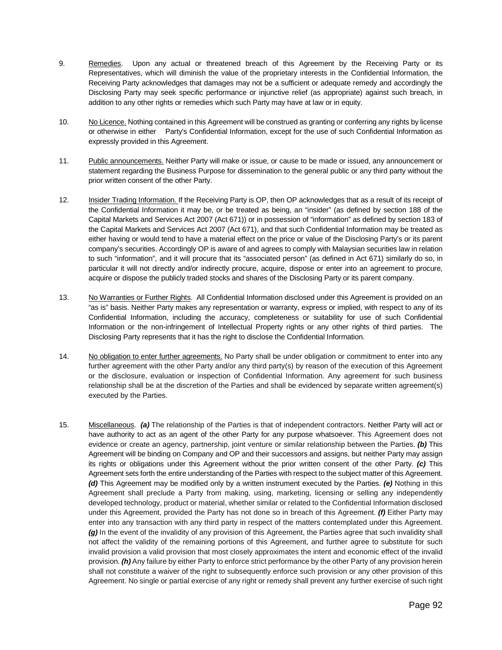- 9. Remedies. Upon any actual or threatened breach of this Agreement by the Receiving Party or its Representatives, which will diminish the value of the proprietary interests in the Confidential Information, the Receiving Party acknowledges that damages may not be a sufficient or adequate remedy and accordingly the Disclosing Party may seek specific performance or injunctive relief (as appropriate) against such breach, in addition to any other rights or remedies which such Party may have at law or in equity.
- 10. No Licence. Nothing contained in this Agreement will be construed as granting or conferring any rights by license or otherwise in either Party's Confidential Information, except for the use of such Confidential Information as expressly provided in this Agreement.
- 11. Public announcements. Neither Party will make or issue, or cause to be made or issued, any announcement or statement regarding the Business Purpose for dissemination to the general public or any third party without the prior written consent of the other Party.
- 12. Insider Trading Information. If the Receiving Party is OP, then OP acknowledges that as a result of its receipt of the Confidential Information it may be, or be treated as being, an "insider" (as defined by section 188 of the Capital Markets and Services Act 2007 (Act 671)) or in possession of "information" as defined by section 183 of the Capital Markets and Services Act 2007 (Act 671), and that such Confidential Information may be treated as either having or would tend to have a material effect on the price or value of the Disclosing Party's or its parent company's securities. Accordingly OP is aware of and agrees to comply with Malaysian securities law in relation to such "information", and it will procure that its "associated person" (as defined in Act 671) similarly do so, in particular it will not directly and/or indirectly procure, acquire, dispose or enter into an agreement to procure, acquire or dispose the publicly traded stocks and shares of the Disclosing Party or its parent company.
- 13. No Warranties or Further Rights. All Confidential Information disclosed under this Agreement is provided on an "as is" basis. Neither Party makes any representation or warranty, express or implied, with respect to any of its Confidential Information, including the accuracy, completeness or suitability for use of such Confidential Information or the non-infringement of Intellectual Property rights or any other rights of third parties. The Disclosing Party represents that it has the right to disclose the Confidential Information.
- 14. No obligation to enter further agreements. No Party shall be under obligation or commitment to enter into any further agreement with the other Party and/or any third party(s) by reason of the execution of this Agreement or the disclosure, evaluation or inspection of Confidential Information. Any agreement for such business relationship shall be at the discretion of the Parties and shall be evidenced by separate written agreement(s) executed by the Parties.
- 15. Miscellaneous. **(a)** The relationship of the Parties is that of independent contractors. Neither Party will act or have authority to act as an agent of the other Party for any purpose whatsoever. This Agreement does not evidence or create an agency, partnership, joint venture or similar relationship between the Parties. **(b)** This Agreement will be binding on Company and OP and their successors and assigns, but neither Party may assign its rights or obligations under this Agreement without the prior written consent of the other Party. **(c)** This Agreement sets forth the entire understanding of the Parties with respect to the subject matter of this Agreement. **(d)** This Agreement may be modified only by a written instrument executed by the Parties. **(e)** Nothing in this Agreement shall preclude a Party from making, using, marketing, licensing or selling any independently developed technology, product or material, whether similar or related to the Confidential Information disclosed under this Agreement, provided the Party has not done so in breach of this Agreement. **(f)** Either Party may enter into any transaction with any third party in respect of the matters contemplated under this Agreement. **(g)** In the event of the invalidity of any provision of this Agreement, the Parties agree that such invalidity shall not affect the validity of the remaining portions of this Agreement, and further agree to substitute for such invalid provision a valid provision that most closely approximates the intent and economic effect of the invalid provision. **(h)** Any failure by either Party to enforce strict performance by the other Party of any provision herein shall not constitute a waiver of the right to subsequently enforce such provision or any other provision of this Agreement. No single or partial exercise of any right or remedy shall prevent any further exercise of such right